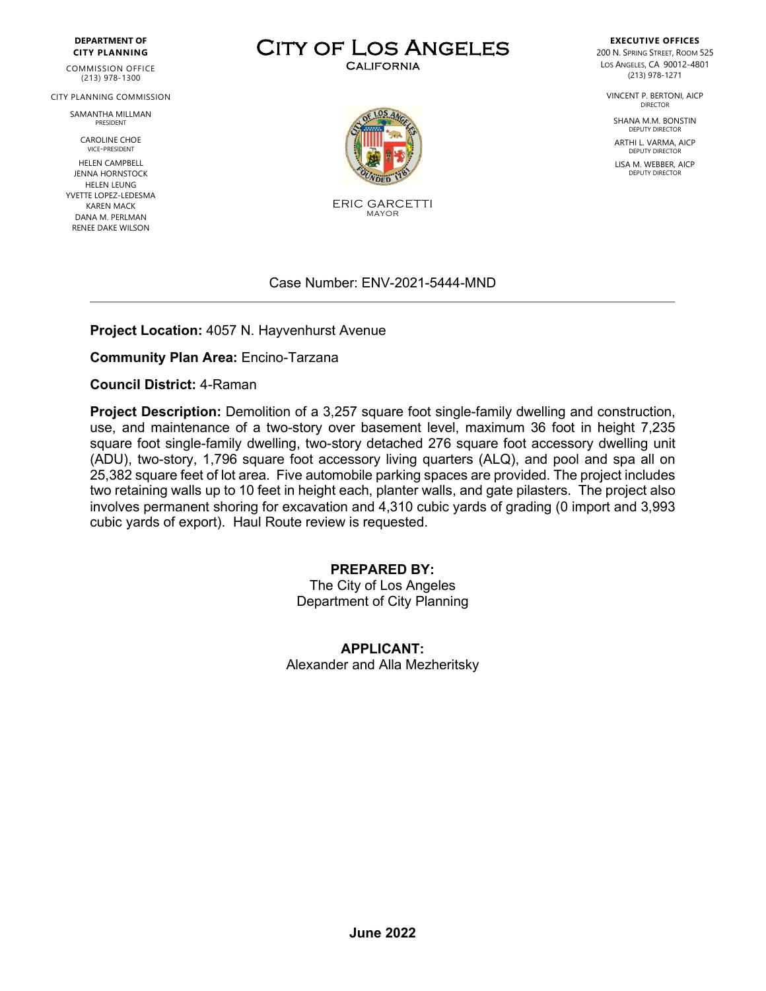#### **DEPARTMENT OF CITY PLANNING**

COMMISSION OFFICE (213) 978-1300

CITY PLANNING COMMISSION

SAMANTHA MILLMAN PRESIDENT

> CAROLINE CHOE VICE-PRESIDENT

HELEN CAMPBELL JENNA HORNSTOCK HELEN LEUNG YVETTE LOPEZ-LEDESMA KAREN MACK DANA M. PERLMAN RENEE DAKE WILSON

# CITY OF LOS ANGELES



ERIC GARCETTI MAYOR

#### Case Number: ENV-2021-5444-MND

**Project Location:** 4057 N. Hayvenhurst Avenue

**Community Plan Area:** Encino-Tarzana

**Council District:** 4-Raman

**Project Description:** Demolition of a 3,257 square foot single-family dwelling and construction, use, and maintenance of a two-story over basement level, maximum 36 foot in height 7,235 square foot single-family dwelling, two-story detached 276 square foot accessory dwelling unit (ADU), two-story, 1,796 square foot accessory living quarters (ALQ), and pool and spa all on 25,382 square feet of lot area. Five automobile parking spaces are provided. The project includes two retaining walls up to 10 feet in height each, planter walls, and gate pilasters. The project also involves permanent shoring for excavation and 4,310 cubic yards of grading (0 import and 3,993 cubic yards of export). Haul Route review is requested.

#### **PREPARED BY:**

The City of Los Angeles Department of City Planning

**APPLICANT:** Alexander and Alla Mezheritsky

**EXECUTIVE OFFICES** 200 N. SPRING STREET, ROOM 525 LOS ANGELES, CA 90012-4801 (213) 978-1271

VINCENT P. BERTONI, AICP DIRECTOR

SHANA M.M. BONSTIN DEPUTY DIRECTOR

ARTHI L. VARMA, AICP DEPUTY DIRECTOR

LISA M. WEBBER, AICP DEPUTY DIRECTOR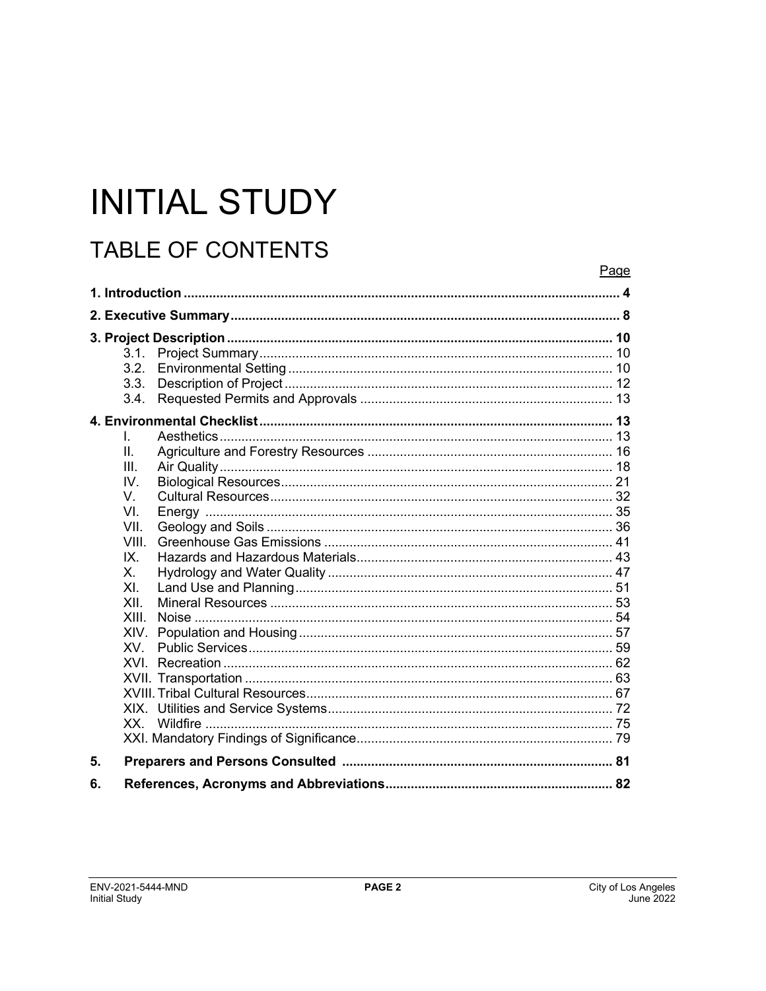# **INITIAL STUDY**

# **TABLE OF CONTENTS**

|    |                        | Page |  |
|----|------------------------|------|--|
|    |                        |      |  |
|    |                        |      |  |
|    |                        | 10   |  |
|    | 3.1.                   |      |  |
|    | 3.2.                   |      |  |
|    | 3.3.                   |      |  |
|    | 3.4.                   |      |  |
|    |                        |      |  |
|    | L.                     |      |  |
|    | Π.                     |      |  |
|    | III.                   |      |  |
|    | IV.                    |      |  |
|    | V.                     |      |  |
|    | VI.                    |      |  |
|    | VII.                   |      |  |
|    | VIII.                  |      |  |
|    | IX.                    |      |  |
|    | Х.                     |      |  |
|    | X <sub>L</sub><br>XII. |      |  |
|    | XIII.                  |      |  |
|    | XIV.                   |      |  |
|    | <b>XV</b>              |      |  |
|    | XVI                    |      |  |
|    |                        |      |  |
|    |                        |      |  |
|    |                        |      |  |
|    | Wildfire<br>XX -       |      |  |
|    |                        |      |  |
| 5. |                        |      |  |
| 6. |                        |      |  |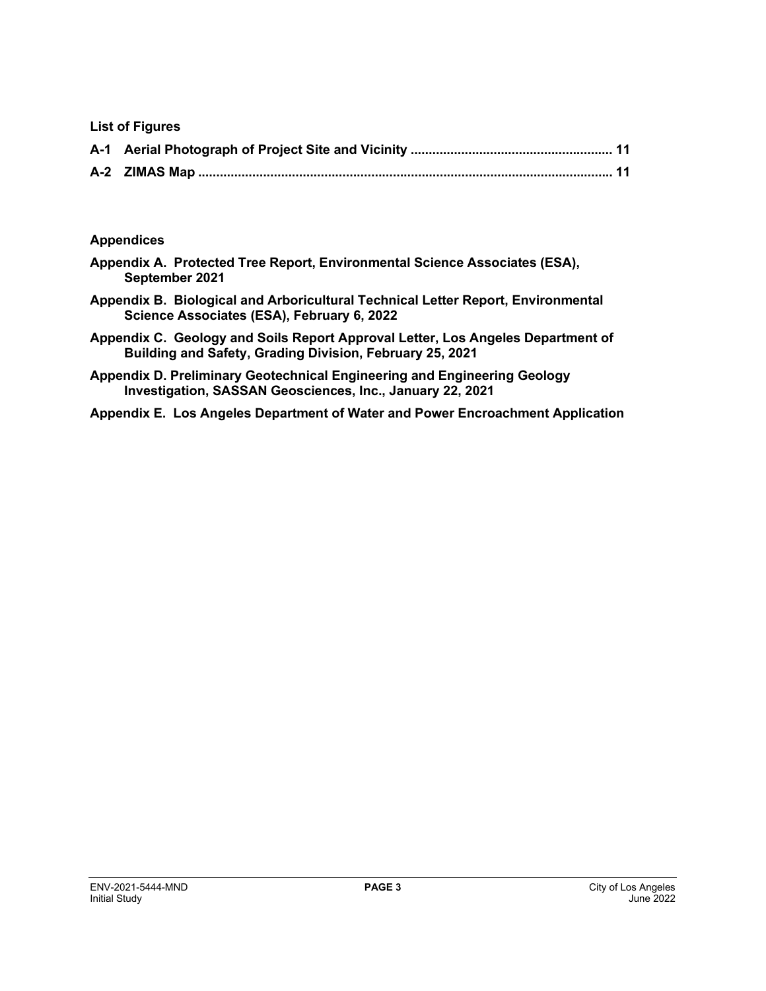**List of Figures** 

#### **Appendices**

- **Appendix A. Protected Tree Report, Environmental Science Associates (ESA), September 2021**
- **Appendix B. Biological and Arboricultural Technical Letter Report, Environmental Science Associates (ESA), February 6, 2022**
- **Appendix C. Geology and Soils Report Approval Letter, Los Angeles Department of Building and Safety, Grading Division, February 25, 2021**
- **Appendix D. Preliminary Geotechnical Engineering and Engineering Geology Investigation, SASSAN Geosciences, Inc., January 22, 2021**
- **Appendix E. Los Angeles Department of Water and Power Encroachment Application**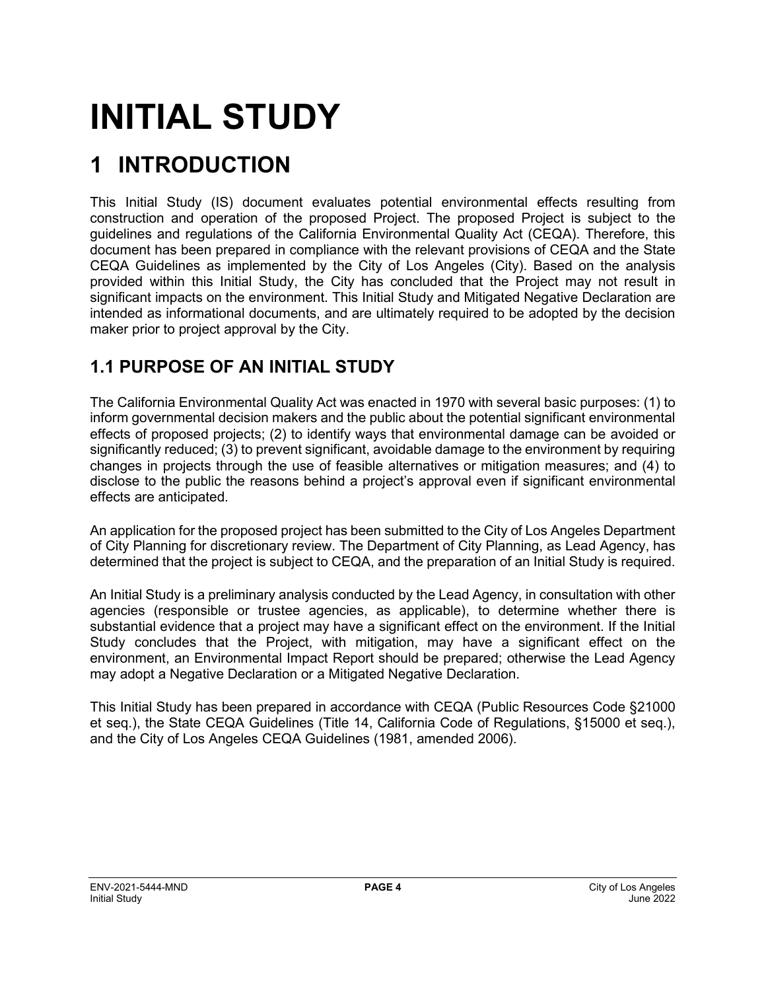# **INITIAL STUDY**

# **1 INTRODUCTION**

This Initial Study (IS) document evaluates potential environmental effects resulting from construction and operation of the proposed Project. The proposed Project is subject to the guidelines and regulations of the California Environmental Quality Act (CEQA). Therefore, this document has been prepared in compliance with the relevant provisions of CEQA and the State CEQA Guidelines as implemented by the City of Los Angeles (City). Based on the analysis provided within this Initial Study, the City has concluded that the Project may not result in significant impacts on the environment. This Initial Study and Mitigated Negative Declaration are intended as informational documents, and are ultimately required to be adopted by the decision maker prior to project approval by the City.

# **1.1 PURPOSE OF AN INITIAL STUDY**

The California Environmental Quality Act was enacted in 1970 with several basic purposes: (1) to inform governmental decision makers and the public about the potential significant environmental effects of proposed projects; (2) to identify ways that environmental damage can be avoided or significantly reduced; (3) to prevent significant, avoidable damage to the environment by requiring changes in projects through the use of feasible alternatives or mitigation measures; and (4) to disclose to the public the reasons behind a project's approval even if significant environmental effects are anticipated.

An application for the proposed project has been submitted to the City of Los Angeles Department of City Planning for discretionary review. The Department of City Planning, as Lead Agency, has determined that the project is subject to CEQA, and the preparation of an Initial Study is required.

An Initial Study is a preliminary analysis conducted by the Lead Agency, in consultation with other agencies (responsible or trustee agencies, as applicable), to determine whether there is substantial evidence that a project may have a significant effect on the environment. If the Initial Study concludes that the Project, with mitigation, may have a significant effect on the environment, an Environmental Impact Report should be prepared; otherwise the Lead Agency may adopt a Negative Declaration or a Mitigated Negative Declaration.

This Initial Study has been prepared in accordance with CEQA (Public Resources Code §21000 et seq.), the State CEQA Guidelines (Title 14, California Code of Regulations, §15000 et seq.), and the City of Los Angeles CEQA Guidelines (1981, amended 2006).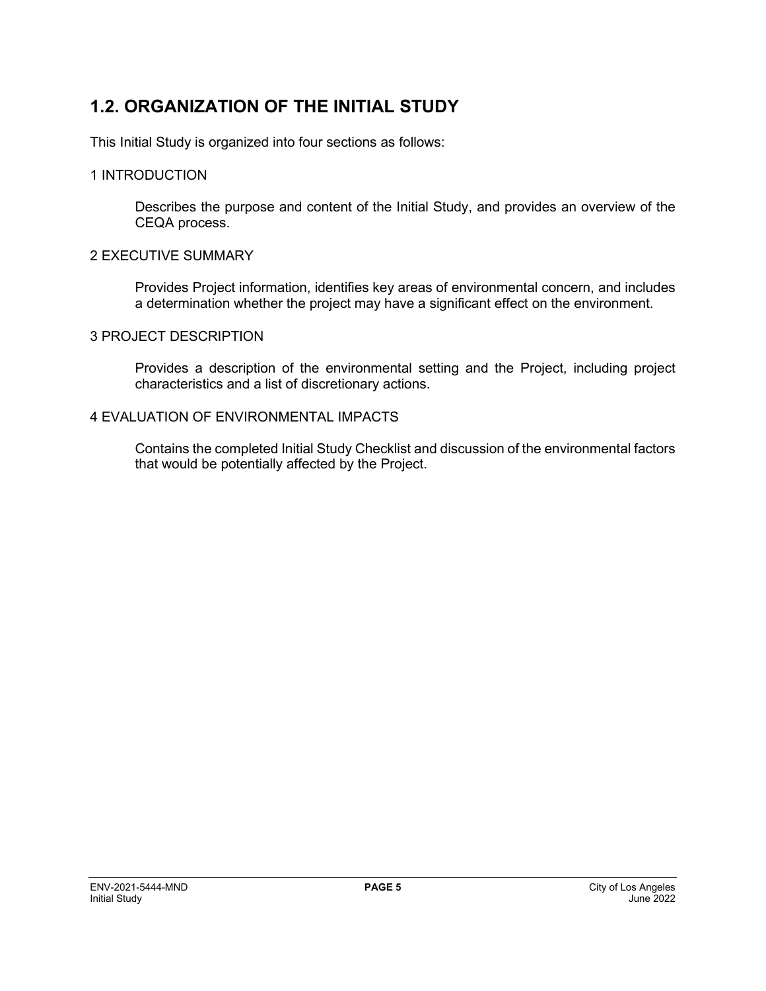## **1.2. ORGANIZATION OF THE INITIAL STUDY**

This Initial Study is organized into four sections as follows:

#### 1 INTRODUCTION

Describes the purpose and content of the Initial Study, and provides an overview of the CEQA process.

#### 2 EXECUTIVE SUMMARY

Provides Project information, identifies key areas of environmental concern, and includes a determination whether the project may have a significant effect on the environment.

#### 3 PROJECT DESCRIPTION

Provides a description of the environmental setting and the Project, including project characteristics and a list of discretionary actions.

#### 4 EVALUATION OF ENVIRONMENTAL IMPACTS

Contains the completed Initial Study Checklist and discussion of the environmental factors that would be potentially affected by the Project.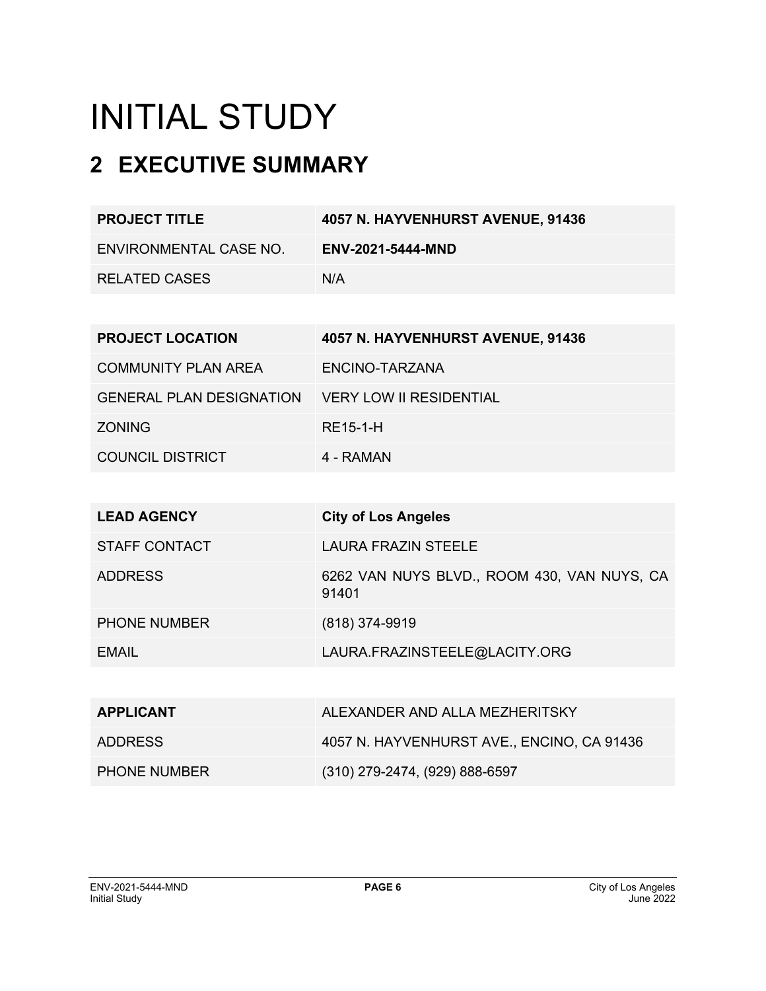# INITIAL STUDY

# **2 EXECUTIVE SUMMARY**

| <b>PROJECT TITLE</b>   | 4057 N. HAYVENHURST AVENUE, 91436 |
|------------------------|-----------------------------------|
| ENVIRONMENTAL CASE NO. | <b>ENV-2021-5444-MND</b>          |
| <b>RELATED CASES</b>   | N/A                               |

| <b>PROJECT LOCATION</b>         | 4057 N. HAYVENHURST AVENUE, 91436 |
|---------------------------------|-----------------------------------|
| <b>COMMUNITY PLAN AREA</b>      | ENCINO-TARZANA                    |
| <b>GENERAL PLAN DESIGNATION</b> | <b>VERY LOW II RESIDENTIAL</b>    |
| <b>ZONING</b>                   | RE15-1-H                          |
| <b>COUNCIL DISTRICT</b>         | 4 - RAMAN                         |

| <b>LEAD AGENCY</b>  | <b>City of Los Angeles</b>                           |
|---------------------|------------------------------------------------------|
| STAFF CONTACT       | LAURA FRAZIN STEELE                                  |
| <b>ADDRESS</b>      | 6262 VAN NUYS BLVD., ROOM 430, VAN NUYS, CA<br>91401 |
| <b>PHONE NUMBER</b> | $(818)$ 374-9919                                     |
| FMAIL               | LAURA.FRAZINSTEELE@LACITY.ORG                        |
|                     |                                                      |

| <b>APPLICANT</b>    | ALEXANDER AND ALLA MEZHERITSKY             |
|---------------------|--------------------------------------------|
| ADDRESS             | 4057 N. HAYVENHURST AVE., ENCINO, CA 91436 |
| <b>PHONE NUMBER</b> | (310) 279-2474, (929) 888-6597             |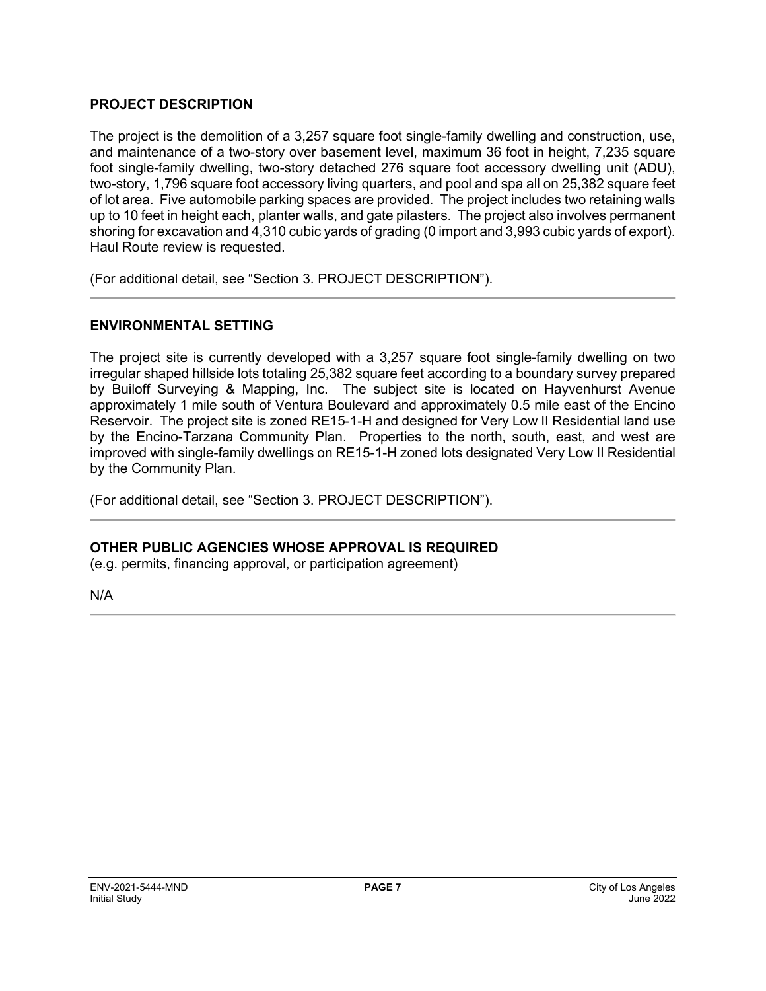#### **PROJECT DESCRIPTION**

The project is the demolition of a 3,257 square foot single-family dwelling and construction, use, and maintenance of a two-story over basement level, maximum 36 foot in height, 7,235 square foot single-family dwelling, two-story detached 276 square foot accessory dwelling unit (ADU), two-story, 1,796 square foot accessory living quarters, and pool and spa all on 25,382 square feet of lot area. Five automobile parking spaces are provided. The project includes two retaining walls up to 10 feet in height each, planter walls, and gate pilasters. The project also involves permanent shoring for excavation and 4,310 cubic yards of grading (0 import and 3,993 cubic yards of export). Haul Route review is requested.

(For additional detail, see "Section 3. PROJECT DESCRIPTION").

#### **ENVIRONMENTAL SETTING**

The project site is currently developed with a 3,257 square foot single-family dwelling on two irregular shaped hillside lots totaling 25,382 square feet according to a boundary survey prepared by Builoff Surveying & Mapping, Inc. The subject site is located on Hayvenhurst Avenue approximately 1 mile south of Ventura Boulevard and approximately 0.5 mile east of the Encino Reservoir. The project site is zoned RE15-1-H and designed for Very Low II Residential land use by the Encino-Tarzana Community Plan. Properties to the north, south, east, and west are improved with single-family dwellings on RE15-1-H zoned lots designated Very Low II Residential by the Community Plan.

(For additional detail, see "Section 3. PROJECT DESCRIPTION").

#### **OTHER PUBLIC AGENCIES WHOSE APPROVAL IS REQUIRED**

(e.g. permits, financing approval, or participation agreement)

N/A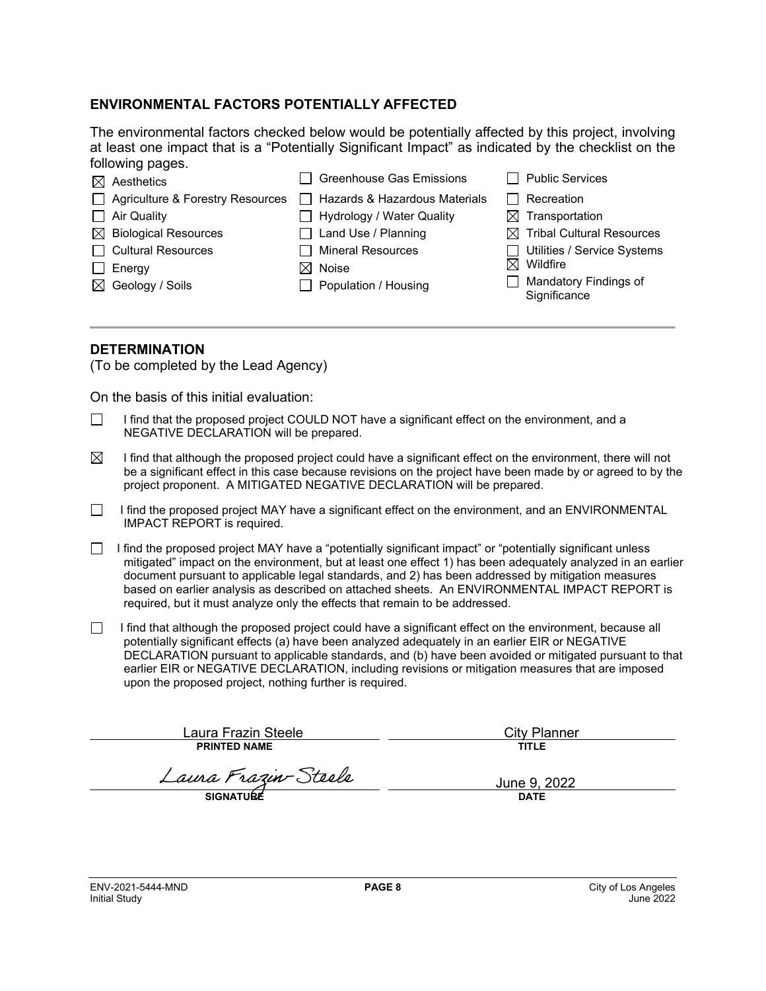#### **ENVIRONMENTAL FACTORS POTENTIALLY AFFECTED**

The environmental factors checked below would be potentially affected by this project, involving at least one impact that is a "Potentially Significant Impact" as indicated by the checklist on the following pages.

|              | $\boxtimes$ Aesthetics           | Ⅰ Greenhouse Gas Emissions       |                | <b>Public Services</b>                       |
|--------------|----------------------------------|----------------------------------|----------------|----------------------------------------------|
|              | Agriculture & Forestry Resources | Hazards & Hazardous Materials    | $\blacksquare$ | Recreation                                   |
|              | $\Box$ Air Quality               | $\Box$ Hydrology / Water Quality |                | $\boxtimes$ Transportation                   |
|              | $\boxtimes$ Biological Resources | $\Box$ Land Use / Planning       |                | $\boxtimes$ Tribal Cultural Resources        |
|              | □ Cultural Resources             | Mineral Resources                |                | Utilities / Service Systems                  |
| $\mathsf{L}$ | Energy                           | $\boxtimes$ Noise                |                | $\boxtimes$ Wildfire                         |
|              | $\boxtimes$ Geology / Soils      | $\Box$ Population / Housing      |                | <b>Mandatory Findings of</b><br>Significance |
|              |                                  |                                  |                |                                              |

#### **DETERMINATION**

(To be completed by the Lead Agency)

On the basis of this initial evaluation:

- I find that the proposed project COULD NOT have a significant effect on the environment, and a  $\Box$ NEGATIVE DECLARATION will be prepared.
- $\boxtimes$ I find that although the proposed project could have a significant effect on the environment, there will not be a significant effect in this case because revisions on the project have been made by or agreed to by the project proponent. A MITIGATED NEGATIVE DECLARATION will be prepared.
- $\Box$  I find the proposed project MAY have a significant effect on the environment, and an ENVIRONMENTAL IMPACT REPORT is required.
- $\Box$  I find the proposed project MAY have a "potentially significant impact" or "potentially significant unless mitigated" impact on the environment, but at least one effect 1) has been adequately analyzed in an earlier document pursuant to applicable legal standards, and 2) has been addressed by mitigation measures based on earlier analysis as described on attached sheets. An ENVIRONMENTAL IMPACT REPORT is required, but it must analyze only the effects that remain to be addressed.
- I find that although the proposed project could have a significant effect on the environment, because all  $\Box$ potentially significant effects (a) have been analyzed adequately in an earlier EIR or NEGATIVE DECLARATION pursuant to applicable standards, and (b) have been avoided or mitigated pursuant to that earlier EIR or NEGATIVE DECLARATION, including revisions or mitigation measures that are imposed upon the proposed project, nothing further is required.

Laura Frazin Steele **PRINTED NAME**

City Planner **TITLE**

Laura Frazin-Steele

**SIGNATURE**

June 9, 2022 **DATE**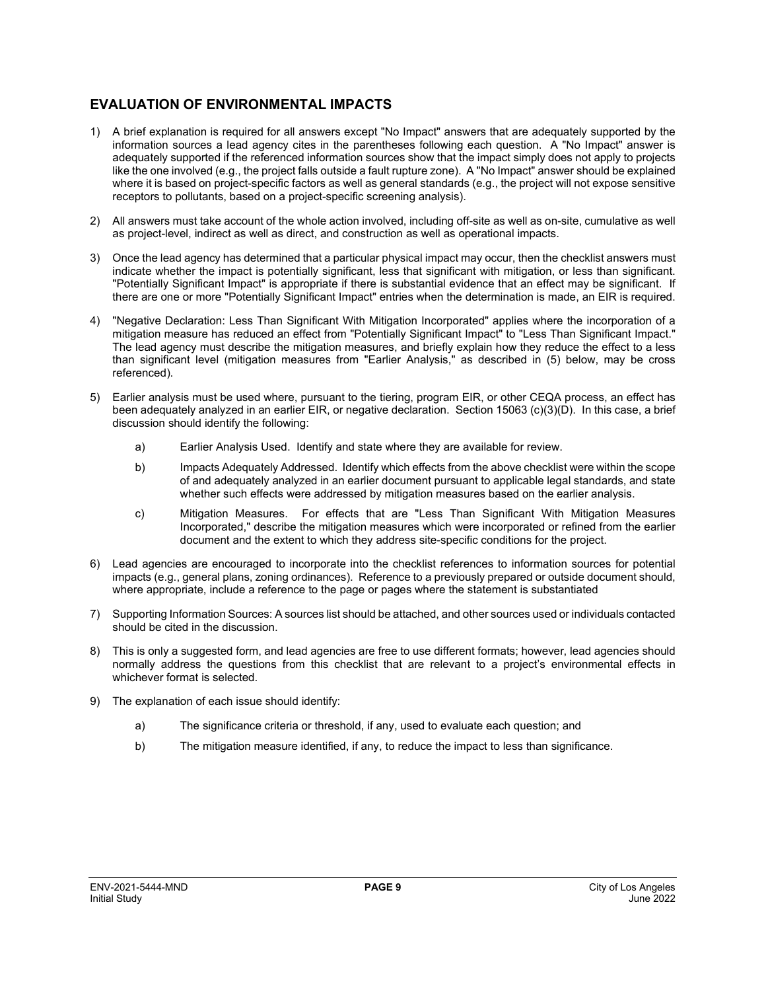#### **EVALUATION OF ENVIRONMENTAL IMPACTS**

- 1) A brief explanation is required for all answers except "No Impact" answers that are adequately supported by the information sources a lead agency cites in the parentheses following each question. A "No Impact" answer is adequately supported if the referenced information sources show that the impact simply does not apply to projects like the one involved (e.g., the project falls outside a fault rupture zone). A "No Impact" answer should be explained where it is based on project-specific factors as well as general standards (e.g., the project will not expose sensitive receptors to pollutants, based on a project-specific screening analysis).
- 2) All answers must take account of the whole action involved, including off-site as well as on-site, cumulative as well as project-level, indirect as well as direct, and construction as well as operational impacts.
- 3) Once the lead agency has determined that a particular physical impact may occur, then the checklist answers must indicate whether the impact is potentially significant, less that significant with mitigation, or less than significant. "Potentially Significant Impact" is appropriate if there is substantial evidence that an effect may be significant. If there are one or more "Potentially Significant Impact" entries when the determination is made, an EIR is required.
- 4) "Negative Declaration: Less Than Significant With Mitigation Incorporated" applies where the incorporation of a mitigation measure has reduced an effect from "Potentially Significant Impact" to "Less Than Significant Impact." The lead agency must describe the mitigation measures, and briefly explain how they reduce the effect to a less than significant level (mitigation measures from "Earlier Analysis," as described in (5) below, may be cross referenced).
- 5) Earlier analysis must be used where, pursuant to the tiering, program EIR, or other CEQA process, an effect has been adequately analyzed in an earlier EIR, or negative declaration. Section 15063 (c)(3)(D). In this case, a brief discussion should identify the following:
	- a) Earlier Analysis Used. Identify and state where they are available for review.
	- b) Impacts Adequately Addressed. Identify which effects from the above checklist were within the scope of and adequately analyzed in an earlier document pursuant to applicable legal standards, and state whether such effects were addressed by mitigation measures based on the earlier analysis.
	- c) Mitigation Measures. For effects that are "Less Than Significant With Mitigation Measures Incorporated," describe the mitigation measures which were incorporated or refined from the earlier document and the extent to which they address site-specific conditions for the project.
- 6) Lead agencies are encouraged to incorporate into the checklist references to information sources for potential impacts (e.g., general plans, zoning ordinances). Reference to a previously prepared or outside document should, where appropriate, include a reference to the page or pages where the statement is substantiated
- 7) Supporting Information Sources: A sources list should be attached, and other sources used or individuals contacted should be cited in the discussion.
- 8) This is only a suggested form, and lead agencies are free to use different formats; however, lead agencies should normally address the questions from this checklist that are relevant to a project's environmental effects in whichever format is selected.
- 9) The explanation of each issue should identify:
	- a) The significance criteria or threshold, if any, used to evaluate each question; and
	- b) The mitigation measure identified, if any, to reduce the impact to less than significance.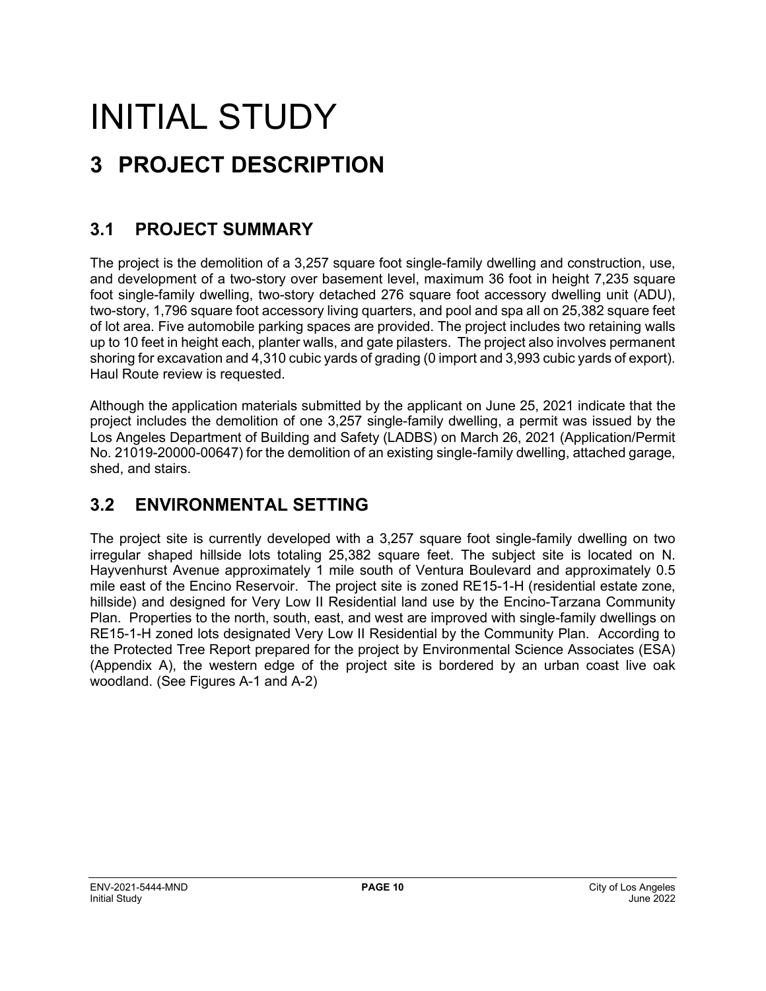# INITIAL STUDY **3 PROJECT DESCRIPTION**

## **3.1 PROJECT SUMMARY**

The project is the demolition of a 3,257 square foot single-family dwelling and construction, use, and development of a two-story over basement level, maximum 36 foot in height 7,235 square foot single-family dwelling, two-story detached 276 square foot accessory dwelling unit (ADU), two-story, 1,796 square foot accessory living quarters, and pool and spa all on 25,382 square feet of lot area. Five automobile parking spaces are provided. The project includes two retaining walls up to 10 feet in height each, planter walls, and gate pilasters. The project also involves permanent shoring for excavation and 4,310 cubic yards of grading (0 import and 3,993 cubic yards of export). Haul Route review is requested.

Although the application materials submitted by the applicant on June 25, 2021 indicate that the project includes the demolition of one 3,257 single-family dwelling, a permit was issued by the Los Angeles Department of Building and Safety (LADBS) on March 26, 2021 (Application/Permit No. 21019-20000-00647) for the demolition of an existing single-family dwelling, attached garage, shed, and stairs.

### **3.2 ENVIRONMENTAL SETTING**

The project site is currently developed with a 3,257 square foot single-family dwelling on two irregular shaped hillside lots totaling 25,382 square feet. The subject site is located on N. Hayvenhurst Avenue approximately 1 mile south of Ventura Boulevard and approximately 0.5 mile east of the Encino Reservoir. The project site is zoned RE15-1-H (residential estate zone, hillside) and designed for Very Low II Residential land use by the Encino-Tarzana Community Plan. Properties to the north, south, east, and west are improved with single-family dwellings on RE15-1-H zoned lots designated Very Low II Residential by the Community Plan. According to the Protected Tree Report prepared for the project by Environmental Science Associates (ESA) (Appendix A), the western edge of the project site is bordered by an urban coast live oak woodland. (See Figures A-1 and A-2)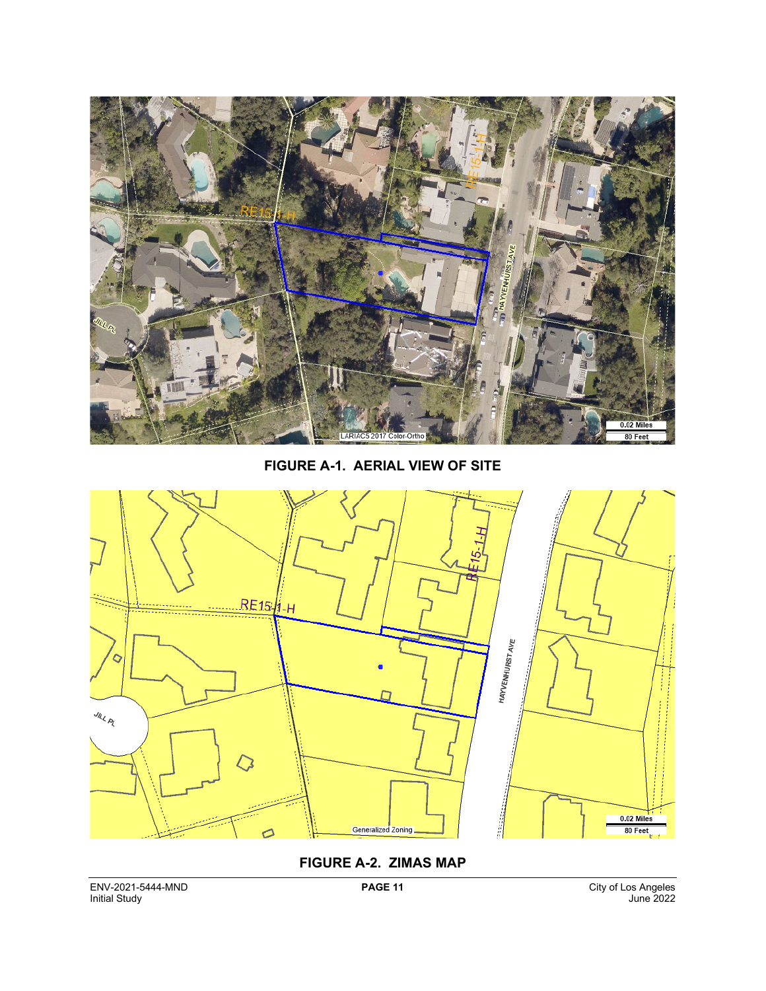

**FIGURE A-1. AERIAL VIEW OF SITE**



#### **FIGURE A-2. ZIMAS MAP**

ENV-2021-5444-MND **PAGE 11** City of Los Angeles Initial Study June 2022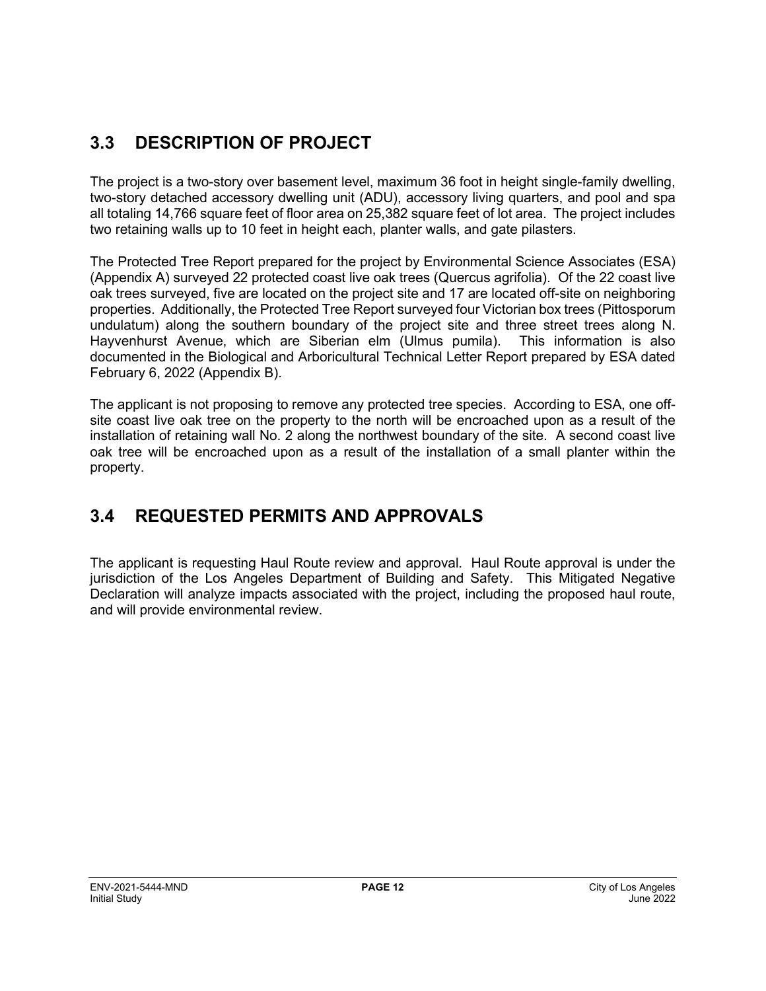# **3.3 DESCRIPTION OF PROJECT**

The project is a two-story over basement level, maximum 36 foot in height single-family dwelling, two-story detached accessory dwelling unit (ADU), accessory living quarters, and pool and spa all totaling 14,766 square feet of floor area on 25,382 square feet of lot area. The project includes two retaining walls up to 10 feet in height each, planter walls, and gate pilasters.

The Protected Tree Report prepared for the project by Environmental Science Associates (ESA) (Appendix A) surveyed 22 protected coast live oak trees (Quercus agrifolia). Of the 22 coast live oak trees surveyed, five are located on the project site and 17 are located off-site on neighboring properties. Additionally, the Protected Tree Report surveyed four Victorian box trees (Pittosporum undulatum) along the southern boundary of the project site and three street trees along N. Hayvenhurst Avenue, which are Siberian elm (Ulmus pumila). This information is also documented in the Biological and Arboricultural Technical Letter Report prepared by ESA dated February 6, 2022 (Appendix B).

The applicant is not proposing to remove any protected tree species. According to ESA, one offsite coast live oak tree on the property to the north will be encroached upon as a result of the installation of retaining wall No. 2 along the northwest boundary of the site. A second coast live oak tree will be encroached upon as a result of the installation of a small planter within the property.

## **3.4 REQUESTED PERMITS AND APPROVALS**

The applicant is requesting Haul Route review and approval. Haul Route approval is under the jurisdiction of the Los Angeles Department of Building and Safety. This Mitigated Negative Declaration will analyze impacts associated with the project, including the proposed haul route, and will provide environmental review.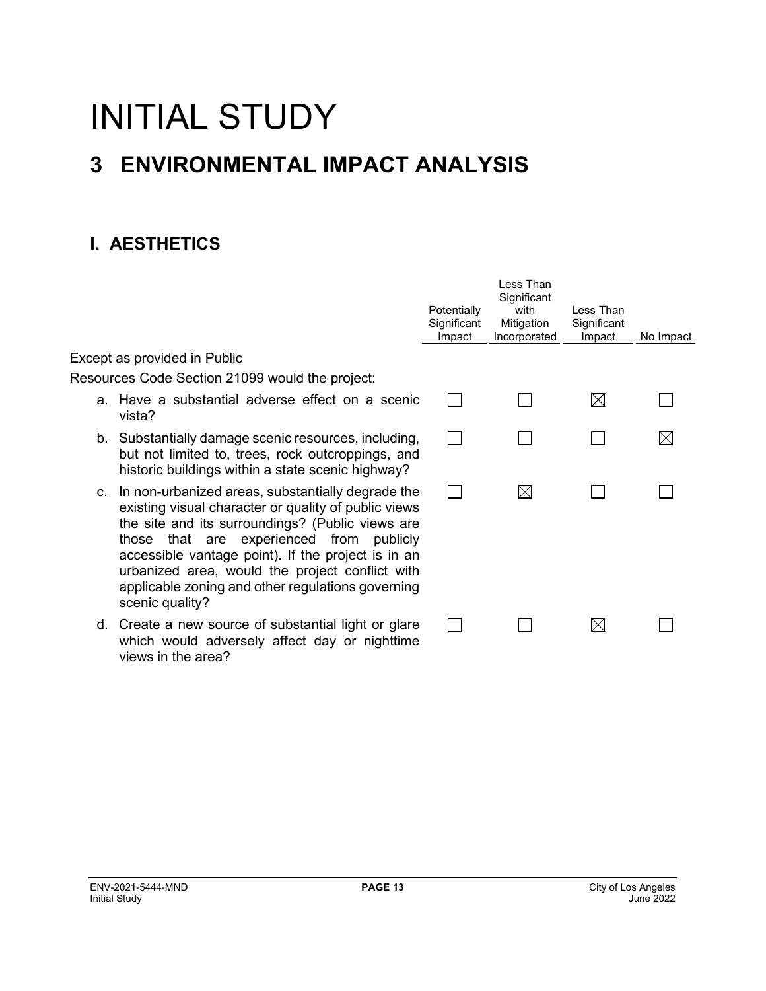# INITIAL STUDY **3 ENVIRONMENTAL IMPACT ANALYSIS**

# **I. AESTHETICS**

|    |                                                                                                                                                                                                                                                                                                                                                                                            | Potentially<br>Significant<br>Impact | Less Than<br>Significant<br>with<br>Mitigation<br>Incorporated | I ess Than<br>Significant<br>Impact | No Impact |
|----|--------------------------------------------------------------------------------------------------------------------------------------------------------------------------------------------------------------------------------------------------------------------------------------------------------------------------------------------------------------------------------------------|--------------------------------------|----------------------------------------------------------------|-------------------------------------|-----------|
|    | Except as provided in Public                                                                                                                                                                                                                                                                                                                                                               |                                      |                                                                |                                     |           |
|    | Resources Code Section 21099 would the project:                                                                                                                                                                                                                                                                                                                                            |                                      |                                                                |                                     |           |
|    | a. Have a substantial adverse effect on a scenic<br>vista?                                                                                                                                                                                                                                                                                                                                 |                                      |                                                                | $\boxtimes$                         |           |
|    | b. Substantially damage scenic resources, including,<br>but not limited to, trees, rock outcroppings, and<br>historic buildings within a state scenic highway?                                                                                                                                                                                                                             |                                      |                                                                |                                     |           |
| C. | In non-urbanized areas, substantially degrade the<br>existing visual character or quality of public views<br>the site and its surroundings? (Public views are<br>those that are experienced from publicly<br>accessible vantage point). If the project is in an<br>urbanized area, would the project conflict with<br>applicable zoning and other regulations governing<br>scenic quality? |                                      | $\boxtimes$                                                    |                                     |           |
|    | d. Create a new source of substantial light or glare<br>which would adversely affect day or nighttime<br>views in the area?                                                                                                                                                                                                                                                                |                                      |                                                                | ⊠                                   |           |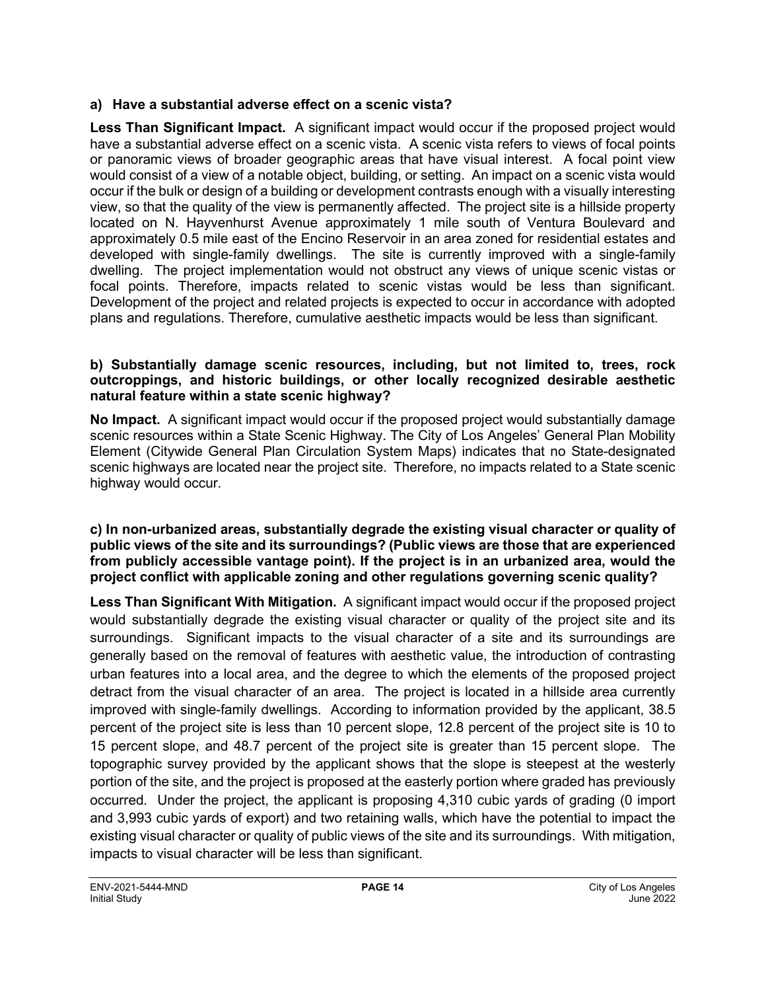#### **a) Have a substantial adverse effect on a scenic vista?**

**Less Than Significant Impact.** A significant impact would occur if the proposed project would have a substantial adverse effect on a scenic vista. A scenic vista refers to views of focal points or panoramic views of broader geographic areas that have visual interest. A focal point view would consist of a view of a notable object, building, or setting. An impact on a scenic vista would occur if the bulk or design of a building or development contrasts enough with a visually interesting view, so that the quality of the view is permanently affected. The project site is a hillside property located on N. Hayvenhurst Avenue approximately 1 mile south of Ventura Boulevard and approximately 0.5 mile east of the Encino Reservoir in an area zoned for residential estates and developed with single-family dwellings. The site is currently improved with a single-family dwelling. The project implementation would not obstruct any views of unique scenic vistas or focal points. Therefore, impacts related to scenic vistas would be less than significant. Development of the project and related projects is expected to occur in accordance with adopted plans and regulations. Therefore, cumulative aesthetic impacts would be less than significant.

#### **b) Substantially damage scenic resources, including, but not limited to, trees, rock outcroppings, and historic buildings, or other locally recognized desirable aesthetic natural feature within a state scenic highway?**

**No Impact.** A significant impact would occur if the proposed project would substantially damage scenic resources within a State Scenic Highway. The City of Los Angeles' General Plan Mobility Element (Citywide General Plan Circulation System Maps) indicates that no State-designated scenic highways are located near the project site. Therefore, no impacts related to a State scenic highway would occur.

#### **c) In non-urbanized areas, substantially degrade the existing visual character or quality of public views of the site and its surroundings? (Public views are those that are experienced from publicly accessible vantage point). If the project is in an urbanized area, would the project conflict with applicable zoning and other regulations governing scenic quality?**

**Less Than Significant With Mitigation.** A significant impact would occur if the proposed project would substantially degrade the existing visual character or quality of the project site and its surroundings. Significant impacts to the visual character of a site and its surroundings are generally based on the removal of features with aesthetic value, the introduction of contrasting urban features into a local area, and the degree to which the elements of the proposed project detract from the visual character of an area. The project is located in a hillside area currently improved with single-family dwellings. According to information provided by the applicant, 38.5 percent of the project site is less than 10 percent slope, 12.8 percent of the project site is 10 to 15 percent slope, and 48.7 percent of the project site is greater than 15 percent slope. The topographic survey provided by the applicant shows that the slope is steepest at the westerly portion of the site, and the project is proposed at the easterly portion where graded has previously occurred. Under the project, the applicant is proposing 4,310 cubic yards of grading (0 import and 3,993 cubic yards of export) and two retaining walls, which have the potential to impact the existing visual character or quality of public views of the site and its surroundings. With mitigation, impacts to visual character will be less than significant.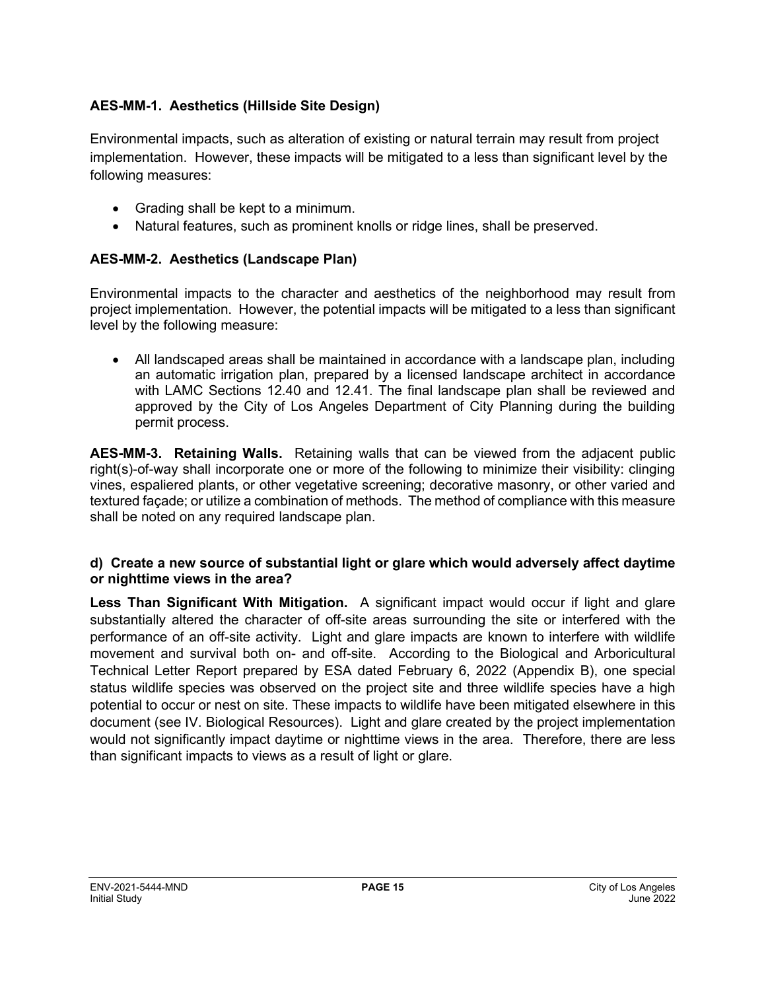#### **AES-MM-1. Aesthetics (Hillside Site Design)**

Environmental impacts, such as alteration of existing or natural terrain may result from project implementation. However, these impacts will be mitigated to a less than significant level by the following measures:

- Grading shall be kept to a minimum.
- Natural features, such as prominent knolls or ridge lines, shall be preserved.

#### **AES-MM-2. Aesthetics (Landscape Plan)**

Environmental impacts to the character and aesthetics of the neighborhood may result from project implementation. However, the potential impacts will be mitigated to a less than significant level by the following measure:

• All landscaped areas shall be maintained in accordance with a landscape plan, including an automatic irrigation plan, prepared by a licensed landscape architect in accordance with LAMC Sections 12.40 and 12.41. The final landscape plan shall be reviewed and approved by the City of Los Angeles Department of City Planning during the building permit process.

**AES-MM-3. Retaining Walls.** Retaining walls that can be viewed from the adjacent public right(s)-of-way shall incorporate one or more of the following to minimize their visibility: clinging vines, espaliered plants, or other vegetative screening; decorative masonry, or other varied and textured façade; or utilize a combination of methods. The method of compliance with this measure shall be noted on any required landscape plan.

#### **d) Create a new source of substantial light or glare which would adversely affect daytime or nighttime views in the area?**

**Less Than Significant With Mitigation.** A significant impact would occur if light and glare substantially altered the character of off-site areas surrounding the site or interfered with the performance of an off-site activity. Light and glare impacts are known to interfere with wildlife movement and survival both on- and off-site. According to the Biological and Arboricultural Technical Letter Report prepared by ESA dated February 6, 2022 (Appendix B), one special status wildlife species was observed on the project site and three wildlife species have a high potential to occur or nest on site. These impacts to wildlife have been mitigated elsewhere in this document (see IV. Biological Resources). Light and glare created by the project implementation would not significantly impact daytime or nighttime views in the area. Therefore, there are less than significant impacts to views as a result of light or glare.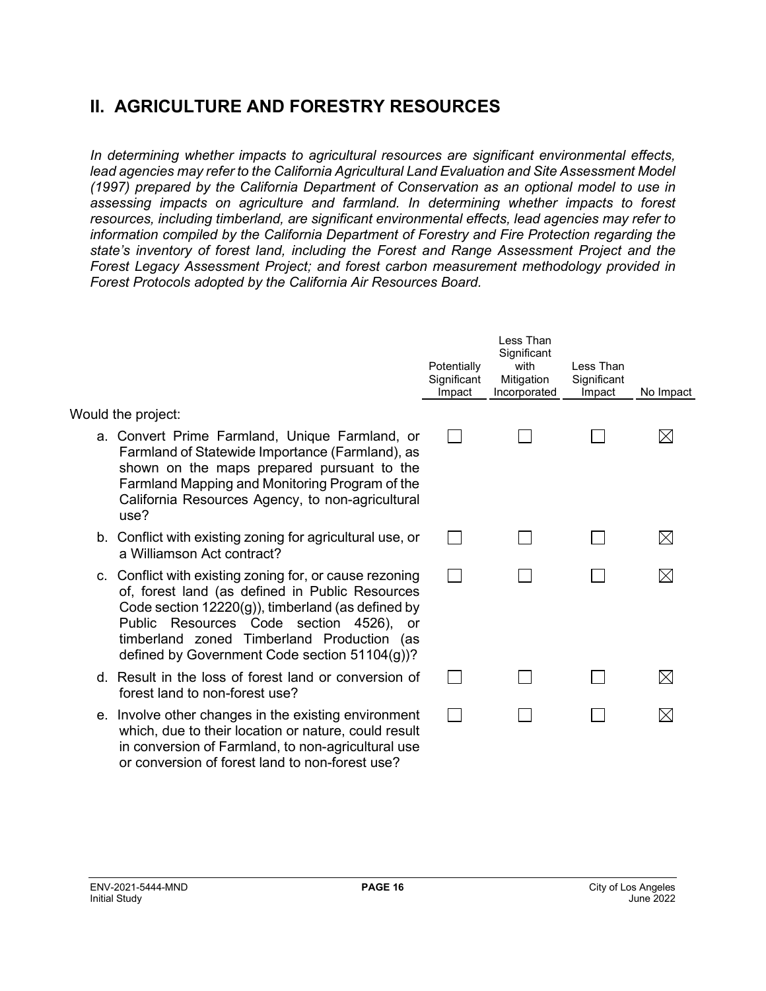## **II. AGRICULTURE AND FORESTRY RESOURCES**

*In determining whether impacts to agricultural resources are significant environmental effects, lead agencies may refer to the California Agricultural Land Evaluation and Site Assessment Model (1997) prepared by the California Department of Conservation as an optional model to use in assessing impacts on agriculture and farmland. In determining whether impacts to forest resources, including timberland, are significant environmental effects, lead agencies may refer to information compiled by the California Department of Forestry and Fire Protection regarding the state's inventory of forest land, including the Forest and Range Assessment Project and the Forest Legacy Assessment Project; and forest carbon measurement methodology provided in Forest Protocols adopted by the California Air Resources Board.* 

|                                                                                                                                                                                                                                                                                                             | Potentially<br>Significant<br>Impact | Less Than<br>Significant<br>with<br>Mitigation<br>Incorporated | Less Than<br>Significant<br>Impact | No Impact    |
|-------------------------------------------------------------------------------------------------------------------------------------------------------------------------------------------------------------------------------------------------------------------------------------------------------------|--------------------------------------|----------------------------------------------------------------|------------------------------------|--------------|
| Would the project:                                                                                                                                                                                                                                                                                          |                                      |                                                                |                                    |              |
| a. Convert Prime Farmland, Unique Farmland, or<br>Farmland of Statewide Importance (Farmland), as<br>shown on the maps prepared pursuant to the<br>Farmland Mapping and Monitoring Program of the<br>California Resources Agency, to non-agricultural<br>use?                                               |                                      |                                                                |                                    | $\mathsf{X}$ |
| b. Conflict with existing zoning for agricultural use, or<br>a Williamson Act contract?                                                                                                                                                                                                                     |                                      |                                                                |                                    | $\times$     |
| c. Conflict with existing zoning for, or cause rezoning<br>of, forest land (as defined in Public Resources<br>Code section $12220(g)$ , timberland (as defined by<br>Public Resources Code section 4526), or<br>timberland zoned Timberland Production (as<br>defined by Government Code section 51104(g))? |                                      |                                                                |                                    |              |
| d. Result in the loss of forest land or conversion of<br>forest land to non-forest use?                                                                                                                                                                                                                     |                                      |                                                                |                                    |              |
| e. Involve other changes in the existing environment<br>which, due to their location or nature, could result<br>in conversion of Farmland, to non-agricultural use                                                                                                                                          |                                      |                                                                |                                    |              |

or conversion of forest land to non-forest use?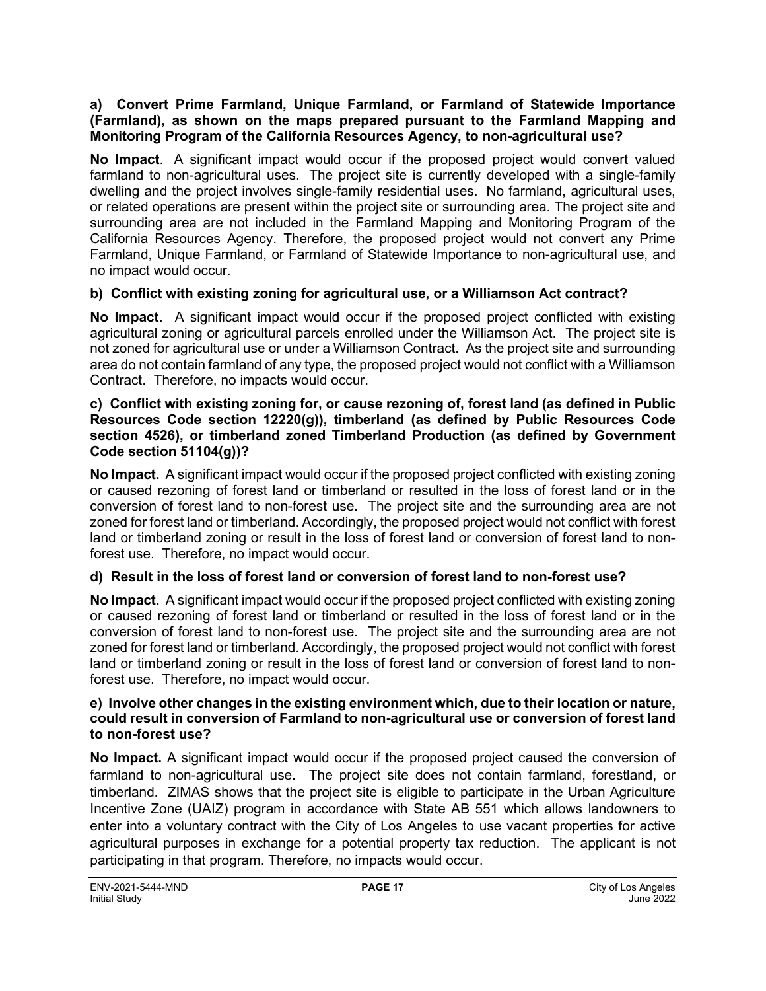#### **a) Convert Prime Farmland, Unique Farmland, or Farmland of Statewide Importance (Farmland), as shown on the maps prepared pursuant to the Farmland Mapping and Monitoring Program of the California Resources Agency, to non-agricultural use?**

**No Impact**. A significant impact would occur if the proposed project would convert valued farmland to non-agricultural uses. The project site is currently developed with a single-family dwelling and the project involves single-family residential uses. No farmland, agricultural uses, or related operations are present within the project site or surrounding area. The project site and surrounding area are not included in the Farmland Mapping and Monitoring Program of the California Resources Agency. Therefore, the proposed project would not convert any Prime Farmland, Unique Farmland, or Farmland of Statewide Importance to non-agricultural use, and no impact would occur.

#### **b) Conflict with existing zoning for agricultural use, or a Williamson Act contract?**

**No Impact.** A significant impact would occur if the proposed project conflicted with existing agricultural zoning or agricultural parcels enrolled under the Williamson Act. The project site is not zoned for agricultural use or under a Williamson Contract. As the project site and surrounding area do not contain farmland of any type, the proposed project would not conflict with a Williamson Contract. Therefore, no impacts would occur.

#### **c) Conflict with existing zoning for, or cause rezoning of, forest land (as defined in Public Resources Code section 12220(g)), timberland (as defined by Public Resources Code section 4526), or timberland zoned Timberland Production (as defined by Government Code section 51104(g))?**

**No Impact.** A significant impact would occur if the proposed project conflicted with existing zoning or caused rezoning of forest land or timberland or resulted in the loss of forest land or in the conversion of forest land to non-forest use. The project site and the surrounding area are not zoned for forest land or timberland. Accordingly, the proposed project would not conflict with forest land or timberland zoning or result in the loss of forest land or conversion of forest land to nonforest use. Therefore, no impact would occur.

#### **d) Result in the loss of forest land or conversion of forest land to non-forest use?**

**No Impact.** A significant impact would occur if the proposed project conflicted with existing zoning or caused rezoning of forest land or timberland or resulted in the loss of forest land or in the conversion of forest land to non-forest use. The project site and the surrounding area are not zoned for forest land or timberland. Accordingly, the proposed project would not conflict with forest land or timberland zoning or result in the loss of forest land or conversion of forest land to nonforest use. Therefore, no impact would occur.

#### **e) Involve other changes in the existing environment which, due to their location or nature, could result in conversion of Farmland to non-agricultural use or conversion of forest land to non-forest use?**

**No Impact.** A significant impact would occur if the proposed project caused the conversion of farmland to non-agricultural use. The project site does not contain farmland, forestland, or timberland. ZIMAS shows that the project site is eligible to participate in the Urban Agriculture Incentive Zone (UAIZ) program in accordance with State AB 551 which allows landowners to enter into a voluntary contract with the City of Los Angeles to use vacant properties for active agricultural purposes in exchange for a potential property tax reduction. The applicant is not participating in that program. Therefore, no impacts would occur.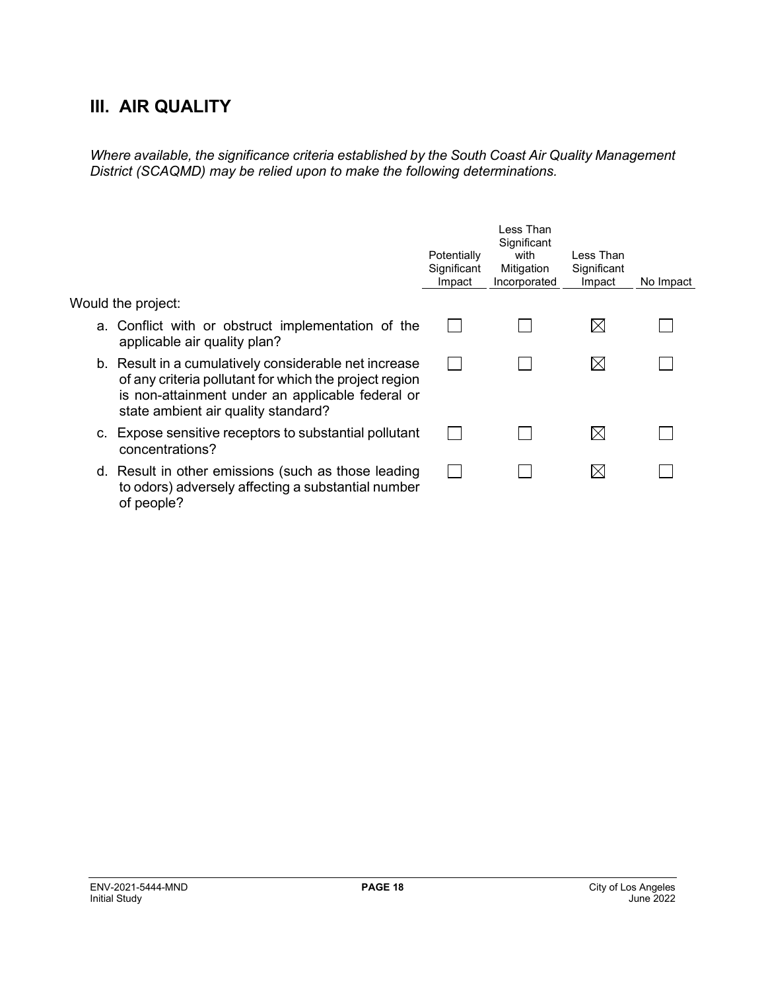### **III. AIR QUALITY**

*Where available, the significance criteria established by the South Coast Air Quality Management District (SCAQMD) may be relied upon to make the following determinations.*

|    |                                                                                                                                                                                                            | Potentially<br>Significant<br>Impact | Less Than<br>Significant<br>with<br>Mitigation<br>Incorporated | Less Than<br>Significant<br>Impact | No Impact |
|----|------------------------------------------------------------------------------------------------------------------------------------------------------------------------------------------------------------|--------------------------------------|----------------------------------------------------------------|------------------------------------|-----------|
|    | Would the project:                                                                                                                                                                                         |                                      |                                                                |                                    |           |
|    | a. Conflict with or obstruct implementation of the<br>applicable air quality plan?                                                                                                                         |                                      |                                                                | $\boxtimes$                        |           |
|    | b. Result in a cumulatively considerable net increase<br>of any criteria pollutant for which the project region<br>is non-attainment under an applicable federal or<br>state ambient air quality standard? |                                      |                                                                | $\boxtimes$                        |           |
| C. | Expose sensitive receptors to substantial pollutant<br>concentrations?                                                                                                                                     |                                      |                                                                | IХI                                |           |
|    | d. Result in other emissions (such as those leading<br>to odors) adversely affecting a substantial number<br>of people?                                                                                    |                                      |                                                                | IХI                                |           |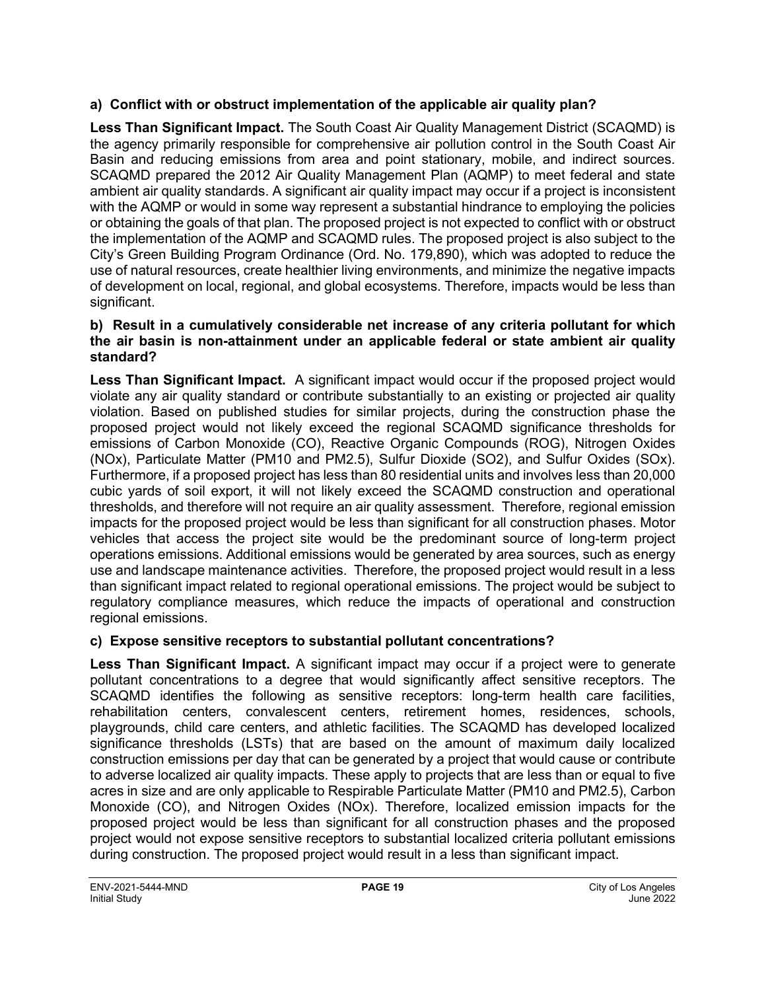#### **a) Conflict with or obstruct implementation of the applicable air quality plan?**

**Less Than Significant Impact.** The South Coast Air Quality Management District (SCAQMD) is the agency primarily responsible for comprehensive air pollution control in the South Coast Air Basin and reducing emissions from area and point stationary, mobile, and indirect sources. SCAQMD prepared the 2012 Air Quality Management Plan (AQMP) to meet federal and state ambient air quality standards. A significant air quality impact may occur if a project is inconsistent with the AQMP or would in some way represent a substantial hindrance to employing the policies or obtaining the goals of that plan. The proposed project is not expected to conflict with or obstruct the implementation of the AQMP and SCAQMD rules. The proposed project is also subject to the City's Green Building Program Ordinance (Ord. No. 179,890), which was adopted to reduce the use of natural resources, create healthier living environments, and minimize the negative impacts of development on local, regional, and global ecosystems. Therefore, impacts would be less than significant.

#### **b) Result in a cumulatively considerable net increase of any criteria pollutant for which the air basin is non-attainment under an applicable federal or state ambient air quality standard?**

**Less Than Significant Impact.** A significant impact would occur if the proposed project would violate any air quality standard or contribute substantially to an existing or projected air quality violation. Based on published studies for similar projects, during the construction phase the proposed project would not likely exceed the regional SCAQMD significance thresholds for emissions of Carbon Monoxide (CO), Reactive Organic Compounds (ROG), Nitrogen Oxides (NOx), Particulate Matter (PM10 and PM2.5), Sulfur Dioxide (SO2), and Sulfur Oxides (SOx). Furthermore, if a proposed project has less than 80 residential units and involves less than 20,000 cubic yards of soil export, it will not likely exceed the SCAQMD construction and operational thresholds, and therefore will not require an air quality assessment. Therefore, regional emission impacts for the proposed project would be less than significant for all construction phases. Motor vehicles that access the project site would be the predominant source of long-term project operations emissions. Additional emissions would be generated by area sources, such as energy use and landscape maintenance activities. Therefore, the proposed project would result in a less than significant impact related to regional operational emissions. The project would be subject to regulatory compliance measures, which reduce the impacts of operational and construction regional emissions.

#### **c) Expose sensitive receptors to substantial pollutant concentrations?**

**Less Than Significant Impact.** A significant impact may occur if a project were to generate pollutant concentrations to a degree that would significantly affect sensitive receptors. The SCAQMD identifies the following as sensitive receptors: long-term health care facilities, rehabilitation centers, convalescent centers, retirement homes, residences, schools, playgrounds, child care centers, and athletic facilities. The SCAQMD has developed localized significance thresholds (LSTs) that are based on the amount of maximum daily localized construction emissions per day that can be generated by a project that would cause or contribute to adverse localized air quality impacts. These apply to projects that are less than or equal to five acres in size and are only applicable to Respirable Particulate Matter (PM10 and PM2.5), Carbon Monoxide (CO), and Nitrogen Oxides (NOx). Therefore, localized emission impacts for the proposed project would be less than significant for all construction phases and the proposed project would not expose sensitive receptors to substantial localized criteria pollutant emissions during construction. The proposed project would result in a less than significant impact.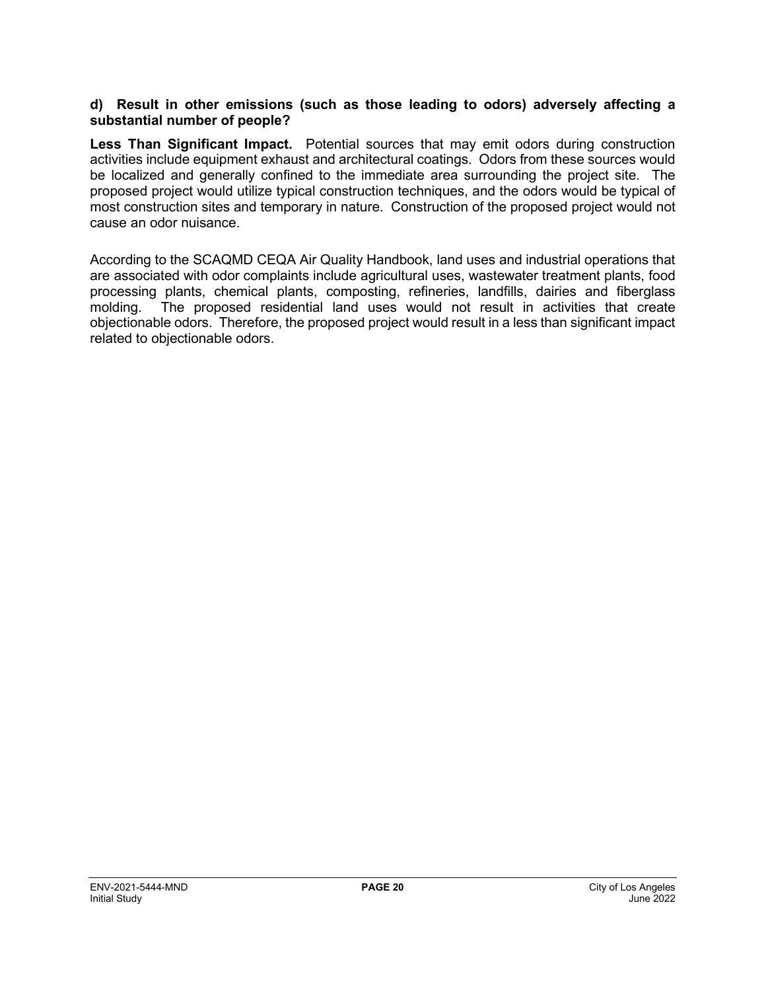#### **d) Result in other emissions (such as those leading to odors) adversely affecting a substantial number of people?**

**Less Than Significant Impact.** Potential sources that may emit odors during construction activities include equipment exhaust and architectural coatings. Odors from these sources would be localized and generally confined to the immediate area surrounding the project site. The proposed project would utilize typical construction techniques, and the odors would be typical of most construction sites and temporary in nature. Construction of the proposed project would not cause an odor nuisance.

According to the SCAQMD CEQA Air Quality Handbook, land uses and industrial operations that are associated with odor complaints include agricultural uses, wastewater treatment plants, food processing plants, chemical plants, composting, refineries, landfills, dairies and fiberglass molding. The proposed residential land uses would not result in activities that create objectionable odors. Therefore, the proposed project would result in a less than significant impact related to objectionable odors.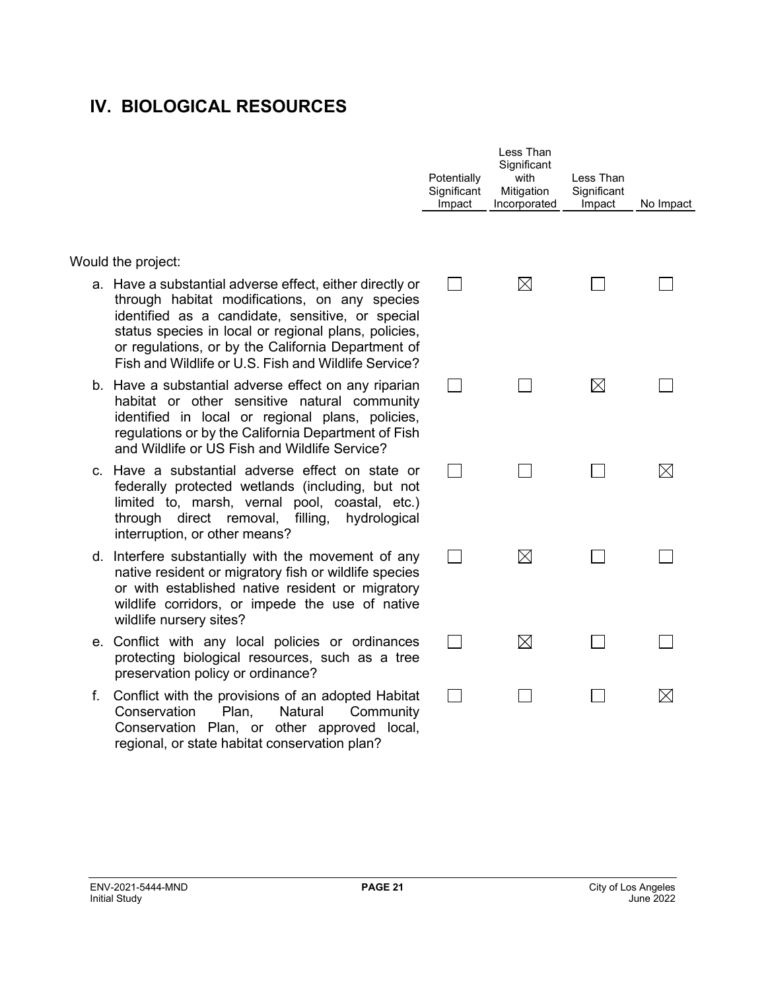### **IV. BIOLOGICAL RESOURCES**

Would the project:

- a. Have a substantial adverse effect, either directly or through habitat modifications, on any species identified as a candidate, sensitive, or special status species in local or regional plans, policies, or regulations, or by the California Department of Fish and Wildlife or U.S. Fish and Wildlife Service?
- b. Have a substantial adverse effect on any riparian habitat or other sensitive natural community identified in local or regional plans, policies, regulations or by the California Department of Fish and Wildlife or US Fish and Wildlife Service?
- c. Have a substantial adverse effect on state or federally protected wetlands (including, but not limited to, marsh, vernal pool, coastal, etc.) through direct removal, filling, hydrological interruption, or other means?
- d. Interfere substantially with the movement of any native resident or migratory fish or wildlife species or with established native resident or migratory wildlife corridors, or impede the use of native wildlife nursery sites?
- e. Conflict with any local policies or ordinances protecting biological resources, such as a tree preservation policy or ordinance?
- f. Conflict with the provisions of an adopted Habitat Conservation Plan, Natural Community Conservation Plan, or other approved local, regional, or state habitat conservation plan?

| Potentially<br>Significant<br>Impact | Less Than<br>Significant<br>with<br>Mitigation<br>Incorporated | Less Than<br>Significant<br>Impact | No Impact |
|--------------------------------------|----------------------------------------------------------------|------------------------------------|-----------|
|                                      | $\boxtimes$                                                    |                                    |           |
|                                      |                                                                | $\boxtimes$                        |           |
|                                      |                                                                |                                    |           |
|                                      | $\boxtimes$                                                    |                                    |           |
|                                      | $\boxtimes$                                                    |                                    |           |
|                                      |                                                                |                                    |           |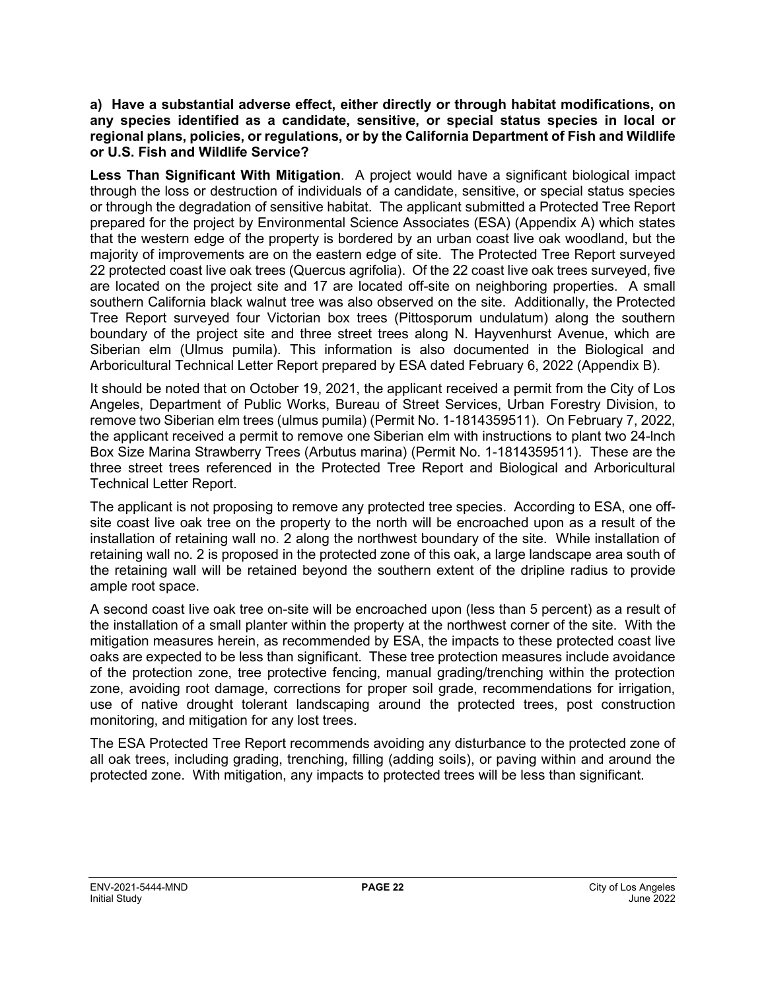**a) Have a substantial adverse effect, either directly or through habitat modifications, on any species identified as a candidate, sensitive, or special status species in local or regional plans, policies, or regulations, or by the California Department of Fish and Wildlife or U.S. Fish and Wildlife Service?**

**Less Than Significant With Mitigation**. A project would have a significant biological impact through the loss or destruction of individuals of a candidate, sensitive, or special status species or through the degradation of sensitive habitat. The applicant submitted a Protected Tree Report prepared for the project by Environmental Science Associates (ESA) (Appendix A) which states that the western edge of the property is bordered by an urban coast live oak woodland, but the majority of improvements are on the eastern edge of site. The Protected Tree Report surveyed 22 protected coast live oak trees (Quercus agrifolia). Of the 22 coast live oak trees surveyed, five are located on the project site and 17 are located off-site on neighboring properties. A small southern California black walnut tree was also observed on the site. Additionally, the Protected Tree Report surveyed four Victorian box trees (Pittosporum undulatum) along the southern boundary of the project site and three street trees along N. Hayvenhurst Avenue, which are Siberian elm (Ulmus pumila). This information is also documented in the Biological and Arboricultural Technical Letter Report prepared by ESA dated February 6, 2022 (Appendix B).

It should be noted that on October 19, 2021, the applicant received a permit from the City of Los Angeles, Department of Public Works, Bureau of Street Services, Urban Forestry Division, to remove two Siberian elm trees (ulmus pumila) (Permit No. 1-1814359511). On February 7, 2022, the applicant received a permit to remove one Siberian elm with instructions to plant two 24-lnch Box Size Marina Strawberry Trees (Arbutus marina) (Permit No. 1-1814359511). These are the three street trees referenced in the Protected Tree Report and Biological and Arboricultural Technical Letter Report.

The applicant is not proposing to remove any protected tree species. According to ESA, one offsite coast live oak tree on the property to the north will be encroached upon as a result of the installation of retaining wall no. 2 along the northwest boundary of the site. While installation of retaining wall no. 2 is proposed in the protected zone of this oak, a large landscape area south of the retaining wall will be retained beyond the southern extent of the dripline radius to provide ample root space.

A second coast live oak tree on-site will be encroached upon (less than 5 percent) as a result of the installation of a small planter within the property at the northwest corner of the site. With the mitigation measures herein, as recommended by ESA, the impacts to these protected coast live oaks are expected to be less than significant. These tree protection measures include avoidance of the protection zone, tree protective fencing, manual grading/trenching within the protection zone, avoiding root damage, corrections for proper soil grade, recommendations for irrigation, use of native drought tolerant landscaping around the protected trees, post construction monitoring, and mitigation for any lost trees.

The ESA Protected Tree Report recommends avoiding any disturbance to the protected zone of all oak trees, including grading, trenching, filling (adding soils), or paving within and around the protected zone. With mitigation, any impacts to protected trees will be less than significant.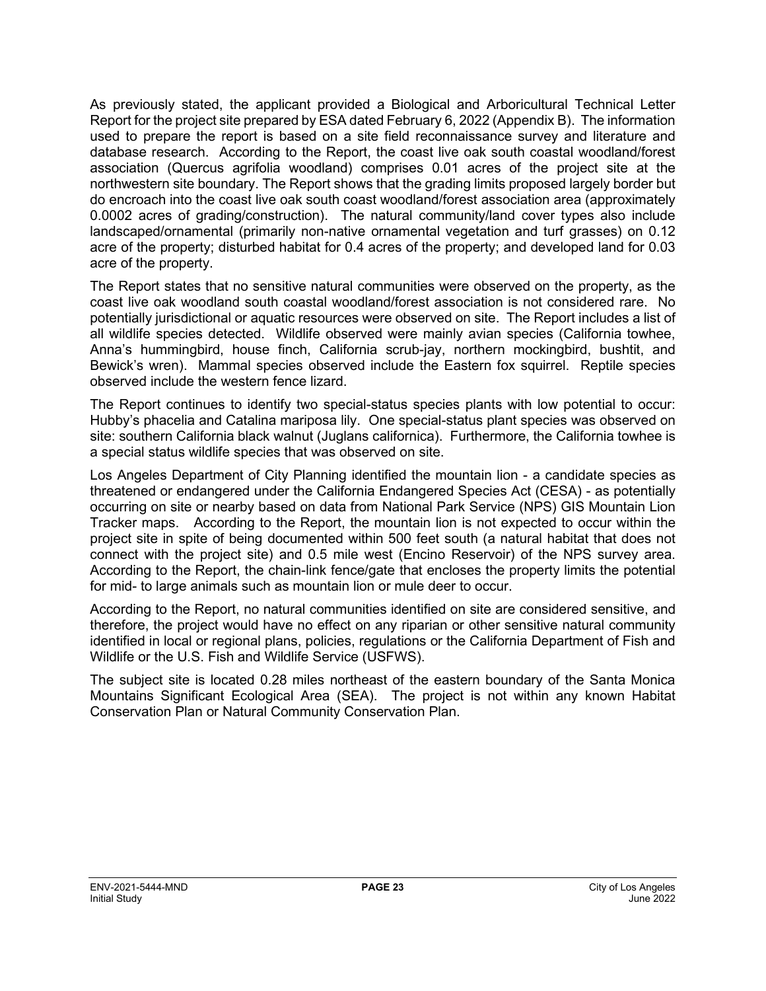As previously stated, the applicant provided a Biological and Arboricultural Technical Letter Report for the project site prepared by ESA dated February 6, 2022 (Appendix B). The information used to prepare the report is based on a site field reconnaissance survey and literature and database research. According to the Report, the coast live oak south coastal woodland/forest association (Quercus agrifolia woodland) comprises 0.01 acres of the project site at the northwestern site boundary. The Report shows that the grading limits proposed largely border but do encroach into the coast live oak south coast woodland/forest association area (approximately 0.0002 acres of grading/construction). The natural community/land cover types also include landscaped/ornamental (primarily non-native ornamental vegetation and turf grasses) on 0.12 acre of the property; disturbed habitat for 0.4 acres of the property; and developed land for 0.03 acre of the property.

The Report states that no sensitive natural communities were observed on the property, as the coast live oak woodland south coastal woodland/forest association is not considered rare. No potentially jurisdictional or aquatic resources were observed on site. The Report includes a list of all wildlife species detected. Wildlife observed were mainly avian species (California towhee, Anna's hummingbird, house finch, California scrub-jay, northern mockingbird, bushtit, and Bewick's wren). Mammal species observed include the Eastern fox squirrel. Reptile species observed include the western fence lizard.

The Report continues to identify two special-status species plants with low potential to occur: Hubby's phacelia and Catalina mariposa lily. One special-status plant species was observed on site: southern California black walnut (Juglans californica). Furthermore, the California towhee is a special status wildlife species that was observed on site.

Los Angeles Department of City Planning identified the mountain lion - a candidate species as threatened or endangered under the California Endangered Species Act (CESA) - as potentially occurring on site or nearby based on data from National Park Service (NPS) GIS Mountain Lion Tracker maps. According to the Report, the mountain lion is not expected to occur within the project site in spite of being documented within 500 feet south (a natural habitat that does not connect with the project site) and 0.5 mile west (Encino Reservoir) of the NPS survey area. According to the Report, the chain-link fence/gate that encloses the property limits the potential for mid- to large animals such as mountain lion or mule deer to occur.

According to the Report, no natural communities identified on site are considered sensitive, and therefore, the project would have no effect on any riparian or other sensitive natural community identified in local or regional plans, policies, regulations or the California Department of Fish and Wildlife or the U.S. Fish and Wildlife Service (USFWS).

The subject site is located 0.28 miles northeast of the eastern boundary of the Santa Monica Mountains Significant Ecological Area (SEA). The project is not within any known Habitat Conservation Plan or Natural Community Conservation Plan.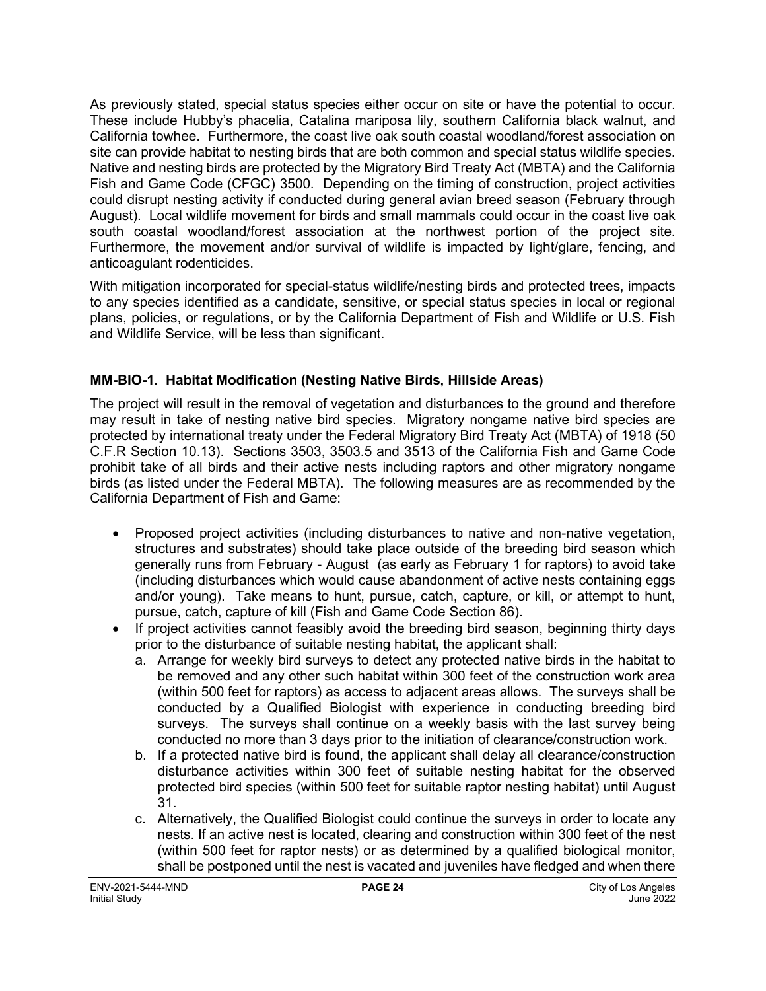As previously stated, special status species either occur on site or have the potential to occur. These include Hubby's phacelia, Catalina mariposa lily, southern California black walnut, and California towhee. Furthermore, the coast live oak south coastal woodland/forest association on site can provide habitat to nesting birds that are both common and special status wildlife species. Native and nesting birds are protected by the Migratory Bird Treaty Act (MBTA) and the California Fish and Game Code (CFGC) 3500. Depending on the timing of construction, project activities could disrupt nesting activity if conducted during general avian breed season (February through August). Local wildlife movement for birds and small mammals could occur in the coast live oak south coastal woodland/forest association at the northwest portion of the project site. Furthermore, the movement and/or survival of wildlife is impacted by light/glare, fencing, and anticoagulant rodenticides.

With mitigation incorporated for special-status wildlife/nesting birds and protected trees, impacts to any species identified as a candidate, sensitive, or special status species in local or regional plans, policies, or regulations, or by the California Department of Fish and Wildlife or U.S. Fish and Wildlife Service, will be less than significant.

#### **MM-BIO-1. Habitat Modification (Nesting Native Birds, Hillside Areas)**

The project will result in the removal of vegetation and disturbances to the ground and therefore may result in take of nesting native bird species. Migratory nongame native bird species are protected by international treaty under the Federal Migratory Bird Treaty Act (MBTA) of 1918 (50 C.F.R Section 10.13). Sections 3503, 3503.5 and 3513 of the California Fish and Game Code prohibit take of all birds and their active nests including raptors and other migratory nongame birds (as listed under the Federal MBTA). The following measures are as recommended by the California Department of Fish and Game:

- Proposed project activities (including disturbances to native and non-native vegetation, structures and substrates) should take place outside of the breeding bird season which generally runs from February - August (as early as February 1 for raptors) to avoid take (including disturbances which would cause abandonment of active nests containing eggs and/or young). Take means to hunt, pursue, catch, capture, or kill, or attempt to hunt, pursue, catch, capture of kill (Fish and Game Code Section 86).
- If project activities cannot feasibly avoid the breeding bird season, beginning thirty days prior to the disturbance of suitable nesting habitat, the applicant shall:
	- a. Arrange for weekly bird surveys to detect any protected native birds in the habitat to be removed and any other such habitat within 300 feet of the construction work area (within 500 feet for raptors) as access to adjacent areas allows. The surveys shall be conducted by a Qualified Biologist with experience in conducting breeding bird surveys. The surveys shall continue on a weekly basis with the last survey being conducted no more than 3 days prior to the initiation of clearance/construction work.
	- b. If a protected native bird is found, the applicant shall delay all clearance/construction disturbance activities within 300 feet of suitable nesting habitat for the observed protected bird species (within 500 feet for suitable raptor nesting habitat) until August 31.
	- c. Alternatively, the Qualified Biologist could continue the surveys in order to locate any nests. If an active nest is located, clearing and construction within 300 feet of the nest (within 500 feet for raptor nests) or as determined by a qualified biological monitor, shall be postponed until the nest is vacated and juveniles have fledged and when there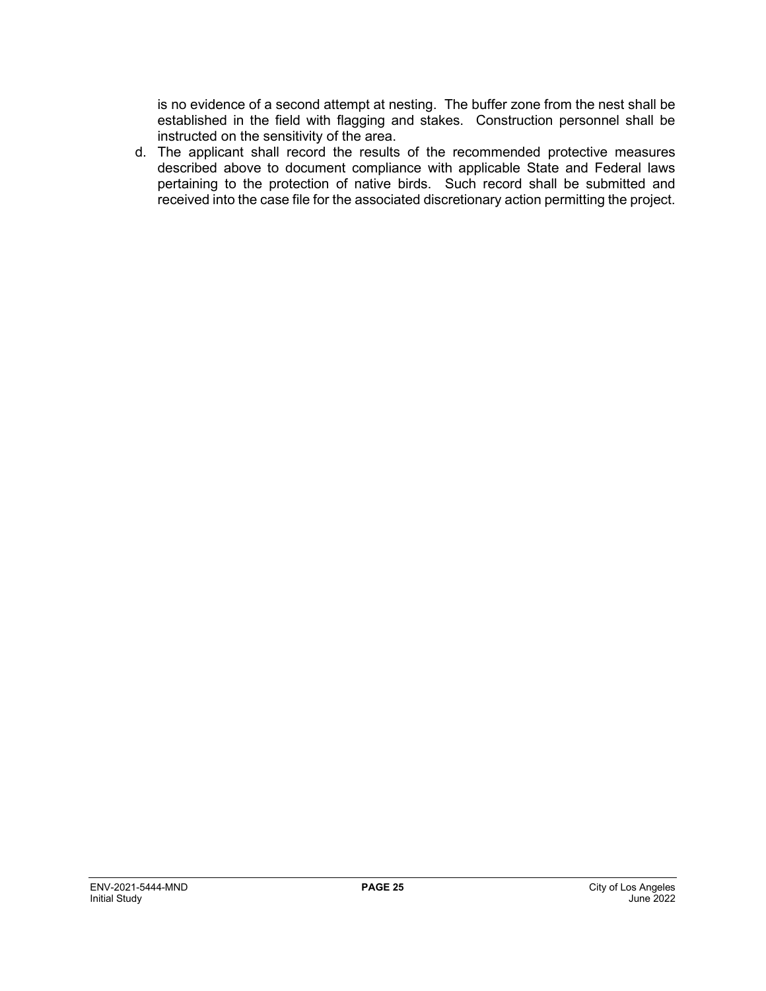is no evidence of a second attempt at nesting. The buffer zone from the nest shall be established in the field with flagging and stakes. Construction personnel shall be instructed on the sensitivity of the area.

d. The applicant shall record the results of the recommended protective measures described above to document compliance with applicable State and Federal laws pertaining to the protection of native birds. Such record shall be submitted and received into the case file for the associated discretionary action permitting the project.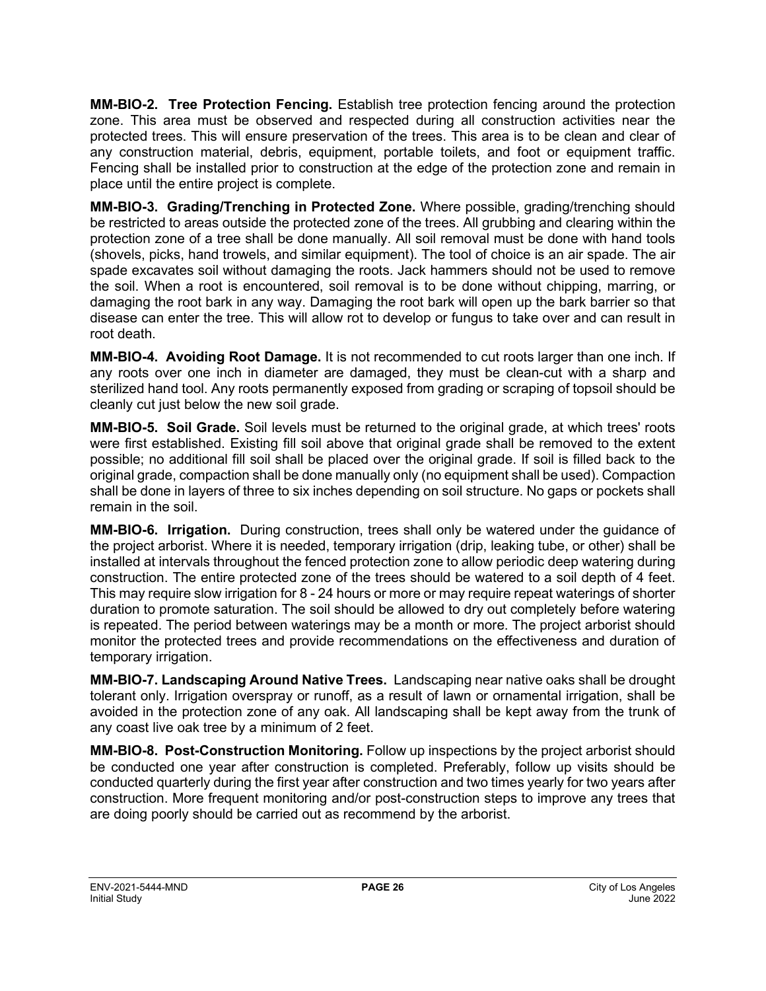**MM-BIO-2. Tree Protection Fencing.** Establish tree protection fencing around the protection zone. This area must be observed and respected during all construction activities near the protected trees. This will ensure preservation of the trees. This area is to be clean and clear of any construction material, debris, equipment, portable toilets, and foot or equipment traffic. Fencing shall be installed prior to construction at the edge of the protection zone and remain in place until the entire project is complete.

**MM-BIO-3. Grading/Trenching in Protected Zone.** Where possible, grading/trenching should be restricted to areas outside the protected zone of the trees. All grubbing and clearing within the protection zone of a tree shall be done manually. All soil removal must be done with hand tools (shovels, picks, hand trowels, and similar equipment). The tool of choice is an air spade. The air spade excavates soil without damaging the roots. Jack hammers should not be used to remove the soil. When a root is encountered, soil removal is to be done without chipping, marring, or damaging the root bark in any way. Damaging the root bark will open up the bark barrier so that disease can enter the tree. This will allow rot to develop or fungus to take over and can result in root death.

**MM-BIO-4. Avoiding Root Damage.** It is not recommended to cut roots larger than one inch. If any roots over one inch in diameter are damaged, they must be clean-cut with a sharp and sterilized hand tool. Any roots permanently exposed from grading or scraping of topsoil should be cleanly cut just below the new soil grade.

**MM-BIO-5. Soil Grade.** Soil levels must be returned to the original grade, at which trees' roots were first established. Existing fill soil above that original grade shall be removed to the extent possible; no additional fill soil shall be placed over the original grade. If soil is filled back to the original grade, compaction shall be done manually only (no equipment shall be used). Compaction shall be done in layers of three to six inches depending on soil structure. No gaps or pockets shall remain in the soil.

**MM-BIO-6. Irrigation.** During construction, trees shall only be watered under the guidance of the project arborist. Where it is needed, temporary irrigation (drip, leaking tube, or other) shall be installed at intervals throughout the fenced protection zone to allow periodic deep watering during construction. The entire protected zone of the trees should be watered to a soil depth of 4 feet. This may require slow irrigation for 8 - 24 hours or more or may require repeat waterings of shorter duration to promote saturation. The soil should be allowed to dry out completely before watering is repeated. The period between waterings may be a month or more. The project arborist should monitor the protected trees and provide recommendations on the effectiveness and duration of temporary irrigation.

**MM-BIO-7. Landscaping Around Native Trees.** Landscaping near native oaks shall be drought tolerant only. Irrigation overspray or runoff, as a result of lawn or ornamental irrigation, shall be avoided in the protection zone of any oak. All landscaping shall be kept away from the trunk of any coast live oak tree by a minimum of 2 feet.

**MM-BIO-8. Post-Construction Monitoring.** Follow up inspections by the project arborist should be conducted one year after construction is completed. Preferably, follow up visits should be conducted quarterly during the first year after construction and two times yearly for two years after construction. More frequent monitoring and/or post-construction steps to improve any trees that are doing poorly should be carried out as recommend by the arborist.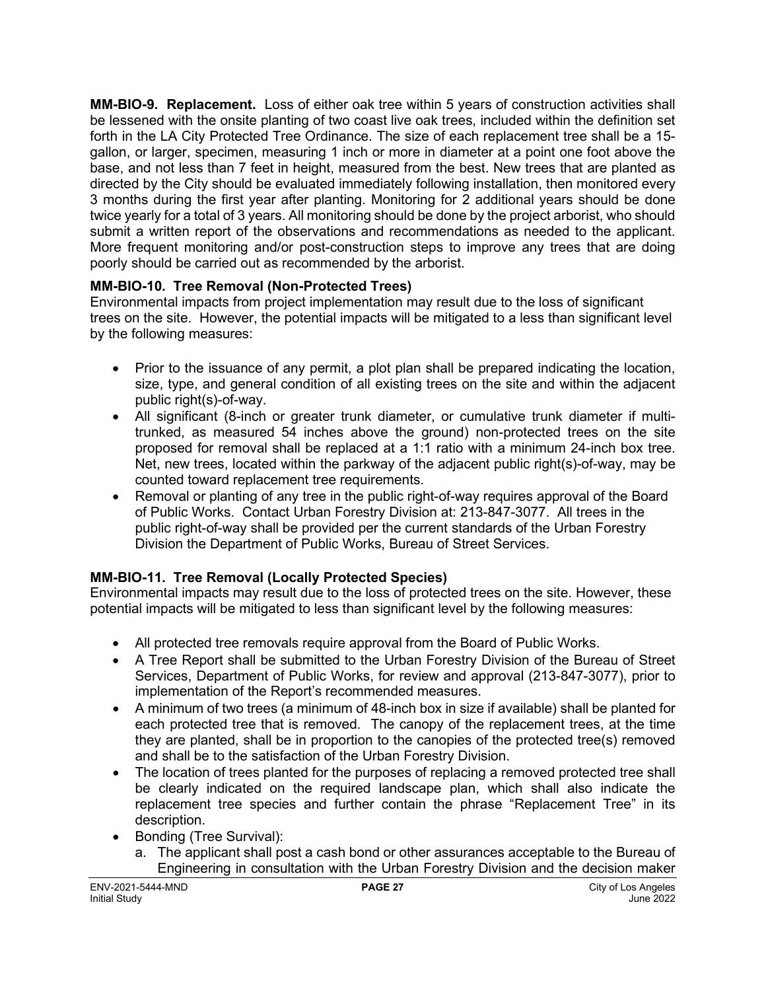**MM-BIO-9. Replacement.** Loss of either oak tree within 5 years of construction activities shall be lessened with the onsite planting of two coast live oak trees, included within the definition set forth in the LA City Protected Tree Ordinance. The size of each replacement tree shall be a 15 gallon, or larger, specimen, measuring 1 inch or more in diameter at a point one foot above the base, and not less than 7 feet in height, measured from the best. New trees that are planted as directed by the City should be evaluated immediately following installation, then monitored every 3 months during the first year after planting. Monitoring for 2 additional years should be done twice yearly for a total of 3 years. All monitoring should be done by the project arborist, who should submit a written report of the observations and recommendations as needed to the applicant. More frequent monitoring and/or post-construction steps to improve any trees that are doing poorly should be carried out as recommended by the arborist.

#### **MM-BIO-10. Tree Removal (Non-Protected Trees)**

Environmental impacts from project implementation may result due to the loss of significant trees on the site. However, the potential impacts will be mitigated to a less than significant level by the following measures:

- Prior to the issuance of any permit, a plot plan shall be prepared indicating the location, size, type, and general condition of all existing trees on the site and within the adjacent public right(s)-of-way.
- All significant (8-inch or greater trunk diameter, or cumulative trunk diameter if multitrunked, as measured 54 inches above the ground) non-protected trees on the site proposed for removal shall be replaced at a 1:1 ratio with a minimum 24-inch box tree. Net, new trees, located within the parkway of the adjacent public right(s)-of-way, may be counted toward replacement tree requirements.
- Removal or planting of any tree in the public right-of-way requires approval of the Board of Public Works. Contact Urban Forestry Division at: 213-847-3077. All trees in the public right-of-way shall be provided per the current standards of the Urban Forestry Division the Department of Public Works, Bureau of Street Services.

#### **MM-BIO-11. Tree Removal (Locally Protected Species)**

Environmental impacts may result due to the loss of protected trees on the site. However, these potential impacts will be mitigated to less than significant level by the following measures:

- All protected tree removals require approval from the Board of Public Works.
- A Tree Report shall be submitted to the Urban Forestry Division of the Bureau of Street Services, Department of Public Works, for review and approval (213-847-3077), prior to implementation of the Report's recommended measures.
- A minimum of two trees (a minimum of 48-inch box in size if available) shall be planted for each protected tree that is removed. The canopy of the replacement trees, at the time they are planted, shall be in proportion to the canopies of the protected tree(s) removed and shall be to the satisfaction of the Urban Forestry Division.
- The location of trees planted for the purposes of replacing a removed protected tree shall be clearly indicated on the required landscape plan, which shall also indicate the replacement tree species and further contain the phrase "Replacement Tree" in its description.
- Bonding (Tree Survival):
	- a. The applicant shall post a cash bond or other assurances acceptable to the Bureau of Engineering in consultation with the Urban Forestry Division and the decision maker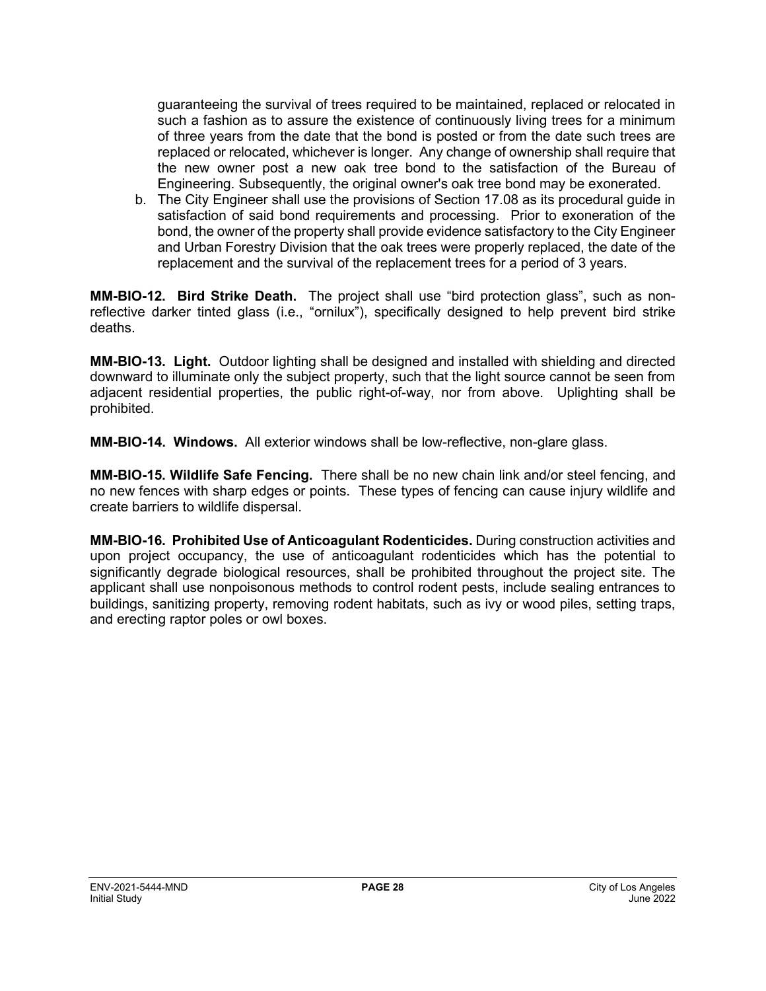guaranteeing the survival of trees required to be maintained, replaced or relocated in such a fashion as to assure the existence of continuously living trees for a minimum of three years from the date that the bond is posted or from the date such trees are replaced or relocated, whichever is longer. Any change of ownership shall require that the new owner post a new oak tree bond to the satisfaction of the Bureau of Engineering. Subsequently, the original owner's oak tree bond may be exonerated.

b. The City Engineer shall use the provisions of Section 17.08 as its procedural guide in satisfaction of said bond requirements and processing. Prior to exoneration of the bond, the owner of the property shall provide evidence satisfactory to the City Engineer and Urban Forestry Division that the oak trees were properly replaced, the date of the replacement and the survival of the replacement trees for a period of 3 years.

**MM-BIO-12. Bird Strike Death.** The project shall use "bird protection glass", such as nonreflective darker tinted glass (i.e., "ornilux"), specifically designed to help prevent bird strike deaths.

**MM-BIO-13. Light.** Outdoor lighting shall be designed and installed with shielding and directed downward to illuminate only the subject property, such that the light source cannot be seen from adjacent residential properties, the public right-of-way, nor from above. Uplighting shall be prohibited.

**MM-BIO-14. Windows.** All exterior windows shall be low-reflective, non-glare glass.

**MM-BIO-15. Wildlife Safe Fencing.** There shall be no new chain link and/or steel fencing, and no new fences with sharp edges or points. These types of fencing can cause injury wildlife and create barriers to wildlife dispersal.

**MM-BIO-16. Prohibited Use of Anticoagulant Rodenticides.** During construction activities and upon project occupancy, the use of anticoagulant rodenticides which has the potential to significantly degrade biological resources, shall be prohibited throughout the project site. The applicant shall use nonpoisonous methods to control rodent pests, include sealing entrances to buildings, sanitizing property, removing rodent habitats, such as ivy or wood piles, setting traps, and erecting raptor poles or owl boxes.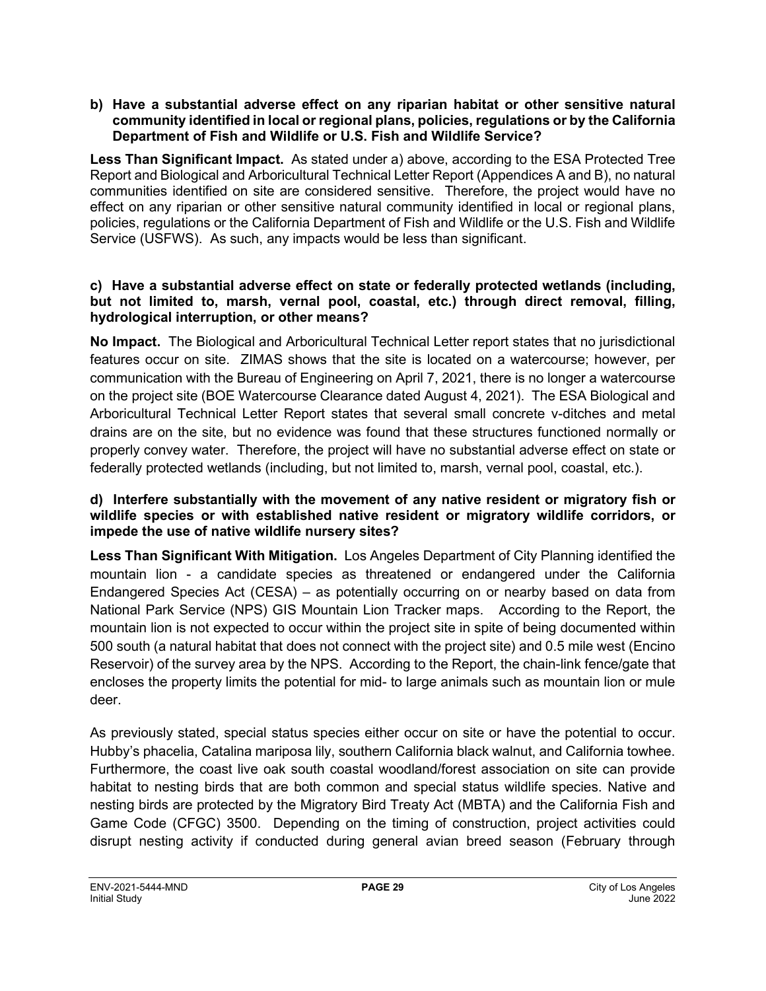#### **b) Have a substantial adverse effect on any riparian habitat or other sensitive natural community identified in local or regional plans, policies, regulations or by the California Department of Fish and Wildlife or U.S. Fish and Wildlife Service?**

**Less Than Significant Impact.** As stated under a) above, according to the ESA Protected Tree Report and Biological and Arboricultural Technical Letter Report (Appendices A and B), no natural communities identified on site are considered sensitive. Therefore, the project would have no effect on any riparian or other sensitive natural community identified in local or regional plans, policies, regulations or the California Department of Fish and Wildlife or the U.S. Fish and Wildlife Service (USFWS). As such, any impacts would be less than significant.

#### **c) Have a substantial adverse effect on state or federally protected wetlands (including, but not limited to, marsh, vernal pool, coastal, etc.) through direct removal, filling, hydrological interruption, or other means?**

**No Impact.** The Biological and Arboricultural Technical Letter report states that no jurisdictional features occur on site. ZIMAS shows that the site is located on a watercourse; however, per communication with the Bureau of Engineering on April 7, 2021, there is no longer a watercourse on the project site (BOE Watercourse Clearance dated August 4, 2021). The ESA Biological and Arboricultural Technical Letter Report states that several small concrete v-ditches and metal drains are on the site, but no evidence was found that these structures functioned normally or properly convey water. Therefore, the project will have no substantial adverse effect on state or federally protected wetlands (including, but not limited to, marsh, vernal pool, coastal, etc.).

#### **d) Interfere substantially with the movement of any native resident or migratory fish or wildlife species or with established native resident or migratory wildlife corridors, or impede the use of native wildlife nursery sites?**

**Less Than Significant With Mitigation.** Los Angeles Department of City Planning identified the mountain lion - a candidate species as threatened or endangered under the California Endangered Species Act (CESA) – as potentially occurring on or nearby based on data from National Park Service (NPS) GIS Mountain Lion Tracker maps. According to the Report, the mountain lion is not expected to occur within the project site in spite of being documented within 500 south (a natural habitat that does not connect with the project site) and 0.5 mile west (Encino Reservoir) of the survey area by the NPS. According to the Report, the chain-link fence/gate that encloses the property limits the potential for mid- to large animals such as mountain lion or mule deer.

As previously stated, special status species either occur on site or have the potential to occur. Hubby's phacelia, Catalina mariposa lily, southern California black walnut, and California towhee. Furthermore, the coast live oak south coastal woodland/forest association on site can provide habitat to nesting birds that are both common and special status wildlife species. Native and nesting birds are protected by the Migratory Bird Treaty Act (MBTA) and the California Fish and Game Code (CFGC) 3500. Depending on the timing of construction, project activities could disrupt nesting activity if conducted during general avian breed season (February through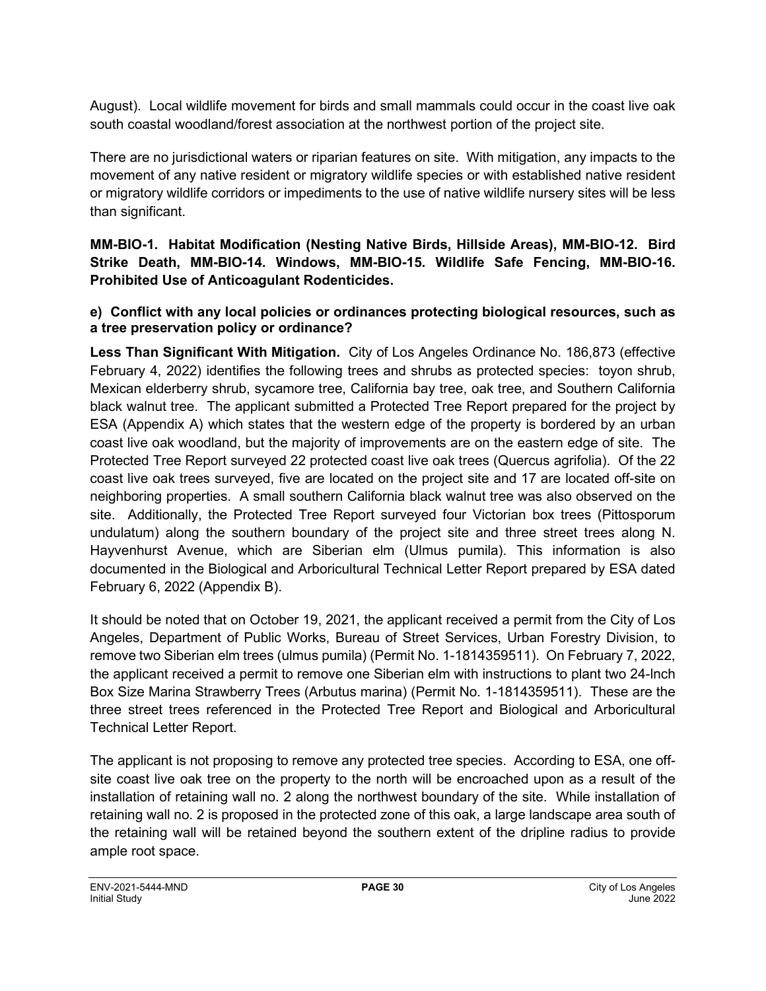August). Local wildlife movement for birds and small mammals could occur in the coast live oak south coastal woodland/forest association at the northwest portion of the project site.

There are no jurisdictional waters or riparian features on site. With mitigation, any impacts to the movement of any native resident or migratory wildlife species or with established native resident or migratory wildlife corridors or impediments to the use of native wildlife nursery sites will be less than significant.

**MM-BIO-1. Habitat Modification (Nesting Native Birds, Hillside Areas), MM-BIO-12. Bird Strike Death, MM-BIO-14. Windows, MM-BIO-15. Wildlife Safe Fencing, MM-BIO-16. Prohibited Use of Anticoagulant Rodenticides.**

**e) Conflict with any local policies or ordinances protecting biological resources, such as a tree preservation policy or ordinance?**

**Less Than Significant With Mitigation.** City of Los Angeles Ordinance No. 186,873 (effective February 4, 2022) identifies the following trees and shrubs as protected species: toyon shrub, Mexican elderberry shrub, sycamore tree, California bay tree, oak tree, and Southern California black walnut tree. The applicant submitted a Protected Tree Report prepared for the project by ESA (Appendix A) which states that the western edge of the property is bordered by an urban coast live oak woodland, but the majority of improvements are on the eastern edge of site. The Protected Tree Report surveyed 22 protected coast live oak trees (Quercus agrifolia). Of the 22 coast live oak trees surveyed, five are located on the project site and 17 are located off-site on neighboring properties. A small southern California black walnut tree was also observed on the site. Additionally, the Protected Tree Report surveyed four Victorian box trees (Pittosporum undulatum) along the southern boundary of the project site and three street trees along N. Hayvenhurst Avenue, which are Siberian elm (Ulmus pumila). This information is also documented in the Biological and Arboricultural Technical Letter Report prepared by ESA dated February 6, 2022 (Appendix B).

It should be noted that on October 19, 2021, the applicant received a permit from the City of Los Angeles, Department of Public Works, Bureau of Street Services, Urban Forestry Division, to remove two Siberian elm trees (ulmus pumila) (Permit No. 1-1814359511). On February 7, 2022, the applicant received a permit to remove one Siberian elm with instructions to plant two 24-lnch Box Size Marina Strawberry Trees (Arbutus marina) (Permit No. 1-1814359511). These are the three street trees referenced in the Protected Tree Report and Biological and Arboricultural Technical Letter Report.

The applicant is not proposing to remove any protected tree species. According to ESA, one offsite coast live oak tree on the property to the north will be encroached upon as a result of the installation of retaining wall no. 2 along the northwest boundary of the site. While installation of retaining wall no. 2 is proposed in the protected zone of this oak, a large landscape area south of the retaining wall will be retained beyond the southern extent of the dripline radius to provide ample root space.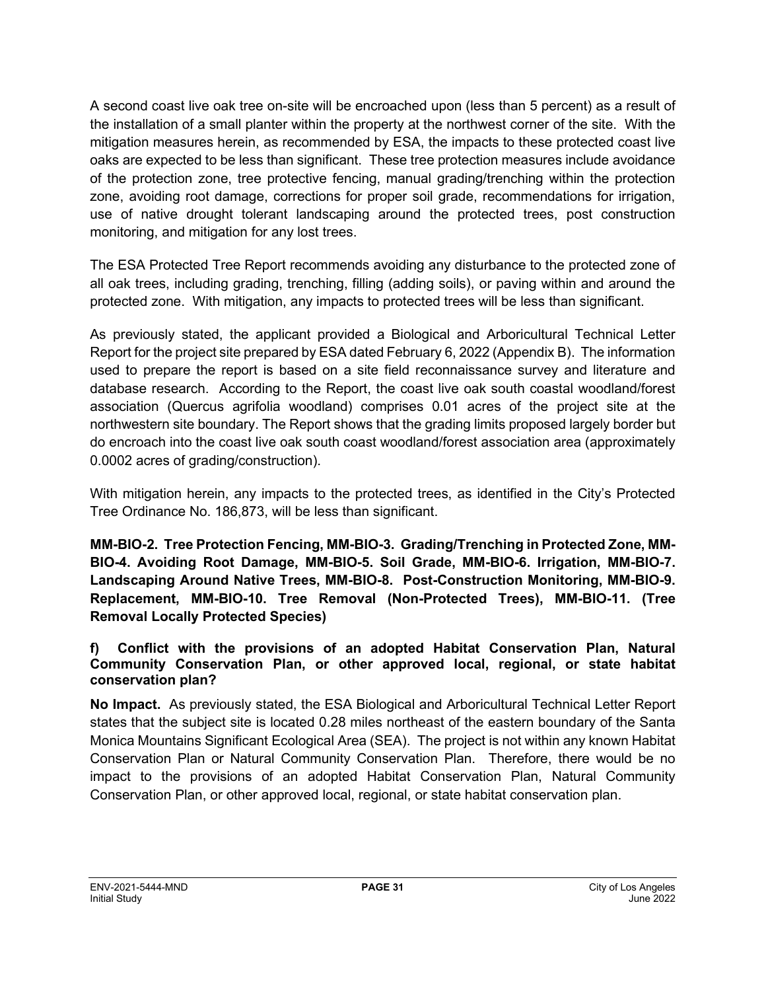A second coast live oak tree on-site will be encroached upon (less than 5 percent) as a result of the installation of a small planter within the property at the northwest corner of the site. With the mitigation measures herein, as recommended by ESA, the impacts to these protected coast live oaks are expected to be less than significant. These tree protection measures include avoidance of the protection zone, tree protective fencing, manual grading/trenching within the protection zone, avoiding root damage, corrections for proper soil grade, recommendations for irrigation, use of native drought tolerant landscaping around the protected trees, post construction monitoring, and mitigation for any lost trees.

The ESA Protected Tree Report recommends avoiding any disturbance to the protected zone of all oak trees, including grading, trenching, filling (adding soils), or paving within and around the protected zone. With mitigation, any impacts to protected trees will be less than significant.

As previously stated, the applicant provided a Biological and Arboricultural Technical Letter Report for the project site prepared by ESA dated February 6, 2022 (Appendix B). The information used to prepare the report is based on a site field reconnaissance survey and literature and database research. According to the Report, the coast live oak south coastal woodland/forest association (Quercus agrifolia woodland) comprises 0.01 acres of the project site at the northwestern site boundary. The Report shows that the grading limits proposed largely border but do encroach into the coast live oak south coast woodland/forest association area (approximately 0.0002 acres of grading/construction).

With mitigation herein, any impacts to the protected trees, as identified in the City's Protected Tree Ordinance No. 186,873, will be less than significant.

**MM-BIO-2. Tree Protection Fencing, MM-BIO-3. Grading/Trenching in Protected Zone, MM-BIO-4. Avoiding Root Damage, MM-BIO-5. Soil Grade, MM-BIO-6. Irrigation, MM-BIO-7. Landscaping Around Native Trees, MM-BIO-8. Post-Construction Monitoring, MM-BIO-9. Replacement, MM-BIO-10. Tree Removal (Non-Protected Trees), MM-BIO-11. (Tree Removal Locally Protected Species)**

**f) Conflict with the provisions of an adopted Habitat Conservation Plan, Natural Community Conservation Plan, or other approved local, regional, or state habitat conservation plan?**

**No Impact.** As previously stated, the ESA Biological and Arboricultural Technical Letter Report states that the subject site is located 0.28 miles northeast of the eastern boundary of the Santa Monica Mountains Significant Ecological Area (SEA). The project is not within any known Habitat Conservation Plan or Natural Community Conservation Plan. Therefore, there would be no impact to the provisions of an adopted Habitat Conservation Plan, Natural Community Conservation Plan, or other approved local, regional, or state habitat conservation plan.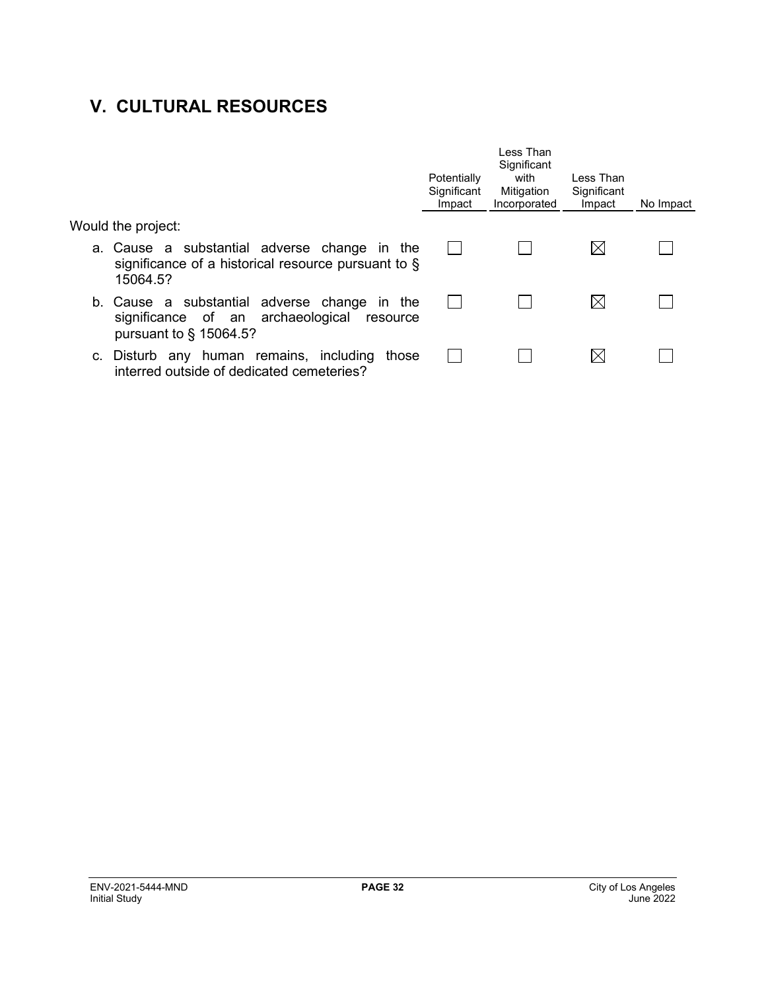# **V. CULTURAL RESOURCES**

|                                                                                                                         | Potentially<br>Significant<br>Impact | I ess Than<br>Significant<br>with<br>Mitigation<br>Incorporated | I ess Than<br>Significant<br>Impact | No Impact |
|-------------------------------------------------------------------------------------------------------------------------|--------------------------------------|-----------------------------------------------------------------|-------------------------------------|-----------|
| Would the project:                                                                                                      |                                      |                                                                 |                                     |           |
| a. Cause a substantial adverse change in the<br>significance of a historical resource pursuant to $\S$<br>15064.5?      |                                      |                                                                 | $\boxtimes$                         |           |
| b. Cause a substantial adverse change in the<br>significance of an archaeological resource<br>pursuant to $\S$ 15064.5? |                                      |                                                                 | $\bowtie$                           |           |
| c. Disturb any human remains, including<br>those<br>interred outside of dedicated cemeteries?                           |                                      |                                                                 | $\boxtimes$                         |           |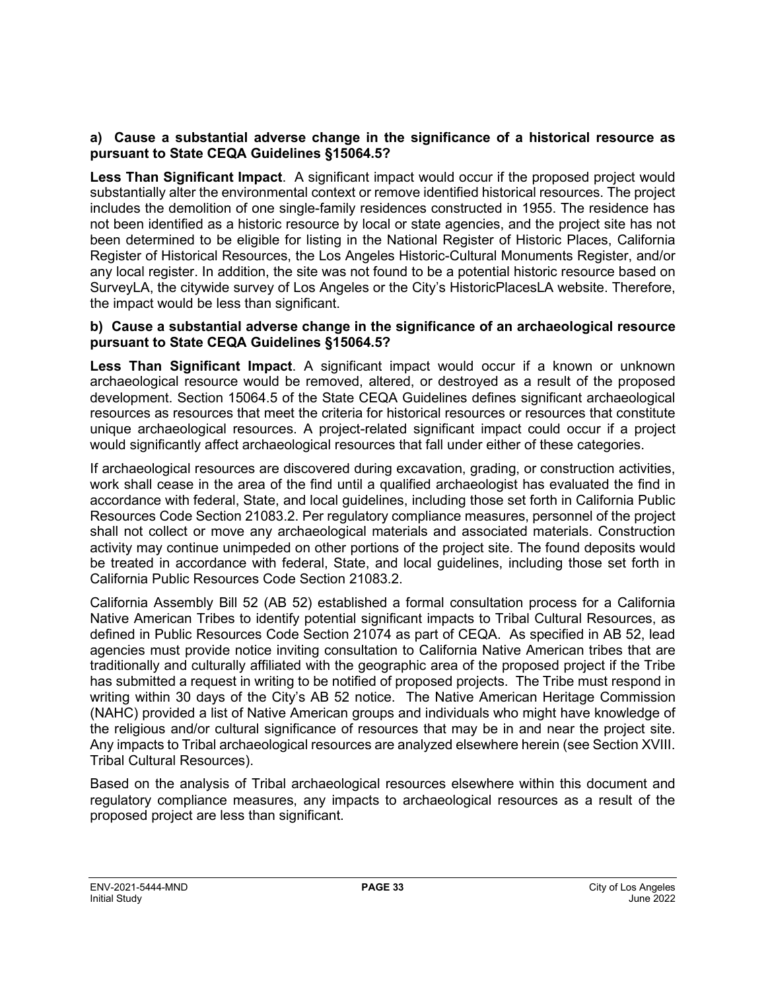#### **a) Cause a substantial adverse change in the significance of a historical resource as pursuant to State CEQA Guidelines §15064.5?**

**Less Than Significant Impact**. A significant impact would occur if the proposed project would substantially alter the environmental context or remove identified historical resources. The project includes the demolition of one single-family residences constructed in 1955. The residence has not been identified as a historic resource by local or state agencies, and the project site has not been determined to be eligible for listing in the National Register of Historic Places, California Register of Historical Resources, the Los Angeles Historic-Cultural Monuments Register, and/or any local register. In addition, the site was not found to be a potential historic resource based on SurveyLA, the citywide survey of Los Angeles or the City's HistoricPlacesLA website. Therefore, the impact would be less than significant.

#### **b) Cause a substantial adverse change in the significance of an archaeological resource pursuant to State CEQA Guidelines §15064.5?**

**Less Than Significant Impact**. A significant impact would occur if a known or unknown archaeological resource would be removed, altered, or destroyed as a result of the proposed development. Section 15064.5 of the State CEQA Guidelines defines significant archaeological resources as resources that meet the criteria for historical resources or resources that constitute unique archaeological resources. A project-related significant impact could occur if a project would significantly affect archaeological resources that fall under either of these categories.

If archaeological resources are discovered during excavation, grading, or construction activities, work shall cease in the area of the find until a qualified archaeologist has evaluated the find in accordance with federal, State, and local guidelines, including those set forth in California Public Resources Code Section 21083.2. Per regulatory compliance measures, personnel of the project shall not collect or move any archaeological materials and associated materials. Construction activity may continue unimpeded on other portions of the project site. The found deposits would be treated in accordance with federal, State, and local guidelines, including those set forth in California Public Resources Code Section 21083.2.

California Assembly Bill 52 (AB 52) established a formal consultation process for a California Native American Tribes to identify potential significant impacts to Tribal Cultural Resources, as defined in Public Resources Code Section 21074 as part of CEQA. As specified in AB 52, lead agencies must provide notice inviting consultation to California Native American tribes that are traditionally and culturally affiliated with the geographic area of the proposed project if the Tribe has submitted a request in writing to be notified of proposed projects. The Tribe must respond in writing within 30 days of the City's AB 52 notice. The Native American Heritage Commission (NAHC) provided a list of Native American groups and individuals who might have knowledge of the religious and/or cultural significance of resources that may be in and near the project site. Any impacts to Tribal archaeological resources are analyzed elsewhere herein (see Section XVIII. Tribal Cultural Resources).

Based on the analysis of Tribal archaeological resources elsewhere within this document and regulatory compliance measures, any impacts to archaeological resources as a result of the proposed project are less than significant.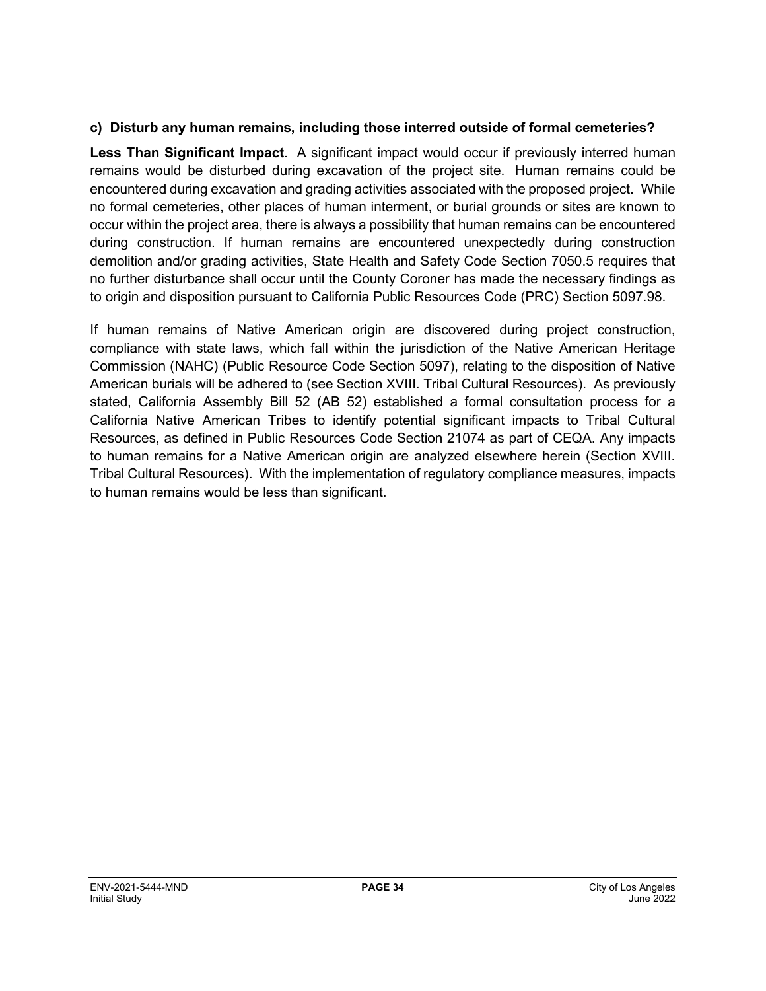#### **c) Disturb any human remains, including those interred outside of formal cemeteries?**

**Less Than Significant Impact**. A significant impact would occur if previously interred human remains would be disturbed during excavation of the project site. Human remains could be encountered during excavation and grading activities associated with the proposed project. While no formal cemeteries, other places of human interment, or burial grounds or sites are known to occur within the project area, there is always a possibility that human remains can be encountered during construction. If human remains are encountered unexpectedly during construction demolition and/or grading activities, State Health and Safety Code Section 7050.5 requires that no further disturbance shall occur until the County Coroner has made the necessary findings as to origin and disposition pursuant to California Public Resources Code (PRC) Section 5097.98.

If human remains of Native American origin are discovered during project construction, compliance with state laws, which fall within the jurisdiction of the Native American Heritage Commission (NAHC) (Public Resource Code Section 5097), relating to the disposition of Native American burials will be adhered to (see Section XVIII. Tribal Cultural Resources). As previously stated, California Assembly Bill 52 (AB 52) established a formal consultation process for a California Native American Tribes to identify potential significant impacts to Tribal Cultural Resources, as defined in Public Resources Code Section 21074 as part of CEQA. Any impacts to human remains for a Native American origin are analyzed elsewhere herein (Section XVIII. Tribal Cultural Resources). With the implementation of regulatory compliance measures, impacts to human remains would be less than significant.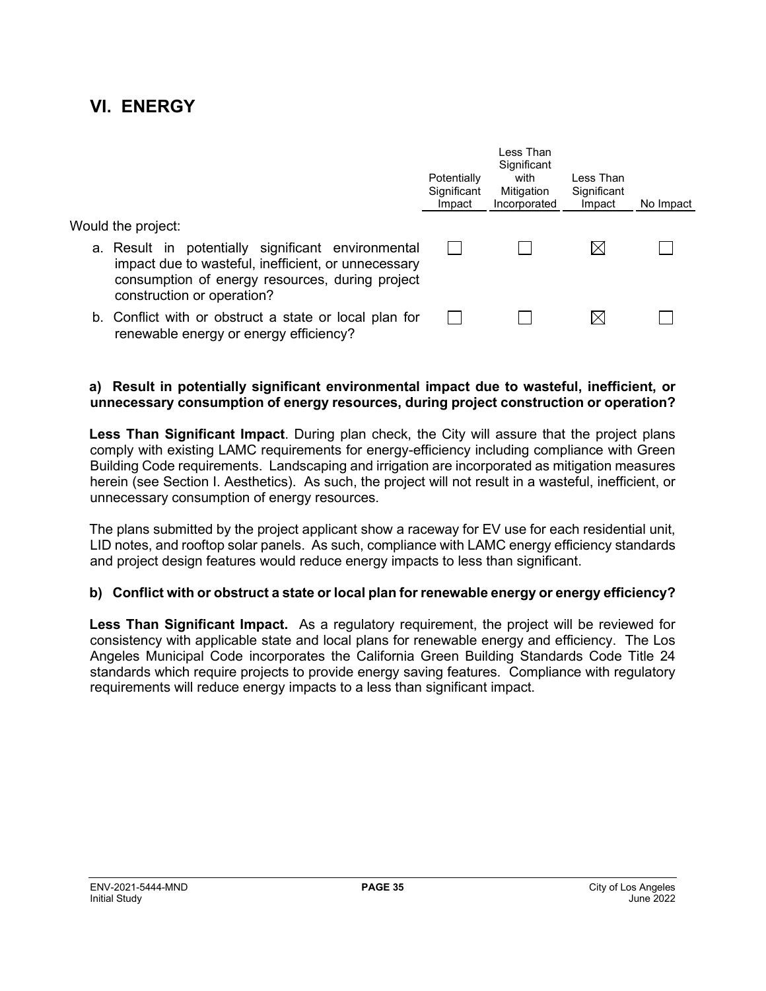### **VI. ENERGY**

|                                                                                                                                                                                            | Potentially<br>Significant<br>Impact | Less Than<br>Significant<br>with<br>Mitigation<br>Incorporated | Less Than<br>Significant<br>Impact | No Impact |
|--------------------------------------------------------------------------------------------------------------------------------------------------------------------------------------------|--------------------------------------|----------------------------------------------------------------|------------------------------------|-----------|
| Would the project:                                                                                                                                                                         |                                      |                                                                |                                    |           |
| a. Result in potentially significant environmental<br>impact due to wasteful, inefficient, or unnecessary<br>consumption of energy resources, during project<br>construction or operation? |                                      |                                                                |                                    |           |
| b. Conflict with or obstruct a state or local plan for<br>renewable energy or energy efficiency?                                                                                           |                                      |                                                                |                                    |           |

#### **a) Result in potentially significant environmental impact due to wasteful, inefficient, or unnecessary consumption of energy resources, during project construction or operation?**

**Less Than Significant Impact**. During plan check, the City will assure that the project plans comply with existing LAMC requirements for energy-efficiency including compliance with Green Building Code requirements. Landscaping and irrigation are incorporated as mitigation measures herein (see Section I. Aesthetics). As such, the project will not result in a wasteful, inefficient, or unnecessary consumption of energy resources.

The plans submitted by the project applicant show a raceway for EV use for each residential unit, LID notes, and rooftop solar panels. As such, compliance with LAMC energy efficiency standards and project design features would reduce energy impacts to less than significant.

#### **b) Conflict with or obstruct a state or local plan for renewable energy or energy efficiency?**

**Less Than Significant Impact.** As a regulatory requirement, the project will be reviewed for consistency with applicable state and local plans for renewable energy and efficiency. The Los Angeles Municipal Code incorporates the California Green Building Standards Code Title 24 standards which require projects to provide energy saving features. Compliance with regulatory requirements will reduce energy impacts to a less than significant impact.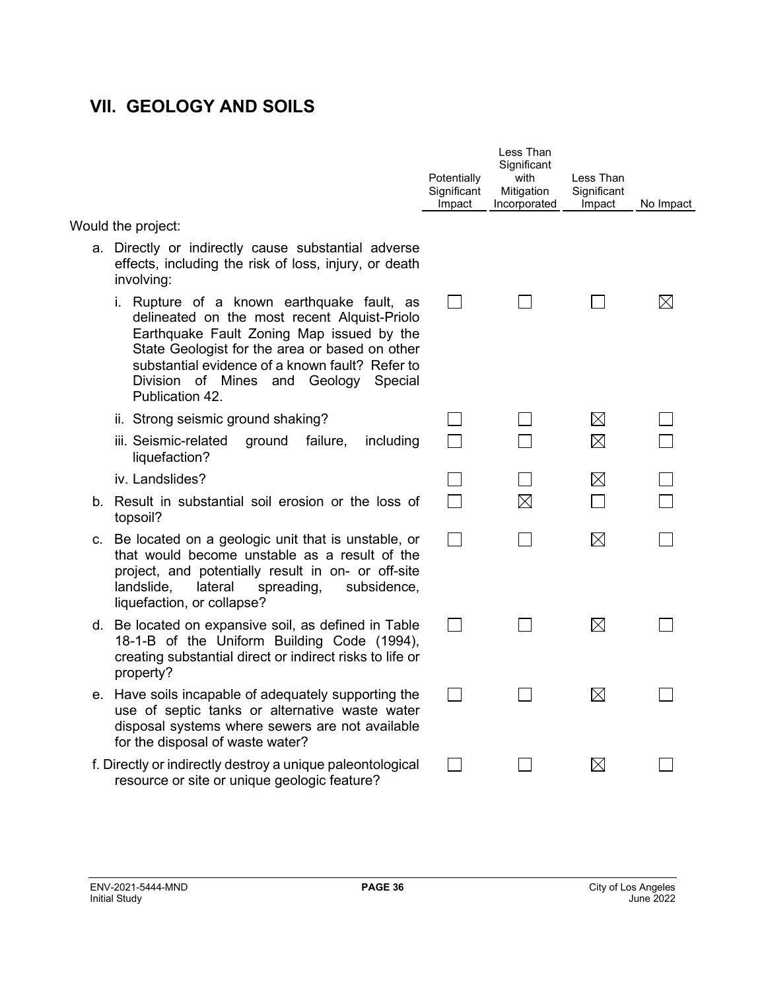## **VII. GEOLOGY AND SOILS**

|                                                                                                                                                                                                                                                                                                             | Potentially<br>Significant<br>Impact | Less Than<br>Significant<br>with<br>Mitigation<br>Incorporated | Less Than<br>Significant<br>Impact | No Impact   |
|-------------------------------------------------------------------------------------------------------------------------------------------------------------------------------------------------------------------------------------------------------------------------------------------------------------|--------------------------------------|----------------------------------------------------------------|------------------------------------|-------------|
| Would the project:                                                                                                                                                                                                                                                                                          |                                      |                                                                |                                    |             |
| a. Directly or indirectly cause substantial adverse<br>effects, including the risk of loss, injury, or death<br>involving:                                                                                                                                                                                  |                                      |                                                                |                                    |             |
| i. Rupture of a known earthquake fault, as<br>delineated on the most recent Alquist-Priolo<br>Earthquake Fault Zoning Map issued by the<br>State Geologist for the area or based on other<br>substantial evidence of a known fault? Refer to<br>Division of Mines and Geology<br>Special<br>Publication 42. | $\mathsf{L}$                         |                                                                |                                    | $\boxtimes$ |
| ii. Strong seismic ground shaking?                                                                                                                                                                                                                                                                          |                                      |                                                                | $\boxtimes$                        |             |
| iii. Seismic-related<br>failure,<br>including<br>ground<br>liquefaction?                                                                                                                                                                                                                                    |                                      |                                                                | $\boxtimes$                        |             |
| iv. Landslides?                                                                                                                                                                                                                                                                                             |                                      |                                                                | $\boxtimes$                        |             |
| b. Result in substantial soil erosion or the loss of<br>topsoil?                                                                                                                                                                                                                                            |                                      | $\boxtimes$                                                    |                                    |             |
| c. Be located on a geologic unit that is unstable, or<br>that would become unstable as a result of the<br>project, and potentially result in on- or off-site<br>lateral<br>landslide,<br>spreading,<br>subsidence,<br>liquefaction, or collapse?                                                            | <b>College</b>                       |                                                                | ⊠                                  |             |
| d. Be located on expansive soil, as defined in Table<br>18-1-B of the Uniform Building Code (1994),<br>creating substantial direct or indirect risks to life or<br>property?                                                                                                                                | $\mathbb{R}^n$                       |                                                                | ⊠                                  |             |
| e. Have soils incapable of adequately supporting the<br>use of septic tanks or alternative waste water<br>disposal systems where sewers are not available<br>for the disposal of waste water?                                                                                                               | $\sim 10$                            |                                                                | $\boxtimes$                        |             |
| f. Directly or indirectly destroy a unique paleontological<br>resource or site or unique geologic feature?                                                                                                                                                                                                  |                                      |                                                                | $\boxtimes$                        |             |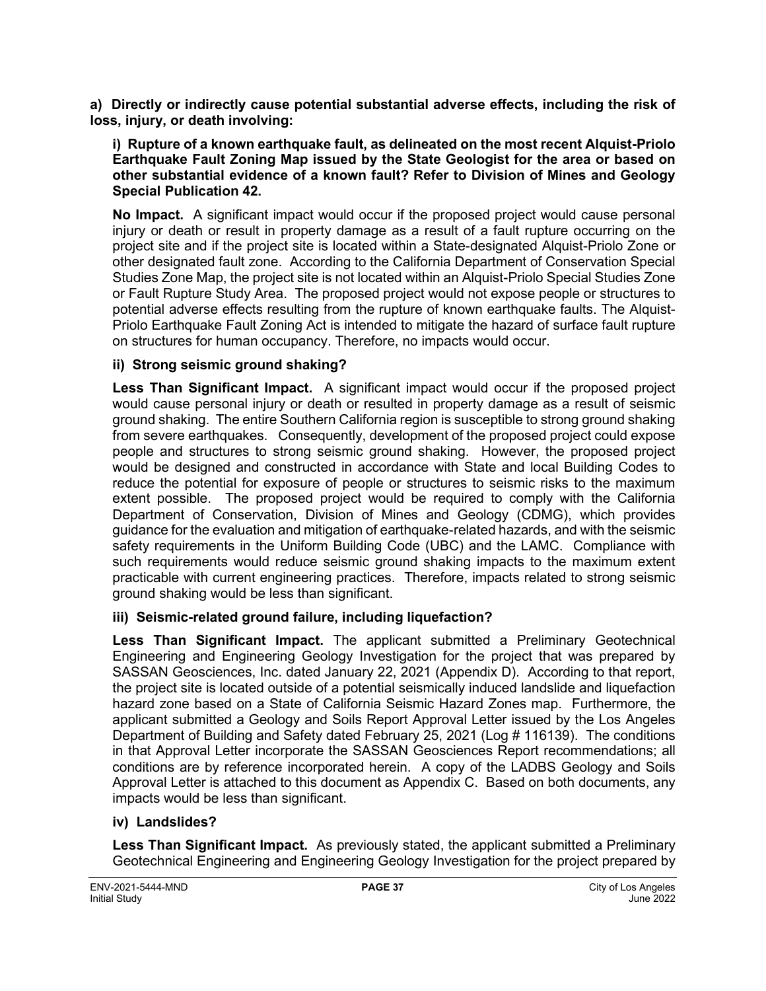**a) Directly or indirectly cause potential substantial adverse effects, including the risk of loss, injury, or death involving:**

**i) Rupture of a known earthquake fault, as delineated on the most recent Alquist-Priolo Earthquake Fault Zoning Map issued by the State Geologist for the area or based on other substantial evidence of a known fault? Refer to Division of Mines and Geology Special Publication 42.**

**No Impact.** A significant impact would occur if the proposed project would cause personal injury or death or result in property damage as a result of a fault rupture occurring on the project site and if the project site is located within a State-designated Alquist-Priolo Zone or other designated fault zone. According to the California Department of Conservation Special Studies Zone Map, the project site is not located within an Alquist-Priolo Special Studies Zone or Fault Rupture Study Area. The proposed project would not expose people or structures to potential adverse effects resulting from the rupture of known earthquake faults. The Alquist-Priolo Earthquake Fault Zoning Act is intended to mitigate the hazard of surface fault rupture on structures for human occupancy. Therefore, no impacts would occur.

#### **ii) Strong seismic ground shaking?**

**Less Than Significant Impact.** A significant impact would occur if the proposed project would cause personal injury or death or resulted in property damage as a result of seismic ground shaking. The entire Southern California region is susceptible to strong ground shaking from severe earthquakes. Consequently, development of the proposed project could expose people and structures to strong seismic ground shaking. However, the proposed project would be designed and constructed in accordance with State and local Building Codes to reduce the potential for exposure of people or structures to seismic risks to the maximum extent possible. The proposed project would be required to comply with the California Department of Conservation, Division of Mines and Geology (CDMG), which provides guidance for the evaluation and mitigation of earthquake-related hazards, and with the seismic safety requirements in the Uniform Building Code (UBC) and the LAMC. Compliance with such requirements would reduce seismic ground shaking impacts to the maximum extent practicable with current engineering practices. Therefore, impacts related to strong seismic ground shaking would be less than significant.

#### **iii) Seismic-related ground failure, including liquefaction?**

**Less Than Significant Impact.** The applicant submitted a Preliminary Geotechnical Engineering and Engineering Geology Investigation for the project that was prepared by SASSAN Geosciences, Inc. dated January 22, 2021 (Appendix D). According to that report, the project site is located outside of a potential seismically induced landslide and liquefaction hazard zone based on a State of California Seismic Hazard Zones map. Furthermore, the applicant submitted a Geology and Soils Report Approval Letter issued by the Los Angeles Department of Building and Safety dated February 25, 2021 (Log # 116139). The conditions in that Approval Letter incorporate the SASSAN Geosciences Report recommendations; all conditions are by reference incorporated herein. A copy of the LADBS Geology and Soils Approval Letter is attached to this document as Appendix C. Based on both documents, any impacts would be less than significant.

#### **iv) Landslides?**

**Less Than Significant Impact.** As previously stated, the applicant submitted a Preliminary Geotechnical Engineering and Engineering Geology Investigation for the project prepared by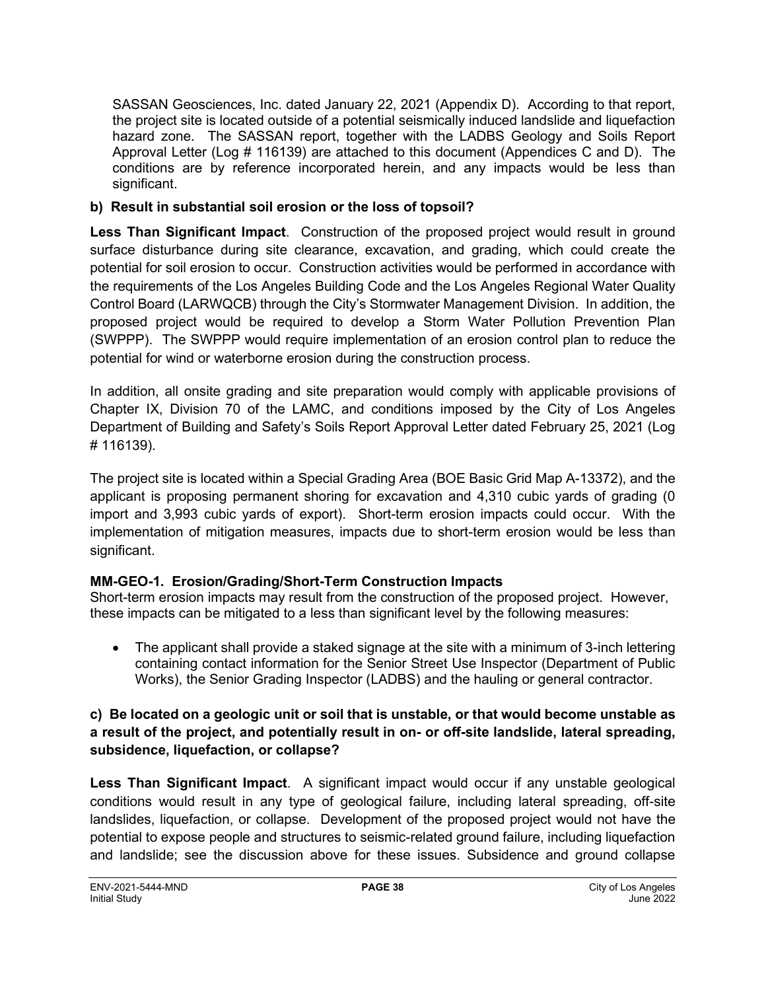SASSAN Geosciences, Inc. dated January 22, 2021 (Appendix D). According to that report, the project site is located outside of a potential seismically induced landslide and liquefaction hazard zone. The SASSAN report, together with the LADBS Geology and Soils Report Approval Letter (Log # 116139) are attached to this document (Appendices C and D). The conditions are by reference incorporated herein, and any impacts would be less than significant.

### **b) Result in substantial soil erosion or the loss of topsoil?**

**Less Than Significant Impact**. Construction of the proposed project would result in ground surface disturbance during site clearance, excavation, and grading, which could create the potential for soil erosion to occur. Construction activities would be performed in accordance with the requirements of the Los Angeles Building Code and the Los Angeles Regional Water Quality Control Board (LARWQCB) through the City's Stormwater Management Division. In addition, the proposed project would be required to develop a Storm Water Pollution Prevention Plan (SWPPP). The SWPPP would require implementation of an erosion control plan to reduce the potential for wind or waterborne erosion during the construction process.

In addition, all onsite grading and site preparation would comply with applicable provisions of Chapter IX, Division 70 of the LAMC, and conditions imposed by the City of Los Angeles Department of Building and Safety's Soils Report Approval Letter dated February 25, 2021 (Log # 116139).

The project site is located within a Special Grading Area (BOE Basic Grid Map A-13372), and the applicant is proposing permanent shoring for excavation and 4,310 cubic yards of grading (0 import and 3,993 cubic yards of export). Short-term erosion impacts could occur. With the implementation of mitigation measures, impacts due to short-term erosion would be less than significant.

## **MM-GEO-1. Erosion/Grading/Short-Term Construction Impacts**

Short-term erosion impacts may result from the construction of the proposed project. However, these impacts can be mitigated to a less than significant level by the following measures:

• The applicant shall provide a staked signage at the site with a minimum of 3-inch lettering containing contact information for the Senior Street Use Inspector (Department of Public Works), the Senior Grading Inspector (LADBS) and the hauling or general contractor.

### **c) Be located on a geologic unit or soil that is unstable, or that would become unstable as a result of the project, and potentially result in on- or off-site landslide, lateral spreading, subsidence, liquefaction, or collapse?**

**Less Than Significant Impact**. A significant impact would occur if any unstable geological conditions would result in any type of geological failure, including lateral spreading, off-site landslides, liquefaction, or collapse. Development of the proposed project would not have the potential to expose people and structures to seismic-related ground failure, including liquefaction and landslide; see the discussion above for these issues. Subsidence and ground collapse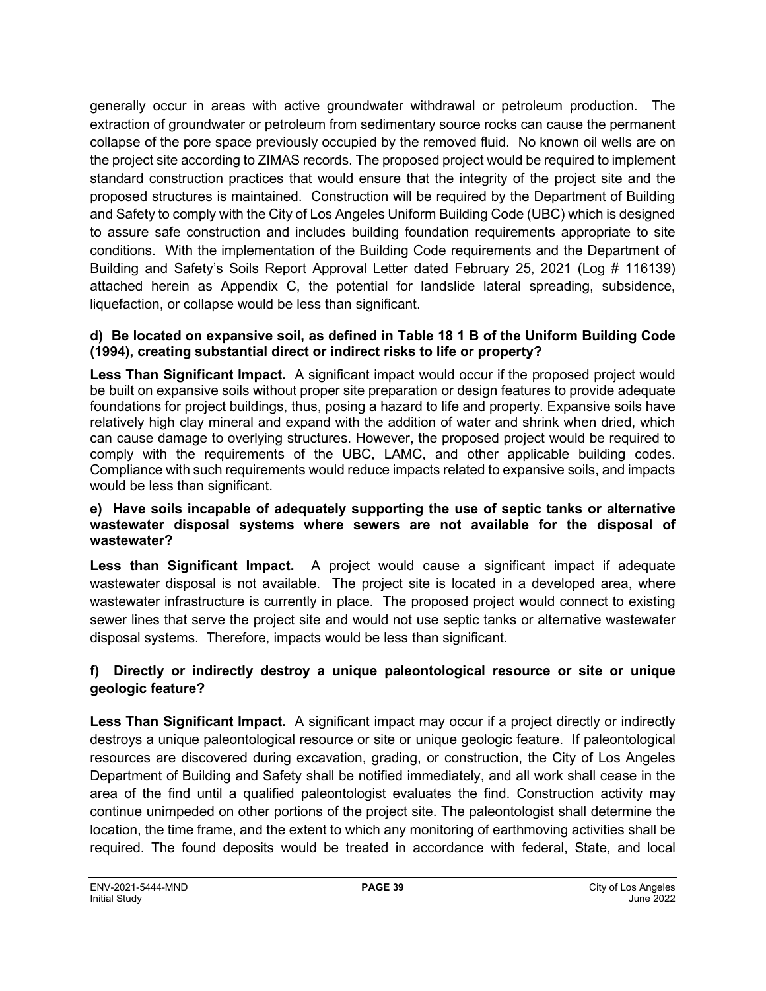generally occur in areas with active groundwater withdrawal or petroleum production. The extraction of groundwater or petroleum from sedimentary source rocks can cause the permanent collapse of the pore space previously occupied by the removed fluid. No known oil wells are on the project site according to ZIMAS records. The proposed project would be required to implement standard construction practices that would ensure that the integrity of the project site and the proposed structures is maintained. Construction will be required by the Department of Building and Safety to comply with the City of Los Angeles Uniform Building Code (UBC) which is designed to assure safe construction and includes building foundation requirements appropriate to site conditions. With the implementation of the Building Code requirements and the Department of Building and Safety's Soils Report Approval Letter dated February 25, 2021 (Log # 116139) attached herein as Appendix C, the potential for landslide lateral spreading, subsidence, liquefaction, or collapse would be less than significant.

#### **d) Be located on expansive soil, as defined in Table 18 1 B of the Uniform Building Code (1994), creating substantial direct or indirect risks to life or property?**

**Less Than Significant Impact.** A significant impact would occur if the proposed project would be built on expansive soils without proper site preparation or design features to provide adequate foundations for project buildings, thus, posing a hazard to life and property. Expansive soils have relatively high clay mineral and expand with the addition of water and shrink when dried, which can cause damage to overlying structures. However, the proposed project would be required to comply with the requirements of the UBC, LAMC, and other applicable building codes. Compliance with such requirements would reduce impacts related to expansive soils, and impacts would be less than significant.

#### **e) Have soils incapable of adequately supporting the use of septic tanks or alternative wastewater disposal systems where sewers are not available for the disposal of wastewater?**

**Less than Significant Impact.** A project would cause a significant impact if adequate wastewater disposal is not available. The project site is located in a developed area, where wastewater infrastructure is currently in place. The proposed project would connect to existing sewer lines that serve the project site and would not use septic tanks or alternative wastewater disposal systems. Therefore, impacts would be less than significant.

## **f) Directly or indirectly destroy a unique paleontological resource or site or unique geologic feature?**

**Less Than Significant Impact.** A significant impact may occur if a project directly or indirectly destroys a unique paleontological resource or site or unique geologic feature. If paleontological resources are discovered during excavation, grading, or construction, the City of Los Angeles Department of Building and Safety shall be notified immediately, and all work shall cease in the area of the find until a qualified paleontologist evaluates the find. Construction activity may continue unimpeded on other portions of the project site. The paleontologist shall determine the location, the time frame, and the extent to which any monitoring of earthmoving activities shall be required. The found deposits would be treated in accordance with federal, State, and local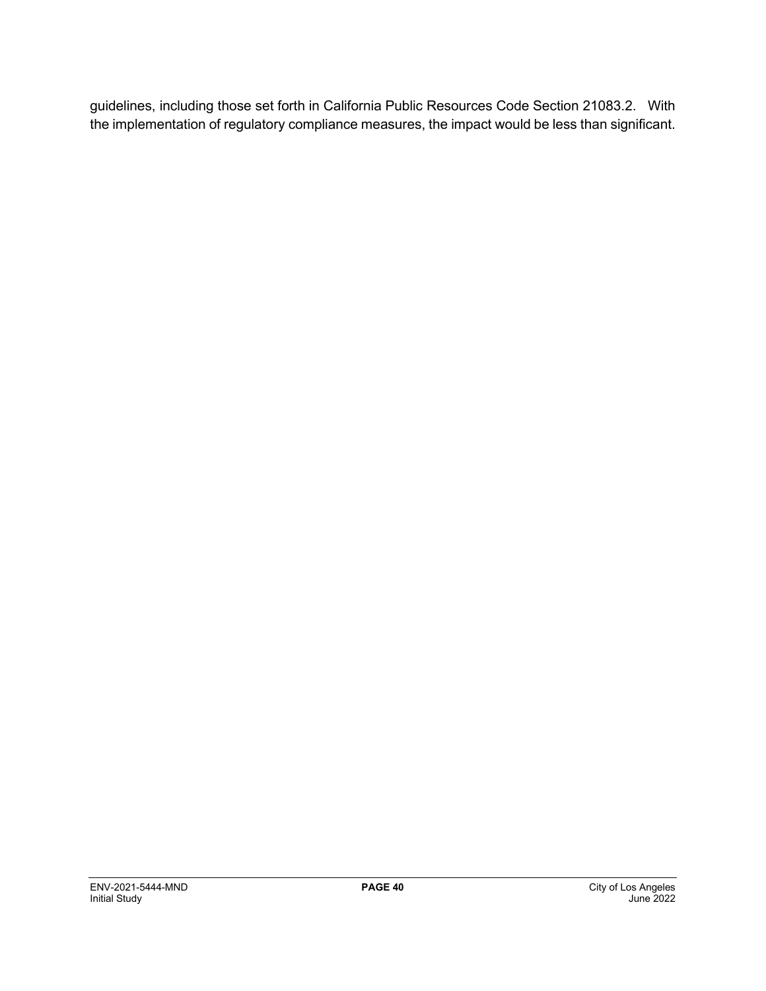guidelines, including those set forth in California Public Resources Code Section 21083.2. With the implementation of regulatory compliance measures, the impact would be less than significant.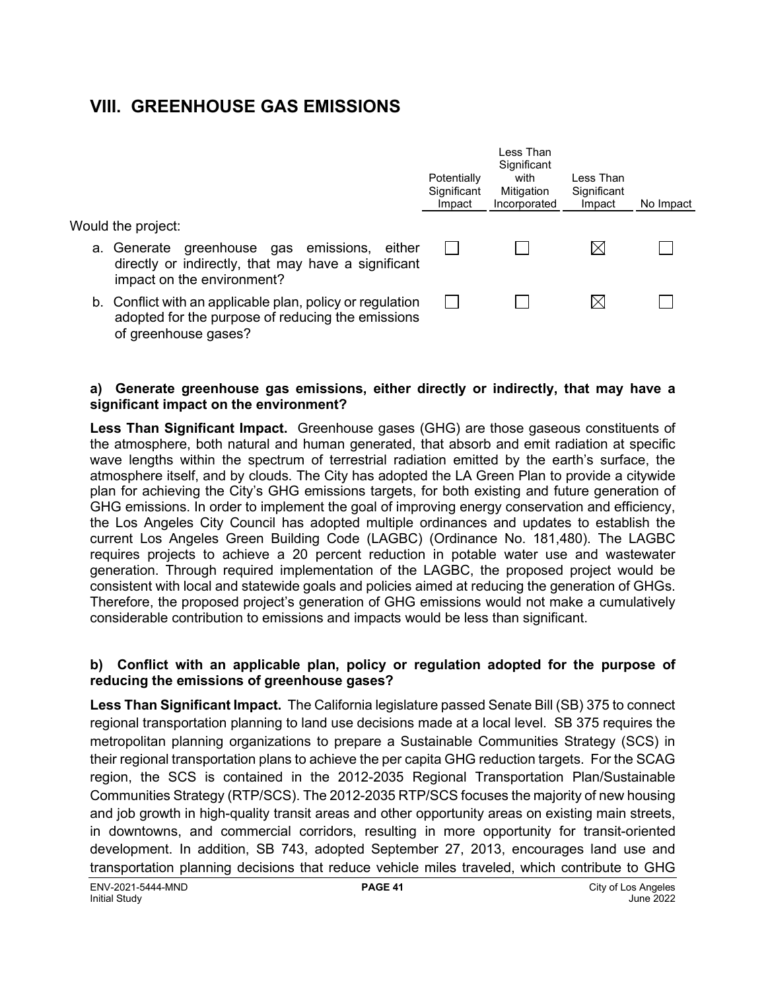## **VIII. GREENHOUSE GAS EMISSIONS**

|                                                                                                                                        | Potentially<br>Significant<br>Impact | Less Than<br>Significant<br>with<br>Mitigation<br>Incorporated | Less Than<br>Significant<br>Impact | No Impact |
|----------------------------------------------------------------------------------------------------------------------------------------|--------------------------------------|----------------------------------------------------------------|------------------------------------|-----------|
| Would the project:                                                                                                                     |                                      |                                                                |                                    |           |
| a. Generate greenhouse gas emissions, either<br>directly or indirectly, that may have a significant<br>impact on the environment?      |                                      |                                                                | IХI                                |           |
| b. Conflict with an applicable plan, policy or regulation<br>adopted for the purpose of reducing the emissions<br>of greenhouse gases? |                                      |                                                                |                                    |           |

#### **a) Generate greenhouse gas emissions, either directly or indirectly, that may have a significant impact on the environment?**

**Less Than Significant Impact.** Greenhouse gases (GHG) are those gaseous constituents of the atmosphere, both natural and human generated, that absorb and emit radiation at specific wave lengths within the spectrum of terrestrial radiation emitted by the earth's surface, the atmosphere itself, and by clouds. The City has adopted the LA Green Plan to provide a citywide plan for achieving the City's GHG emissions targets, for both existing and future generation of GHG emissions. In order to implement the goal of improving energy conservation and efficiency, the Los Angeles City Council has adopted multiple ordinances and updates to establish the current Los Angeles Green Building Code (LAGBC) (Ordinance No. 181,480). The LAGBC requires projects to achieve a 20 percent reduction in potable water use and wastewater generation. Through required implementation of the LAGBC, the proposed project would be consistent with local and statewide goals and policies aimed at reducing the generation of GHGs. Therefore, the proposed project's generation of GHG emissions would not make a cumulatively considerable contribution to emissions and impacts would be less than significant.

#### **b) Conflict with an applicable plan, policy or regulation adopted for the purpose of reducing the emissions of greenhouse gases?**

**Less Than Significant Impact.** The California legislature passed Senate Bill (SB) 375 to connect regional transportation planning to land use decisions made at a local level. SB 375 requires the metropolitan planning organizations to prepare a Sustainable Communities Strategy (SCS) in their regional transportation plans to achieve the per capita GHG reduction targets. For the SCAG region, the SCS is contained in the 2012-2035 Regional Transportation Plan/Sustainable Communities Strategy (RTP/SCS). The 2012-2035 RTP/SCS focuses the majority of new housing and job growth in high-quality transit areas and other opportunity areas on existing main streets, in downtowns, and commercial corridors, resulting in more opportunity for transit-oriented development. In addition, SB 743, adopted September 27, 2013, encourages land use and transportation planning decisions that reduce vehicle miles traveled, which contribute to GHG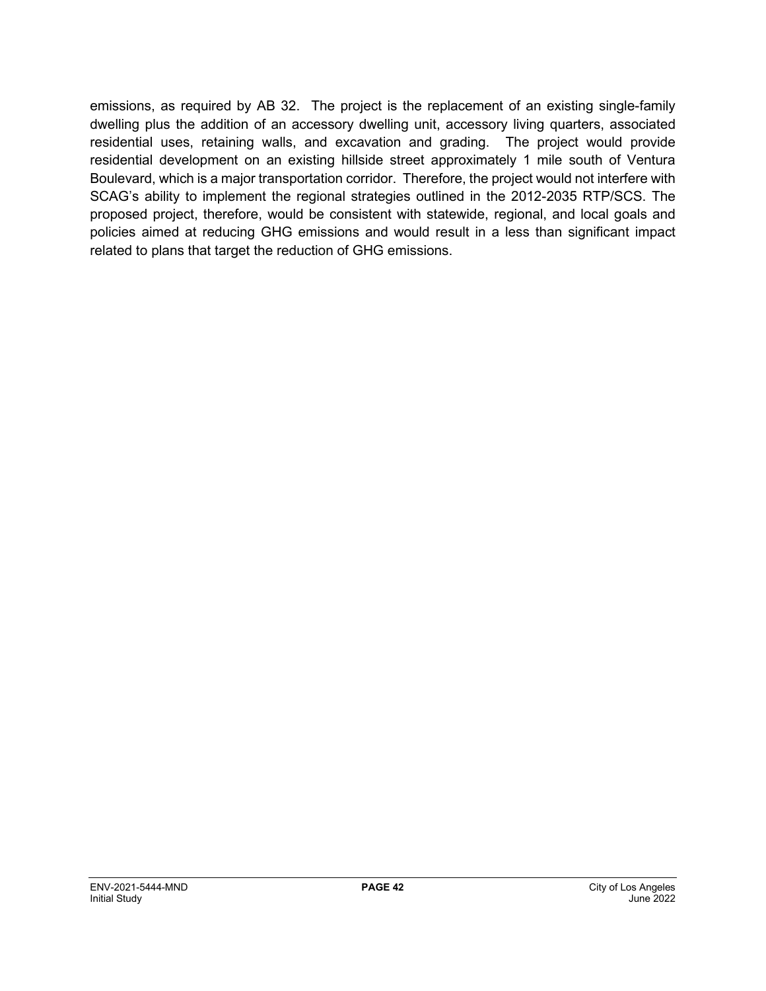emissions, as required by AB 32. The project is the replacement of an existing single-family dwelling plus the addition of an accessory dwelling unit, accessory living quarters, associated residential uses, retaining walls, and excavation and grading. The project would provide residential development on an existing hillside street approximately 1 mile south of Ventura Boulevard, which is a major transportation corridor. Therefore, the project would not interfere with SCAG's ability to implement the regional strategies outlined in the 2012-2035 RTP/SCS. The proposed project, therefore, would be consistent with statewide, regional, and local goals and policies aimed at reducing GHG emissions and would result in a less than significant impact related to plans that target the reduction of GHG emissions.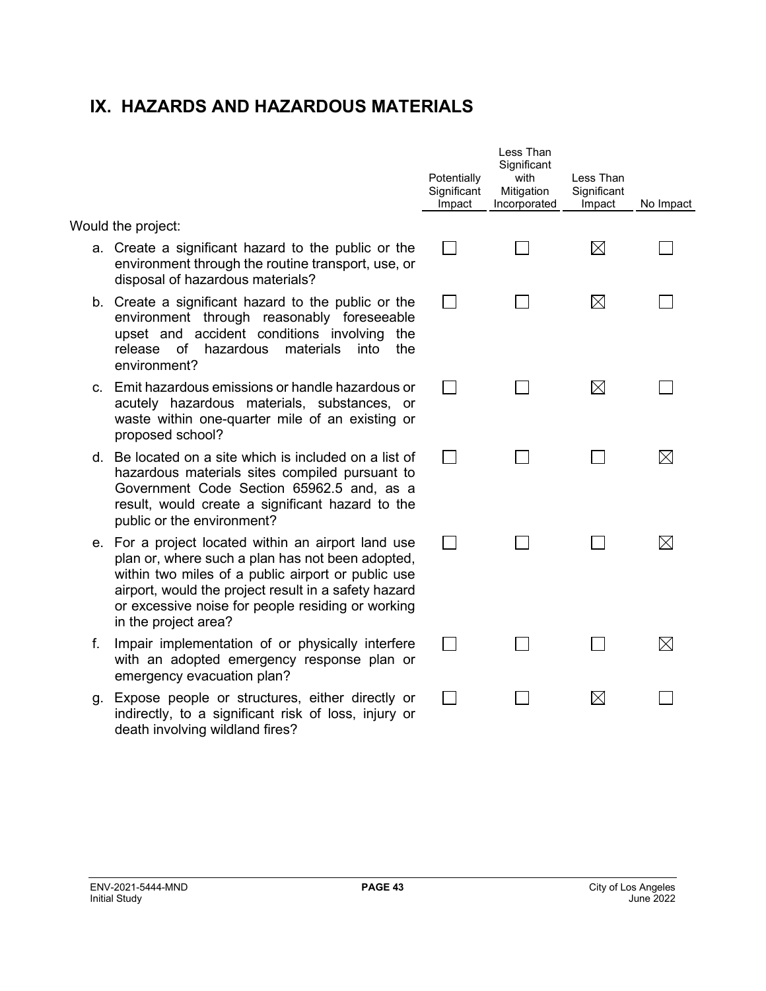## **IX. HAZARDS AND HAZARDOUS MATERIALS**

Would the project:

- a. Create a significant hazard to the public or the environment through the routine transport, use, or disposal of hazardous materials?
- b. Create a significant hazard to the public or the environment through reasonably foreseeable upset and accident conditions involving the release of hazardous materials into the environment?
- c. Emit hazardous emissions or handle hazardous or acutely hazardous materials, substances, or waste within one-quarter mile of an existing or proposed school?
- d. Be located on a site which is included on a list of hazardous materials sites compiled pursuant to Government Code Section 65962.5 and, as a result, would create a significant hazard to the public or the environment?
- e. For a project located within an airport land use plan or, where such a plan has not been adopted, within two miles of a public airport or public use airport, would the project result in a safety hazard or excessive noise for people residing or working in the project area?
- f. Impair implementation of or physically interfere with an adopted emergency response plan or emergency evacuation plan?
- g. Expose people or structures, either directly or indirectly, to a significant risk of loss, injury or death involving wildland fires?

| Potentially<br>Significant<br>Impact | Less Than<br>Significant<br>with<br>Mitigation<br>Incorporated | Less Than<br>Significant<br>Impact | No Impact   |
|--------------------------------------|----------------------------------------------------------------|------------------------------------|-------------|
|                                      |                                                                | ⊠                                  |             |
|                                      |                                                                | $\boxtimes$                        |             |
|                                      |                                                                | ⊠                                  |             |
|                                      |                                                                |                                    | $\boxtimes$ |
|                                      |                                                                |                                    | $\boxtimes$ |
|                                      |                                                                |                                    | $\boxtimes$ |
|                                      |                                                                | $\boxtimes$                        |             |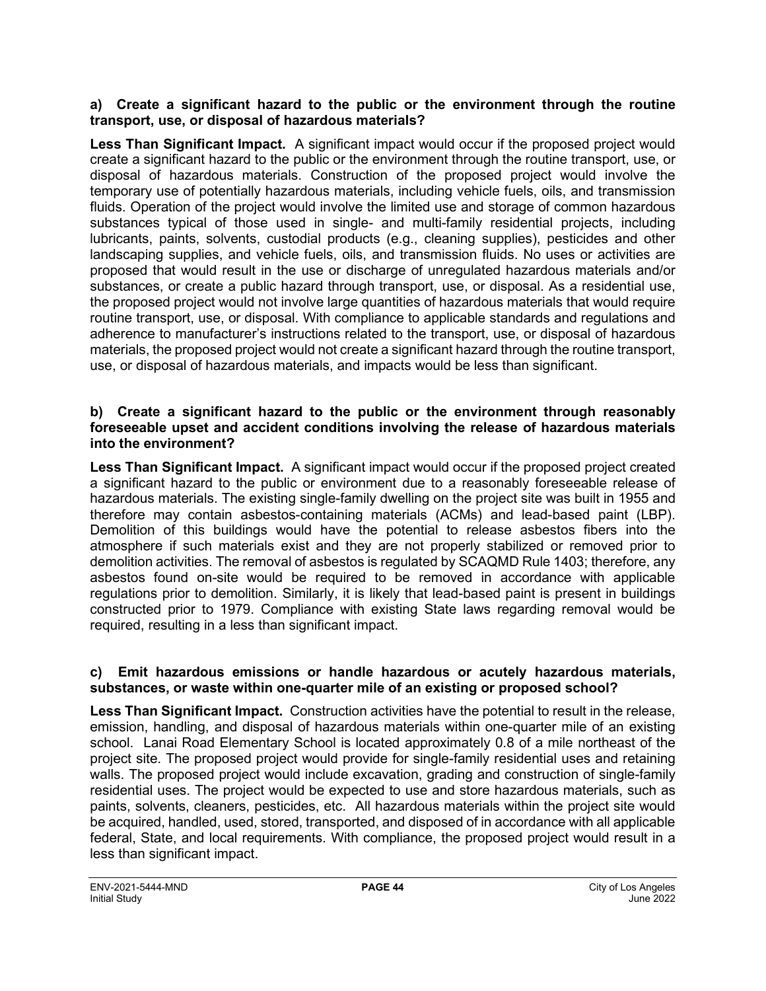#### **a) Create a significant hazard to the public or the environment through the routine transport, use, or disposal of hazardous materials?**

**Less Than Significant Impact.** A significant impact would occur if the proposed project would create a significant hazard to the public or the environment through the routine transport, use, or disposal of hazardous materials. Construction of the proposed project would involve the temporary use of potentially hazardous materials, including vehicle fuels, oils, and transmission fluids. Operation of the project would involve the limited use and storage of common hazardous substances typical of those used in single- and multi-family residential projects, including lubricants, paints, solvents, custodial products (e.g., cleaning supplies), pesticides and other landscaping supplies, and vehicle fuels, oils, and transmission fluids. No uses or activities are proposed that would result in the use or discharge of unregulated hazardous materials and/or substances, or create a public hazard through transport, use, or disposal. As a residential use, the proposed project would not involve large quantities of hazardous materials that would require routine transport, use, or disposal. With compliance to applicable standards and regulations and adherence to manufacturer's instructions related to the transport, use, or disposal of hazardous materials, the proposed project would not create a significant hazard through the routine transport, use, or disposal of hazardous materials, and impacts would be less than significant.

#### **b) Create a significant hazard to the public or the environment through reasonably foreseeable upset and accident conditions involving the release of hazardous materials into the environment?**

**Less Than Significant Impact.** A significant impact would occur if the proposed project created a significant hazard to the public or environment due to a reasonably foreseeable release of hazardous materials. The existing single-family dwelling on the project site was built in 1955 and therefore may contain asbestos-containing materials (ACMs) and lead-based paint (LBP). Demolition of this buildings would have the potential to release asbestos fibers into the atmosphere if such materials exist and they are not properly stabilized or removed prior to demolition activities. The removal of asbestos is regulated by SCAQMD Rule 1403; therefore, any asbestos found on-site would be required to be removed in accordance with applicable regulations prior to demolition. Similarly, it is likely that lead-based paint is present in buildings constructed prior to 1979. Compliance with existing State laws regarding removal would be required, resulting in a less than significant impact.

#### **c) Emit hazardous emissions or handle hazardous or acutely hazardous materials, substances, or waste within one-quarter mile of an existing or proposed school?**

**Less Than Significant Impact.** Construction activities have the potential to result in the release, emission, handling, and disposal of hazardous materials within one-quarter mile of an existing school. Lanai Road Elementary School is located approximately 0.8 of a mile northeast of the project site. The proposed project would provide for single-family residential uses and retaining walls. The proposed project would include excavation, grading and construction of single-family residential uses. The project would be expected to use and store hazardous materials, such as paints, solvents, cleaners, pesticides, etc. All hazardous materials within the project site would be acquired, handled, used, stored, transported, and disposed of in accordance with all applicable federal, State, and local requirements. With compliance, the proposed project would result in a less than significant impact.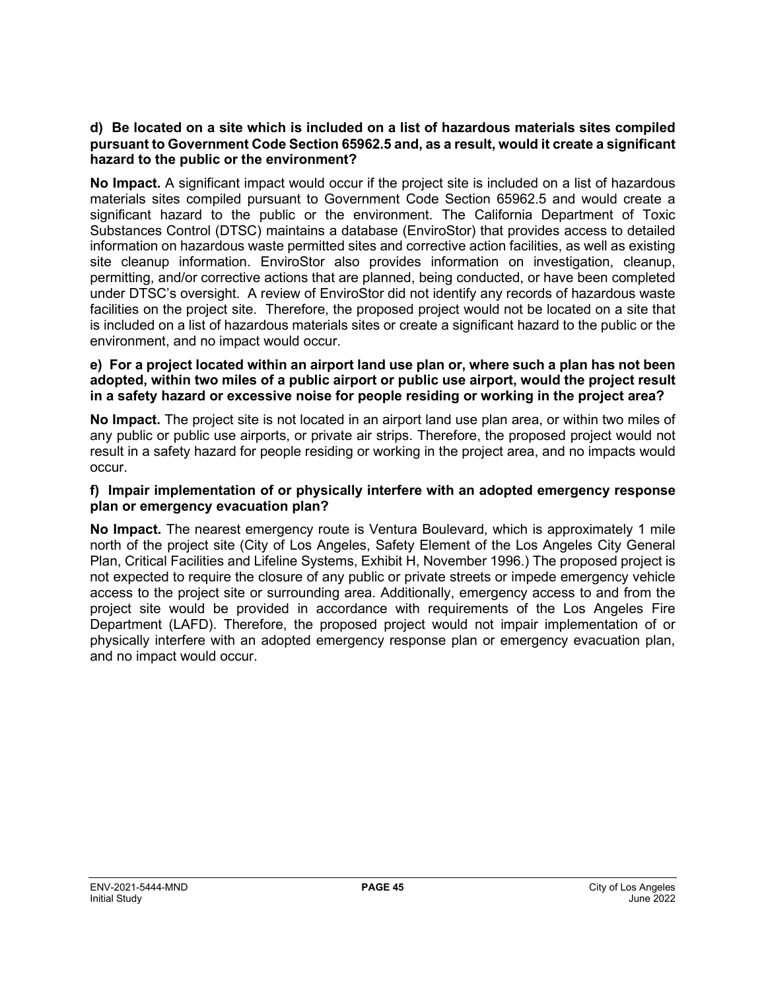#### **d) Be located on a site which is included on a list of hazardous materials sites compiled pursuant to Government Code Section 65962.5 and, as a result, would it create a significant hazard to the public or the environment?**

**No Impact.** A significant impact would occur if the project site is included on a list of hazardous materials sites compiled pursuant to Government Code Section 65962.5 and would create a significant hazard to the public or the environment. The California Department of Toxic Substances Control (DTSC) maintains a database (EnviroStor) that provides access to detailed information on hazardous waste permitted sites and corrective action facilities, as well as existing site cleanup information. EnviroStor also provides information on investigation, cleanup, permitting, and/or corrective actions that are planned, being conducted, or have been completed under DTSC's oversight. A review of EnviroStor did not identify any records of hazardous waste facilities on the project site. Therefore, the proposed project would not be located on a site that is included on a list of hazardous materials sites or create a significant hazard to the public or the environment, and no impact would occur.

#### **e) For a project located within an airport land use plan or, where such a plan has not been adopted, within two miles of a public airport or public use airport, would the project result in a safety hazard or excessive noise for people residing or working in the project area?**

**No Impact.** The project site is not located in an airport land use plan area, or within two miles of any public or public use airports, or private air strips. Therefore, the proposed project would not result in a safety hazard for people residing or working in the project area, and no impacts would occur.

#### **f) Impair implementation of or physically interfere with an adopted emergency response plan or emergency evacuation plan?**

**No Impact.** The nearest emergency route is Ventura Boulevard, which is approximately 1 mile north of the project site (City of Los Angeles, Safety Element of the Los Angeles City General Plan, Critical Facilities and Lifeline Systems, Exhibit H, November 1996.) The proposed project is not expected to require the closure of any public or private streets or impede emergency vehicle access to the project site or surrounding area. Additionally, emergency access to and from the project site would be provided in accordance with requirements of the Los Angeles Fire Department (LAFD). Therefore, the proposed project would not impair implementation of or physically interfere with an adopted emergency response plan or emergency evacuation plan, and no impact would occur.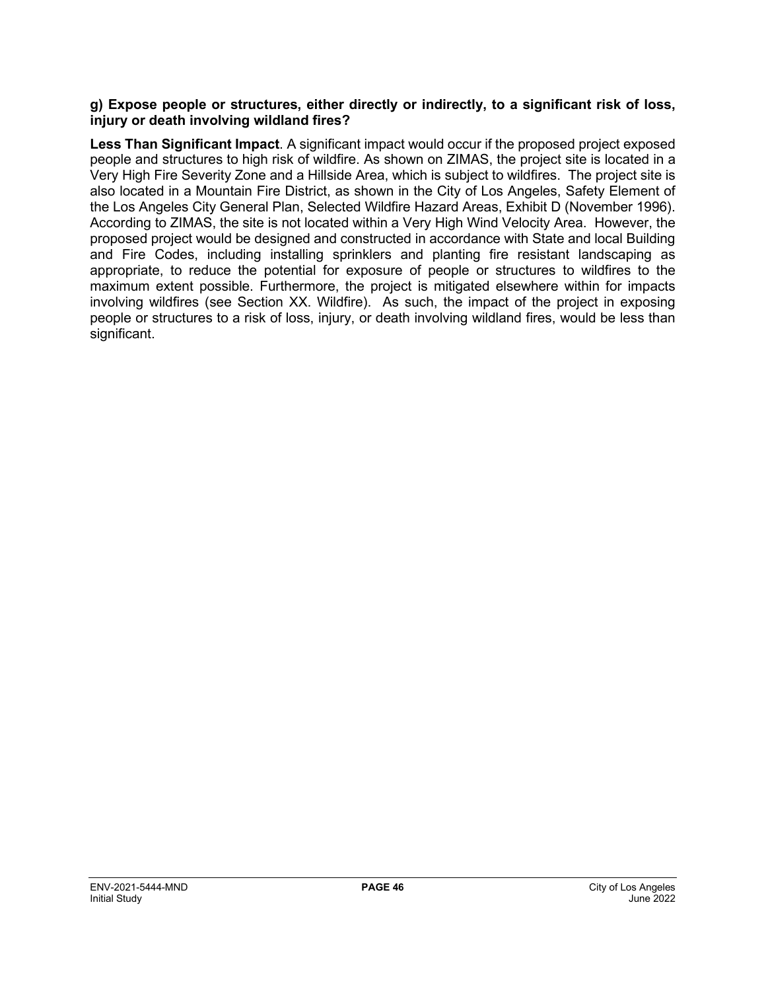#### **g) Expose people or structures, either directly or indirectly, to a significant risk of loss, injury or death involving wildland fires?**

**Less Than Significant Impact**. A significant impact would occur if the proposed project exposed people and structures to high risk of wildfire. As shown on ZIMAS, the project site is located in a Very High Fire Severity Zone and a Hillside Area, which is subject to wildfires. The project site is also located in a Mountain Fire District, as shown in the City of Los Angeles, Safety Element of the Los Angeles City General Plan, Selected Wildfire Hazard Areas, Exhibit D (November 1996). According to ZIMAS, the site is not located within a Very High Wind Velocity Area. However, the proposed project would be designed and constructed in accordance with State and local Building and Fire Codes, including installing sprinklers and planting fire resistant landscaping as appropriate, to reduce the potential for exposure of people or structures to wildfires to the maximum extent possible. Furthermore, the project is mitigated elsewhere within for impacts involving wildfires (see Section XX. Wildfire). As such, the impact of the project in exposing people or structures to a risk of loss, injury, or death involving wildland fires, would be less than significant.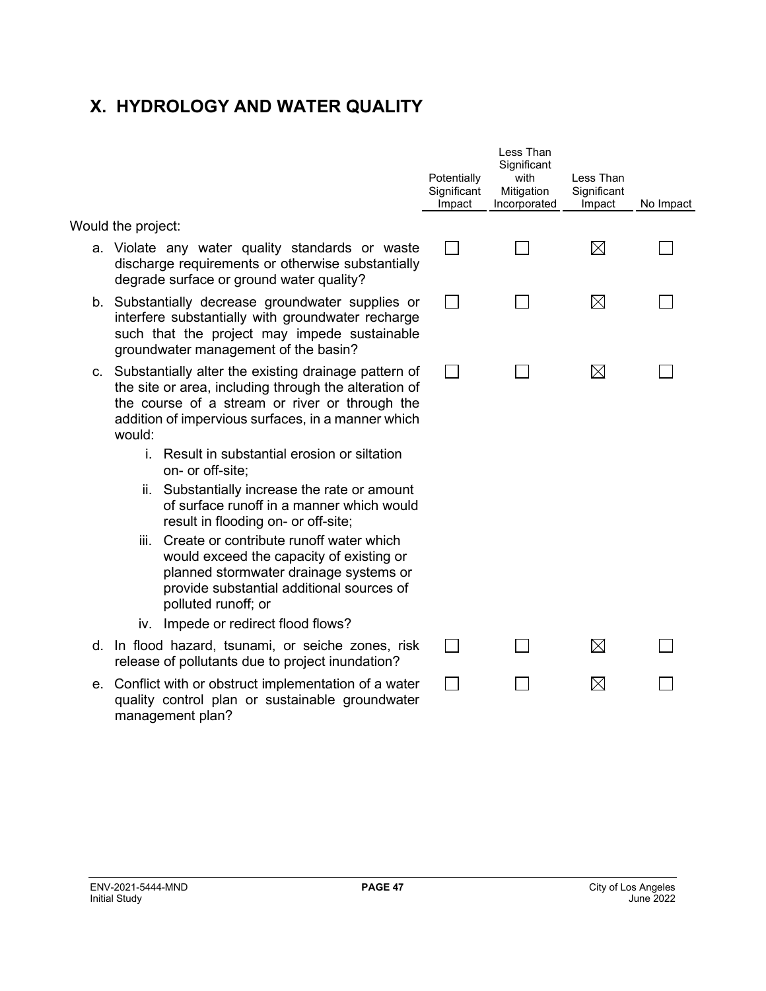## **X. HYDROLOGY AND WATER QUALITY**

Would the project:

- a. Violate any water quality standards or wast discharge requirements or otherwise substantial degrade surface or ground water quality?
- b. Substantially decrease groundwater supplies interfere substantially with groundwater recharge such that the project may impede sustainab groundwater management of the basin?
- c. Substantially alter the existing drainage pattern the site or area, including through the alteration the course of a stream or river or through th addition of impervious surfaces, in a manner which would:
	- i. Result in substantial erosion or siltation on- or off-site;
	- ii. Substantially increase the rate or amoun of surface runoff in a manner which wou result in flooding on- or off-site;
	- iii. Create or contribute runoff water which would exceed the capacity of existing or planned stormwater drainage systems or provide substantial additional sources of polluted runoff; or
	- iv. Impede or redirect flood flows?
- d. In flood hazard, tsunami, or seiche zones, ris release of pollutants due to project inundation?
- e. Conflict with or obstruct implementation of a wate quality control plan or sustainable groundwate management plan?

|                      | Potentially<br>Significant<br>Impact | Less Than<br>Significant<br>with<br>Mitigation<br>Incorporated | Less Than<br>Significant<br>Impact | No Impact |
|----------------------|--------------------------------------|----------------------------------------------------------------|------------------------------------|-----------|
| ste<br>lly           |                                      |                                                                | $\boxtimes$                        |           |
| or<br>ge<br>۱е       |                                      |                                                                | $\boxtimes$                        |           |
| of<br>of<br>he<br>ch |                                      |                                                                | $\boxtimes$                        |           |
| ٦t<br>ıld            |                                      |                                                                |                                    |           |
| ır<br>f              |                                      |                                                                |                                    |           |
| sk                   |                                      |                                                                | $\boxtimes$                        |           |
| er<br>er             |                                      |                                                                | $\boxtimes$                        |           |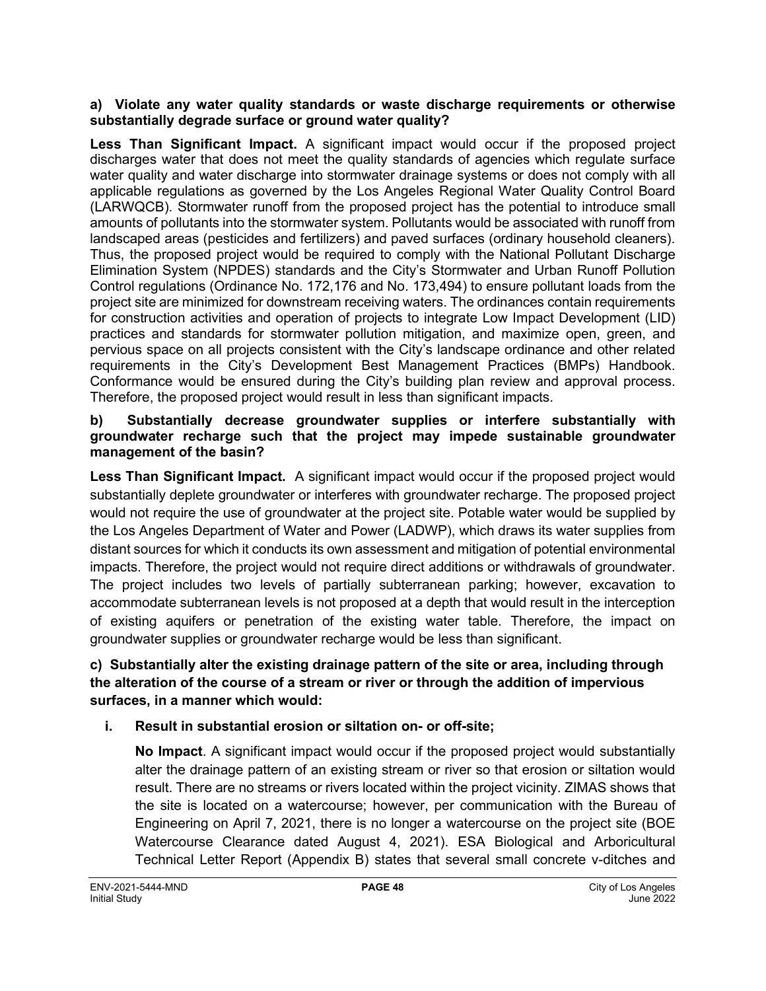#### **a) Violate any water quality standards or waste discharge requirements or otherwise substantially degrade surface or ground water quality?**

**Less Than Significant Impact.** A significant impact would occur if the proposed project discharges water that does not meet the quality standards of agencies which regulate surface water quality and water discharge into stormwater drainage systems or does not comply with all applicable regulations as governed by the Los Angeles Regional Water Quality Control Board (LARWQCB). Stormwater runoff from the proposed project has the potential to introduce small amounts of pollutants into the stormwater system. Pollutants would be associated with runoff from landscaped areas (pesticides and fertilizers) and paved surfaces (ordinary household cleaners). Thus, the proposed project would be required to comply with the National Pollutant Discharge Elimination System (NPDES) standards and the City's Stormwater and Urban Runoff Pollution Control regulations (Ordinance No. 172,176 and No. 173,494) to ensure pollutant loads from the project site are minimized for downstream receiving waters. The ordinances contain requirements for construction activities and operation of projects to integrate Low Impact Development (LID) practices and standards for stormwater pollution mitigation, and maximize open, green, and pervious space on all projects consistent with the City's landscape ordinance and other related requirements in the City's Development Best Management Practices (BMPs) Handbook. Conformance would be ensured during the City's building plan review and approval process. Therefore, the proposed project would result in less than significant impacts.

#### **b) Substantially decrease groundwater supplies or interfere substantially with groundwater recharge such that the project may impede sustainable groundwater management of the basin?**

**Less Than Significant Impact.** A significant impact would occur if the proposed project would substantially deplete groundwater or interferes with groundwater recharge. The proposed project would not require the use of groundwater at the project site. Potable water would be supplied by the Los Angeles Department of Water and Power (LADWP), which draws its water supplies from distant sources for which it conducts its own assessment and mitigation of potential environmental impacts. Therefore, the project would not require direct additions or withdrawals of groundwater. The project includes two levels of partially subterranean parking; however, excavation to accommodate subterranean levels is not proposed at a depth that would result in the interception of existing aquifers or penetration of the existing water table. Therefore, the impact on groundwater supplies or groundwater recharge would be less than significant.

## **c) Substantially alter the existing drainage pattern of the site or area, including through the alteration of the course of a stream or river or through the addition of impervious surfaces, in a manner which would:**

## **i. Result in substantial erosion or siltation on- or off-site;**

**No Impact**. A significant impact would occur if the proposed project would substantially alter the drainage pattern of an existing stream or river so that erosion or siltation would result. There are no streams or rivers located within the project vicinity. ZIMAS shows that the site is located on a watercourse; however, per communication with the Bureau of Engineering on April 7, 2021, there is no longer a watercourse on the project site (BOE Watercourse Clearance dated August 4, 2021). ESA Biological and Arboricultural Technical Letter Report (Appendix B) states that several small concrete v-ditches and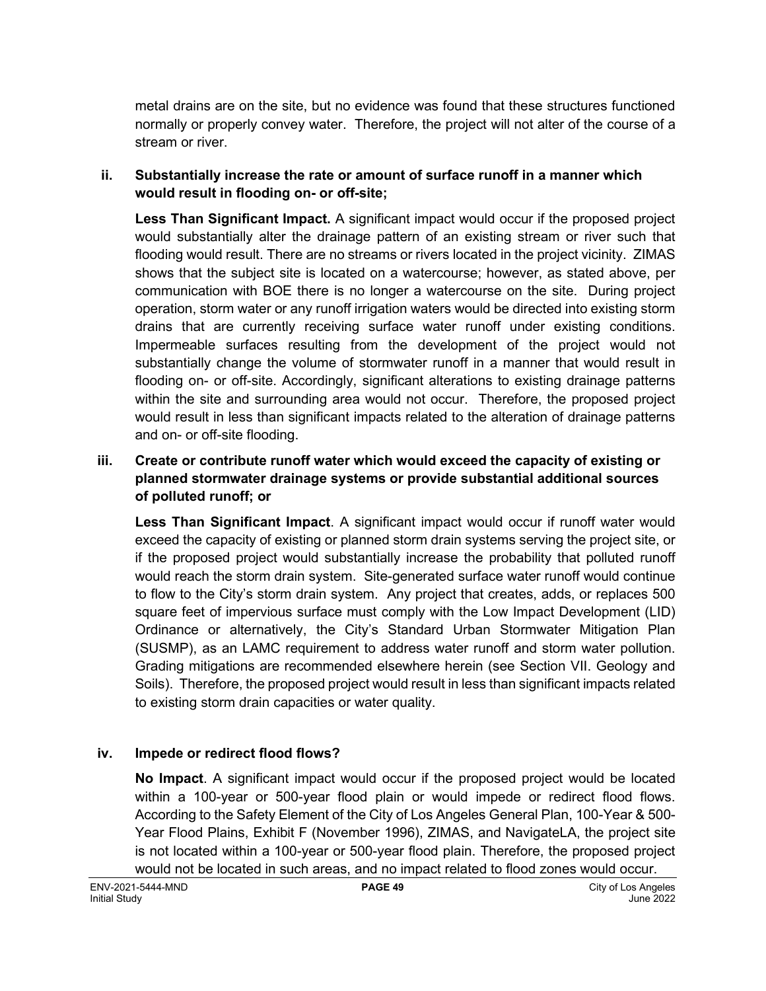metal drains are on the site, but no evidence was found that these structures functioned normally or properly convey water. Therefore, the project will not alter of the course of a stream or river.

### **ii. Substantially increase the rate or amount of surface runoff in a manner which would result in flooding on- or off-site;**

**Less Than Significant Impact.** A significant impact would occur if the proposed project would substantially alter the drainage pattern of an existing stream or river such that flooding would result. There are no streams or rivers located in the project vicinity. ZIMAS shows that the subject site is located on a watercourse; however, as stated above, per communication with BOE there is no longer a watercourse on the site. During project operation, storm water or any runoff irrigation waters would be directed into existing storm drains that are currently receiving surface water runoff under existing conditions. Impermeable surfaces resulting from the development of the project would not substantially change the volume of stormwater runoff in a manner that would result in flooding on- or off-site. Accordingly, significant alterations to existing drainage patterns within the site and surrounding area would not occur. Therefore, the proposed project would result in less than significant impacts related to the alteration of drainage patterns and on- or off-site flooding.

### **iii. Create or contribute runoff water which would exceed the capacity of existing or planned stormwater drainage systems or provide substantial additional sources of polluted runoff; or**

**Less Than Significant Impact**. A significant impact would occur if runoff water would exceed the capacity of existing or planned storm drain systems serving the project site, or if the proposed project would substantially increase the probability that polluted runoff would reach the storm drain system. Site-generated surface water runoff would continue to flow to the City's storm drain system. Any project that creates, adds, or replaces 500 square feet of impervious surface must comply with the Low Impact Development (LID) Ordinance or alternatively, the City's Standard Urban Stormwater Mitigation Plan (SUSMP), as an LAMC requirement to address water runoff and storm water pollution. Grading mitigations are recommended elsewhere herein (see Section VII. Geology and Soils). Therefore, the proposed project would result in less than significant impacts related to existing storm drain capacities or water quality.

## **iv. Impede or redirect flood flows?**

**No Impact**. A significant impact would occur if the proposed project would be located within a 100-year or 500-year flood plain or would impede or redirect flood flows. According to the Safety Element of the City of Los Angeles General Plan, 100-Year & 500- Year Flood Plains, Exhibit F (November 1996), ZIMAS, and NavigateLA, the project site is not located within a 100-year or 500-year flood plain. Therefore, the proposed project would not be located in such areas, and no impact related to flood zones would occur.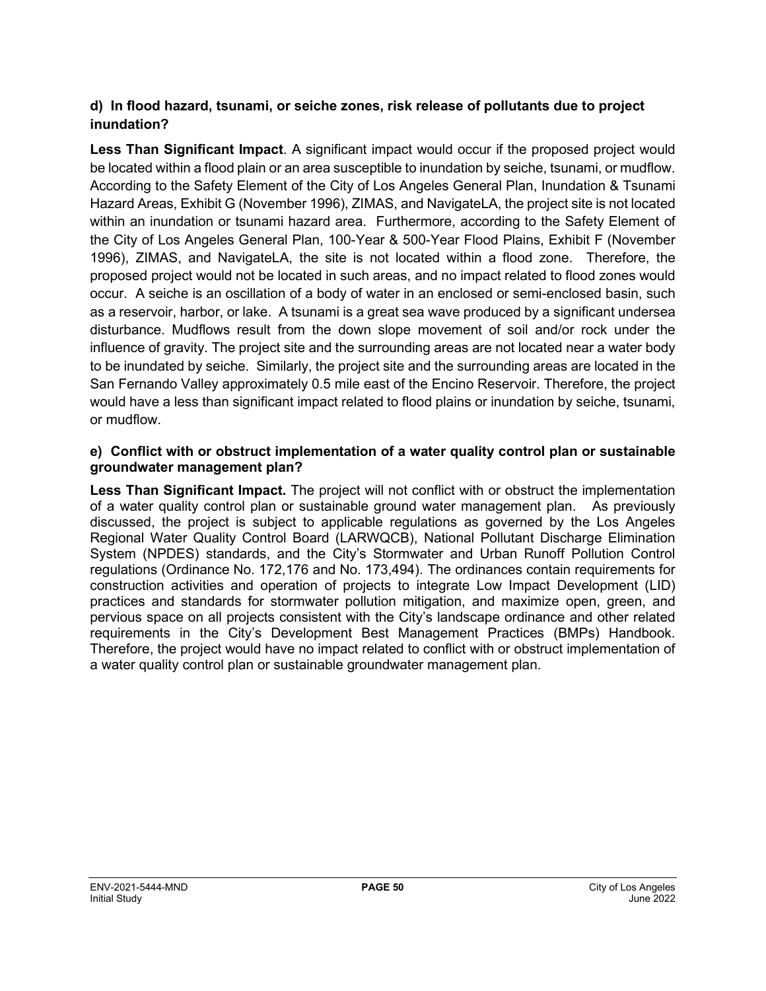## **d) In flood hazard, tsunami, or seiche zones, risk release of pollutants due to project inundation?**

**Less Than Significant Impact**. A significant impact would occur if the proposed project would be located within a flood plain or an area susceptible to inundation by seiche, tsunami, or mudflow. According to the Safety Element of the City of Los Angeles General Plan, Inundation & Tsunami Hazard Areas, Exhibit G (November 1996), ZIMAS, and NavigateLA, the project site is not located within an inundation or tsunami hazard area. Furthermore, according to the Safety Element of the City of Los Angeles General Plan, 100-Year & 500-Year Flood Plains, Exhibit F (November 1996), ZIMAS, and NavigateLA, the site is not located within a flood zone. Therefore, the proposed project would not be located in such areas, and no impact related to flood zones would occur. A seiche is an oscillation of a body of water in an enclosed or semi-enclosed basin, such as a reservoir, harbor, or lake. A tsunami is a great sea wave produced by a significant undersea disturbance. Mudflows result from the down slope movement of soil and/or rock under the influence of gravity. The project site and the surrounding areas are not located near a water body to be inundated by seiche. Similarly, the project site and the surrounding areas are located in the San Fernando Valley approximately 0.5 mile east of the Encino Reservoir. Therefore, the project would have a less than significant impact related to flood plains or inundation by seiche, tsunami, or mudflow.

#### **e) Conflict with or obstruct implementation of a water quality control plan or sustainable groundwater management plan?**

**Less Than Significant Impact.** The project will not conflict with or obstruct the implementation of a water quality control plan or sustainable ground water management plan. As previously discussed, the project is subject to applicable regulations as governed by the Los Angeles Regional Water Quality Control Board (LARWQCB), National Pollutant Discharge Elimination System (NPDES) standards, and the City's Stormwater and Urban Runoff Pollution Control regulations (Ordinance No. 172,176 and No. 173,494). The ordinances contain requirements for construction activities and operation of projects to integrate Low Impact Development (LID) practices and standards for stormwater pollution mitigation, and maximize open, green, and pervious space on all projects consistent with the City's landscape ordinance and other related requirements in the City's Development Best Management Practices (BMPs) Handbook. Therefore, the project would have no impact related to conflict with or obstruct implementation of a water quality control plan or sustainable groundwater management plan.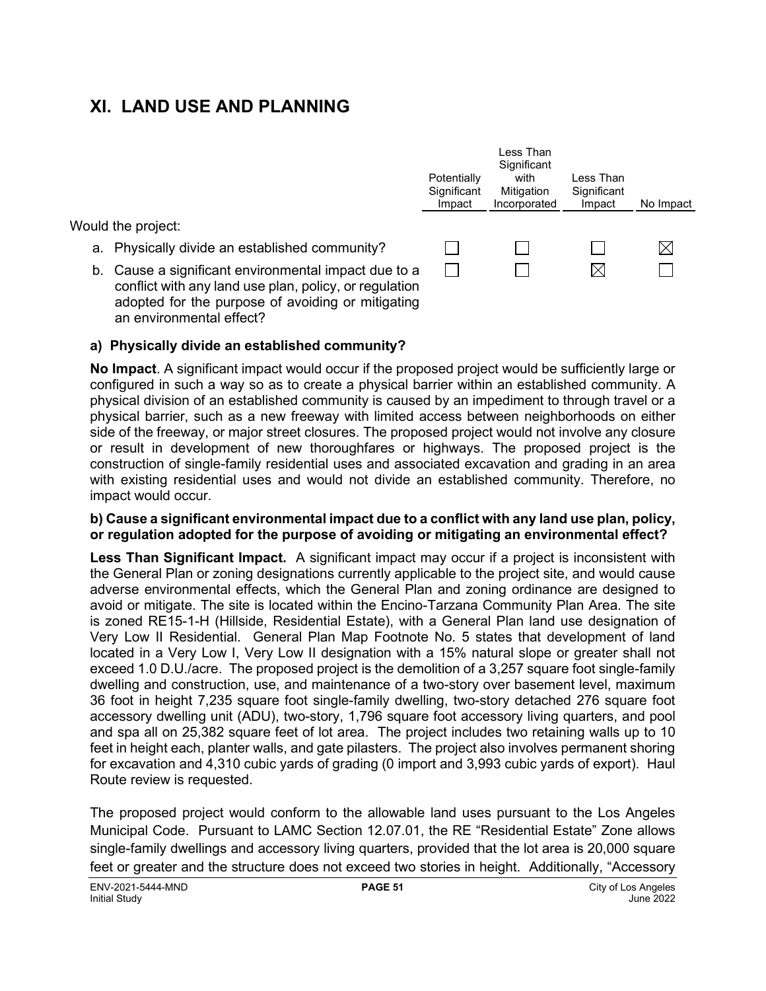## **XI. LAND USE AND PLANNING**

Would the project:

- a. Physically divide an established community?
- b. Cause a significant environmental impact due to a conflict with any land use plan, policy, or regulation adopted for the purpose of avoiding or mitigating an environmental effect?



#### **a) Physically divide an established community?**

**No Impact**. A significant impact would occur if the proposed project would be sufficiently large or configured in such a way so as to create a physical barrier within an established community. A physical division of an established community is caused by an impediment to through travel or a physical barrier, such as a new freeway with limited access between neighborhoods on either side of the freeway, or major street closures. The proposed project would not involve any closure or result in development of new thoroughfares or highways. The proposed project is the construction of single-family residential uses and associated excavation and grading in an area with existing residential uses and would not divide an established community. Therefore, no impact would occur.

#### **b) Cause a significant environmental impact due to a conflict with any land use plan, policy, or regulation adopted for the purpose of avoiding or mitigating an environmental effect?**

**Less Than Significant Impact.** A significant impact may occur if a project is inconsistent with the General Plan or zoning designations currently applicable to the project site, and would cause adverse environmental effects, which the General Plan and zoning ordinance are designed to avoid or mitigate. The site is located within the Encino-Tarzana Community Plan Area. The site is zoned RE15-1-H (Hillside, Residential Estate), with a General Plan land use designation of Very Low II Residential. General Plan Map Footnote No. 5 states that development of land located in a Very Low I, Very Low II designation with a 15% natural slope or greater shall not exceed 1.0 D.U./acre. The proposed project is the demolition of a 3,257 square foot single-family dwelling and construction, use, and maintenance of a two-story over basement level, maximum 36 foot in height 7,235 square foot single-family dwelling, two-story detached 276 square foot accessory dwelling unit (ADU), two-story, 1,796 square foot accessory living quarters, and pool and spa all on 25,382 square feet of lot area. The project includes two retaining walls up to 10 feet in height each, planter walls, and gate pilasters. The project also involves permanent shoring for excavation and 4,310 cubic yards of grading (0 import and 3,993 cubic yards of export). Haul Route review is requested.

The proposed project would conform to the allowable land uses pursuant to the Los Angeles Municipal Code. Pursuant to LAMC Section 12.07.01, the RE "Residential Estate" Zone allows single-family dwellings and accessory living quarters, provided that the lot area is 20,000 square feet or greater and the structure does not exceed two stories in height. Additionally, "Accessory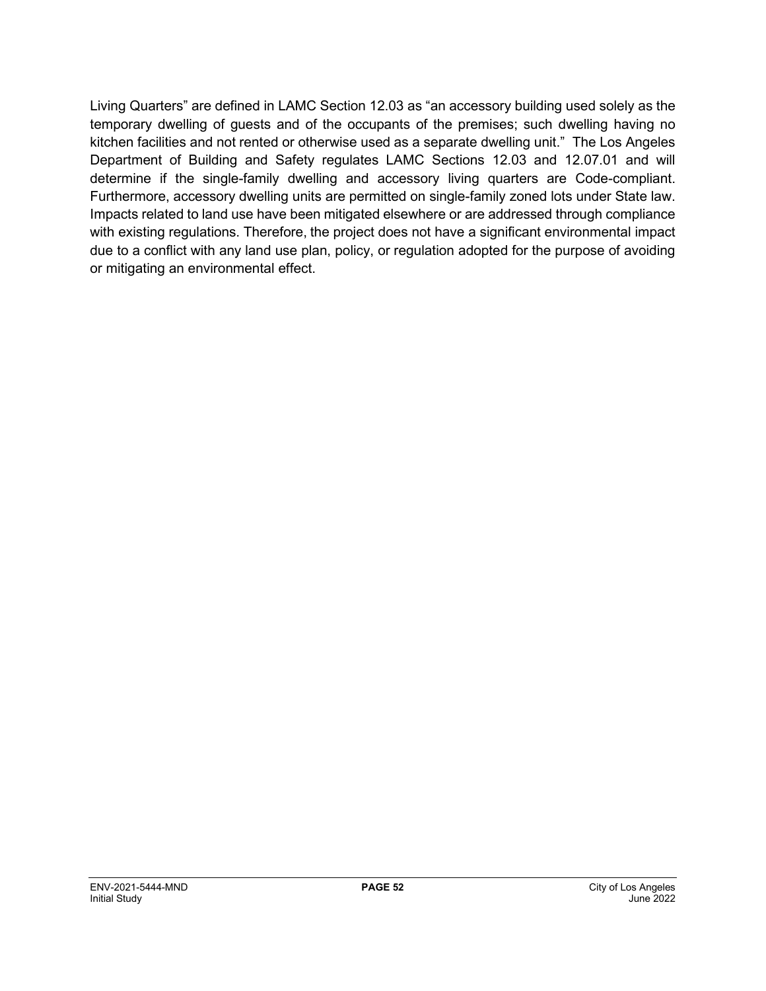Living Quarters" are defined in LAMC Section 12.03 as "an accessory building used solely as the temporary dwelling of guests and of the occupants of the premises; such dwelling having no kitchen facilities and not rented or otherwise used as a separate dwelling unit." The Los Angeles Department of Building and Safety regulates LAMC Sections 12.03 and 12.07.01 and will determine if the single-family dwelling and accessory living quarters are Code-compliant. Furthermore, accessory dwelling units are permitted on single-family zoned lots under State law. Impacts related to land use have been mitigated elsewhere or are addressed through compliance with existing regulations. Therefore, the project does not have a significant environmental impact due to a conflict with any land use plan, policy, or regulation adopted for the purpose of avoiding or mitigating an environmental effect.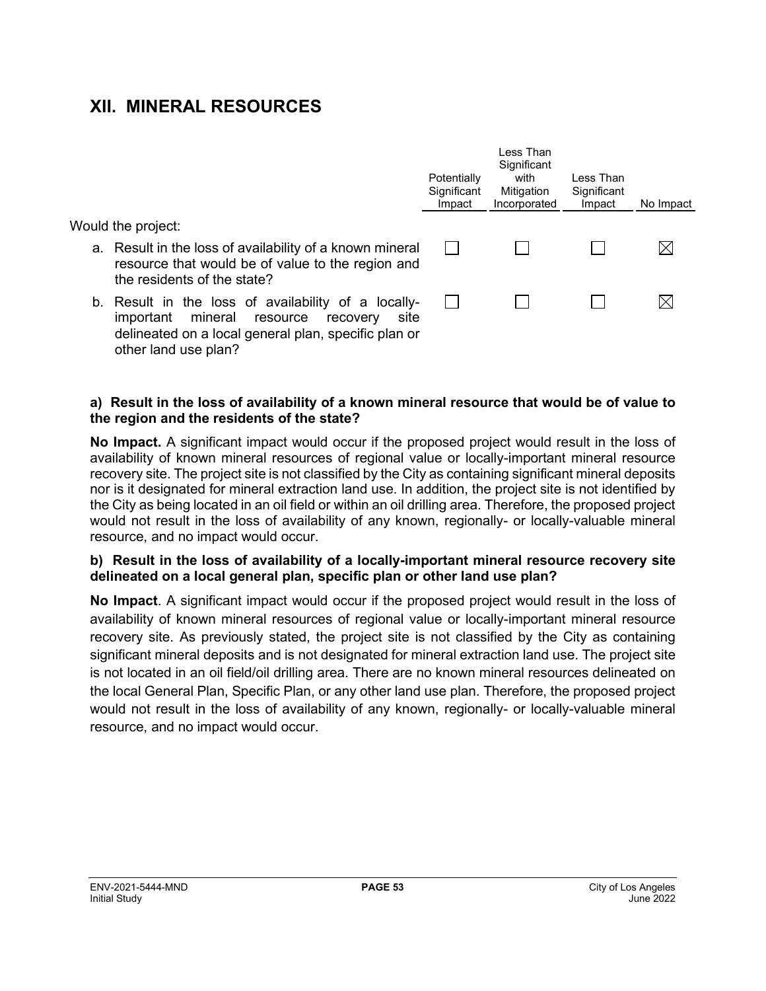## **XII. MINERAL RESOURCES**

Would the project:

- a. Result in the loss of availability of a known mineral resource that would be of value to the region and the residents of the state?
- b. Result in the loss of availability of a locallyimportant mineral resource recovery site delineated on a local general plan, specific plan or other land use plan?

| Potentially<br>Significant<br>Impact | Less Than<br>Significant<br>with<br>Mitigation<br>Incorporated | Less Than<br>Significant<br>Impact | No Impact |
|--------------------------------------|----------------------------------------------------------------|------------------------------------|-----------|
|                                      |                                                                |                                    |           |
|                                      |                                                                |                                    |           |

#### **a) Result in the loss of availability of a known mineral resource that would be of value to the region and the residents of the state?**

**No Impact.** A significant impact would occur if the proposed project would result in the loss of availability of known mineral resources of regional value or locally-important mineral resource recovery site. The project site is not classified by the City as containing significant mineral deposits nor is it designated for mineral extraction land use. In addition, the project site is not identified by the City as being located in an oil field or within an oil drilling area. Therefore, the proposed project would not result in the loss of availability of any known, regionally- or locally-valuable mineral resource, and no impact would occur.

#### **b) Result in the loss of availability of a locally-important mineral resource recovery site delineated on a local general plan, specific plan or other land use plan?**

**No Impact**. A significant impact would occur if the proposed project would result in the loss of availability of known mineral resources of regional value or locally-important mineral resource recovery site. As previously stated, the project site is not classified by the City as containing significant mineral deposits and is not designated for mineral extraction land use. The project site is not located in an oil field/oil drilling area. There are no known mineral resources delineated on the local General Plan, Specific Plan, or any other land use plan. Therefore, the proposed project would not result in the loss of availability of any known, regionally- or locally-valuable mineral resource, and no impact would occur.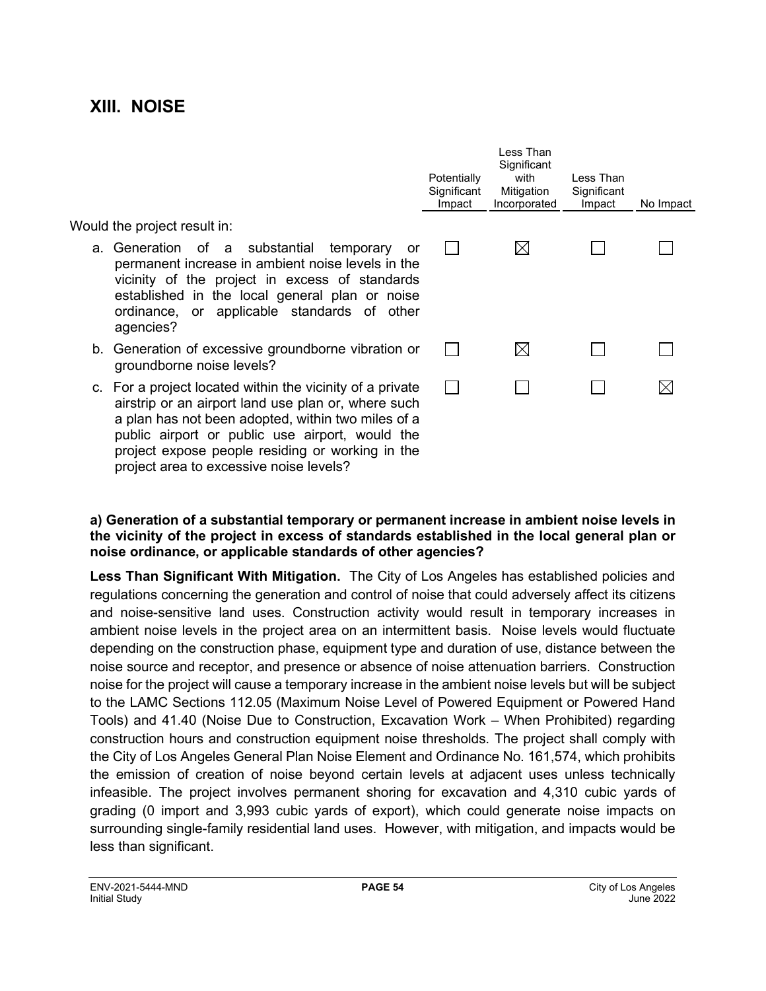## **XIII. NOISE**

#### Would the project result in:

- a. Generation of a substantial temporary or permanent increase in ambient noise levels in the vicinity of the project in excess of standards established in the local general plan or noise ordinance, or applicable standards of other agencies?
- b. Generation of excessive groundborne vibration or groundborne noise levels?
- c. For a project located within the vicinity of a private airstrip or an airport land use plan or, where such a plan has not been adopted, within two miles of a public airport or public use airport, would the project expose people residing or working in the project area to excessive noise levels?

| Potentially<br>Significant<br>Impact | Less Than<br>Significant<br>with<br>Mitigation<br>Incorporated | Less Than<br>Significant<br>Impact | No Impact |
|--------------------------------------|----------------------------------------------------------------|------------------------------------|-----------|
|                                      |                                                                |                                    |           |
|                                      |                                                                |                                    |           |
|                                      |                                                                |                                    |           |
|                                      |                                                                |                                    |           |

#### **a) Generation of a substantial temporary or permanent increase in ambient noise levels in the vicinity of the project in excess of standards established in the local general plan or noise ordinance, or applicable standards of other agencies?**

**Less Than Significant With Mitigation.** The City of Los Angeles has established policies and regulations concerning the generation and control of noise that could adversely affect its citizens and noise-sensitive land uses. Construction activity would result in temporary increases in ambient noise levels in the project area on an intermittent basis. Noise levels would fluctuate depending on the construction phase, equipment type and duration of use, distance between the noise source and receptor, and presence or absence of noise attenuation barriers. Construction noise for the project will cause a temporary increase in the ambient noise levels but will be subject to the LAMC Sections 112.05 (Maximum Noise Level of Powered Equipment or Powered Hand Tools) and 41.40 (Noise Due to Construction, Excavation Work – When Prohibited) regarding construction hours and construction equipment noise thresholds. The project shall comply with the City of Los Angeles General Plan Noise Element and Ordinance No. 161,574, which prohibits the emission of creation of noise beyond certain levels at adjacent uses unless technically infeasible. The project involves permanent shoring for excavation and 4,310 cubic yards of grading (0 import and 3,993 cubic yards of export), which could generate noise impacts on surrounding single-family residential land uses. However, with mitigation, and impacts would be less than significant.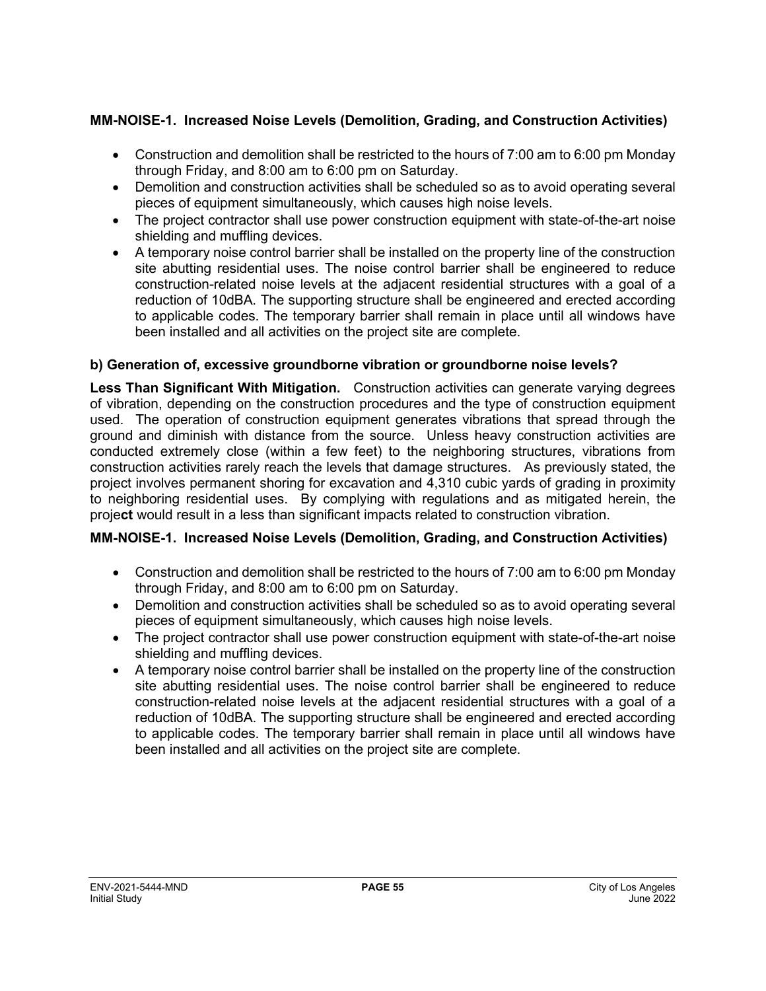## **MM-NOISE-1. Increased Noise Levels (Demolition, Grading, and Construction Activities)**

- Construction and demolition shall be restricted to the hours of 7:00 am to 6:00 pm Monday through Friday, and 8:00 am to 6:00 pm on Saturday.
- Demolition and construction activities shall be scheduled so as to avoid operating several pieces of equipment simultaneously, which causes high noise levels.
- The project contractor shall use power construction equipment with state-of-the-art noise shielding and muffling devices.
- A temporary noise control barrier shall be installed on the property line of the construction site abutting residential uses. The noise control barrier shall be engineered to reduce construction-related noise levels at the adjacent residential structures with a goal of a reduction of 10dBA. The supporting structure shall be engineered and erected according to applicable codes. The temporary barrier shall remain in place until all windows have been installed and all activities on the project site are complete.

## **b) Generation of, excessive groundborne vibration or groundborne noise levels?**

**Less Than Significant With Mitigation.** Construction activities can generate varying degrees of vibration, depending on the construction procedures and the type of construction equipment used. The operation of construction equipment generates vibrations that spread through the ground and diminish with distance from the source. Unless heavy construction activities are conducted extremely close (within a few feet) to the neighboring structures, vibrations from construction activities rarely reach the levels that damage structures. As previously stated, the project involves permanent shoring for excavation and 4,310 cubic yards of grading in proximity to neighboring residential uses. By complying with regulations and as mitigated herein, the proje**ct** would result in a less than significant impacts related to construction vibration.

## **MM-NOISE-1. Increased Noise Levels (Demolition, Grading, and Construction Activities)**

- Construction and demolition shall be restricted to the hours of 7:00 am to 6:00 pm Monday through Friday, and 8:00 am to 6:00 pm on Saturday.
- Demolition and construction activities shall be scheduled so as to avoid operating several pieces of equipment simultaneously, which causes high noise levels.
- The project contractor shall use power construction equipment with state-of-the-art noise shielding and muffling devices.
- A temporary noise control barrier shall be installed on the property line of the construction site abutting residential uses. The noise control barrier shall be engineered to reduce construction-related noise levels at the adjacent residential structures with a goal of a reduction of 10dBA. The supporting structure shall be engineered and erected according to applicable codes. The temporary barrier shall remain in place until all windows have been installed and all activities on the project site are complete.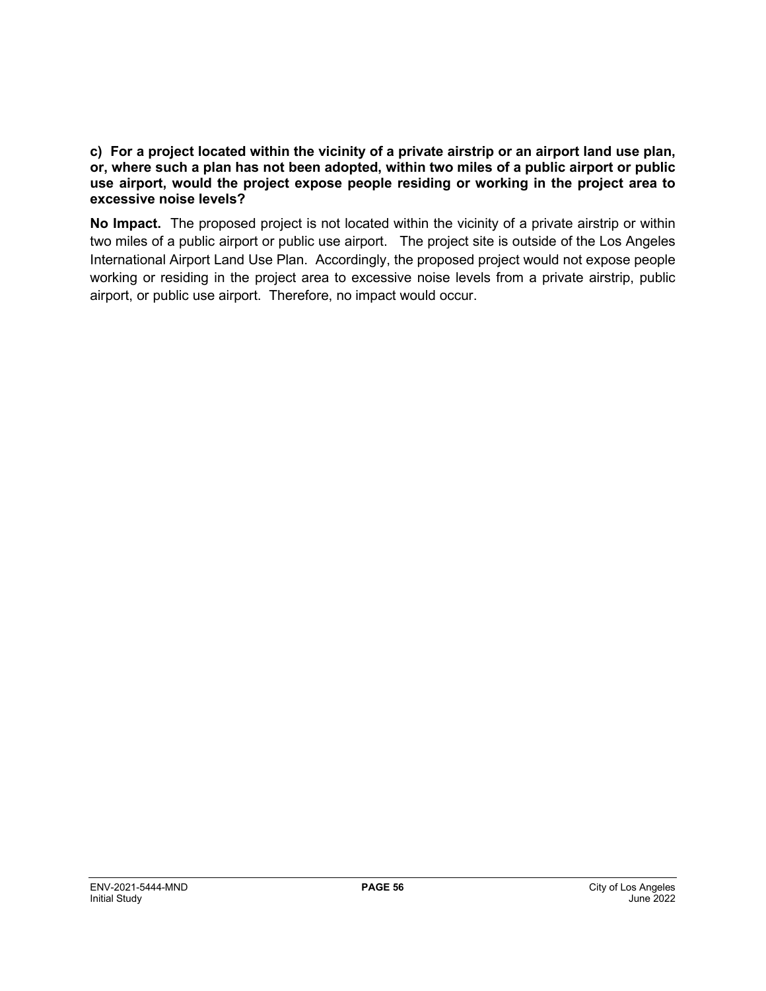#### **c) For a project located within the vicinity of a private airstrip or an airport land use plan, or, where such a plan has not been adopted, within two miles of a public airport or public use airport, would the project expose people residing or working in the project area to excessive noise levels?**

**No Impact.** The proposed project is not located within the vicinity of a private airstrip or within two miles of a public airport or public use airport. The project site is outside of the Los Angeles International Airport Land Use Plan. Accordingly, the proposed project would not expose people working or residing in the project area to excessive noise levels from a private airstrip, public airport, or public use airport. Therefore, no impact would occur.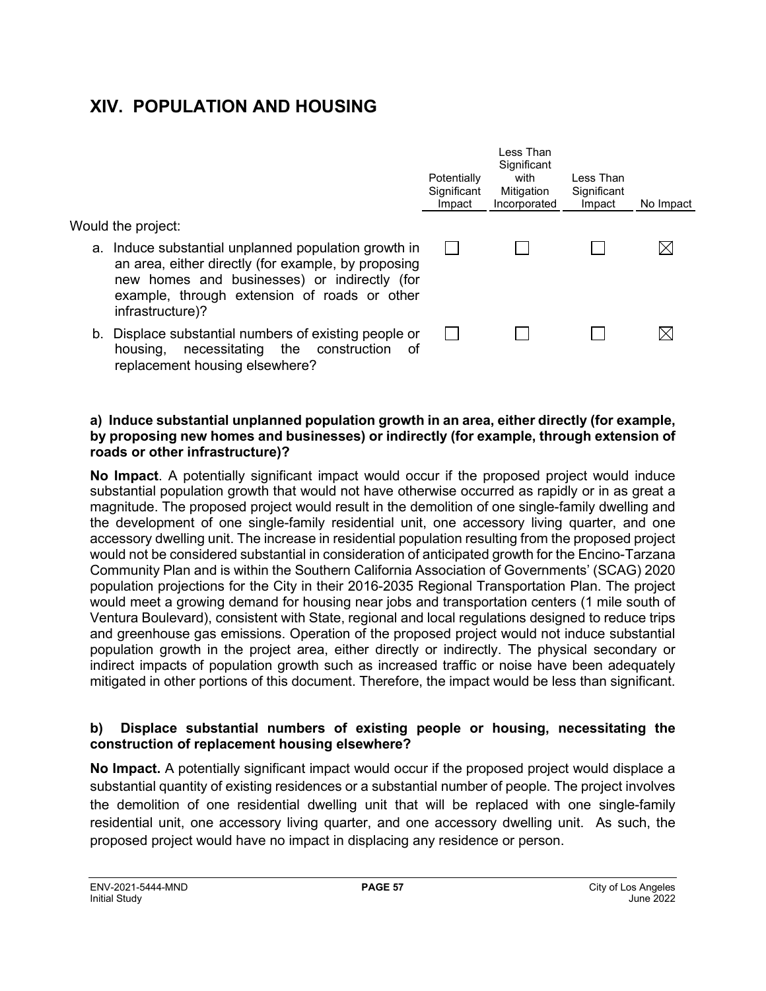## **XIV. POPULATION AND HOUSING**

Would the project:

- a. Induce substantial unplanned population growth in an area, either directly (for example, by proposing new homes and businesses) or indirectly (for example, through extension of roads or other infrastructure)?
- b. Displace substantial numbers of existing people or housing, necessitating the construction of replacement housing elsewhere?

#### **a) Induce substantial unplanned population growth in an area, either directly (for example, by proposing new homes and businesses) or indirectly (for example, through extension of roads or other infrastructure)?**

**Potentially Significant** Impact

 $\Box$ 

 $\perp$ 

Less Than **Significant** with Mitigation Incorporated

П

 $\perp$ 

Less Than **Significant** 

П

 $\Box$ 

Impact No Impact

 $\boxtimes$ 

 $\boxtimes$ 

**No Impact**. A potentially significant impact would occur if the proposed project would induce substantial population growth that would not have otherwise occurred as rapidly or in as great a magnitude. The proposed project would result in the demolition of one single-family dwelling and the development of one single-family residential unit, one accessory living quarter, and one accessory dwelling unit. The increase in residential population resulting from the proposed project would not be considered substantial in consideration of anticipated growth for the Encino-Tarzana Community Plan and is within the Southern California Association of Governments' (SCAG) 2020 population projections for the City in their 2016-2035 Regional Transportation Plan. The project would meet a growing demand for housing near jobs and transportation centers (1 mile south of Ventura Boulevard), consistent with State, regional and local regulations designed to reduce trips and greenhouse gas emissions. Operation of the proposed project would not induce substantial population growth in the project area, either directly or indirectly. The physical secondary or indirect impacts of population growth such as increased traffic or noise have been adequately mitigated in other portions of this document. Therefore, the impact would be less than significant.

#### **b) Displace substantial numbers of existing people or housing, necessitating the construction of replacement housing elsewhere?**

**No Impact.** A potentially significant impact would occur if the proposed project would displace a substantial quantity of existing residences or a substantial number of people. The project involves the demolition of one residential dwelling unit that will be replaced with one single-family residential unit, one accessory living quarter, and one accessory dwelling unit. As such, the proposed project would have no impact in displacing any residence or person.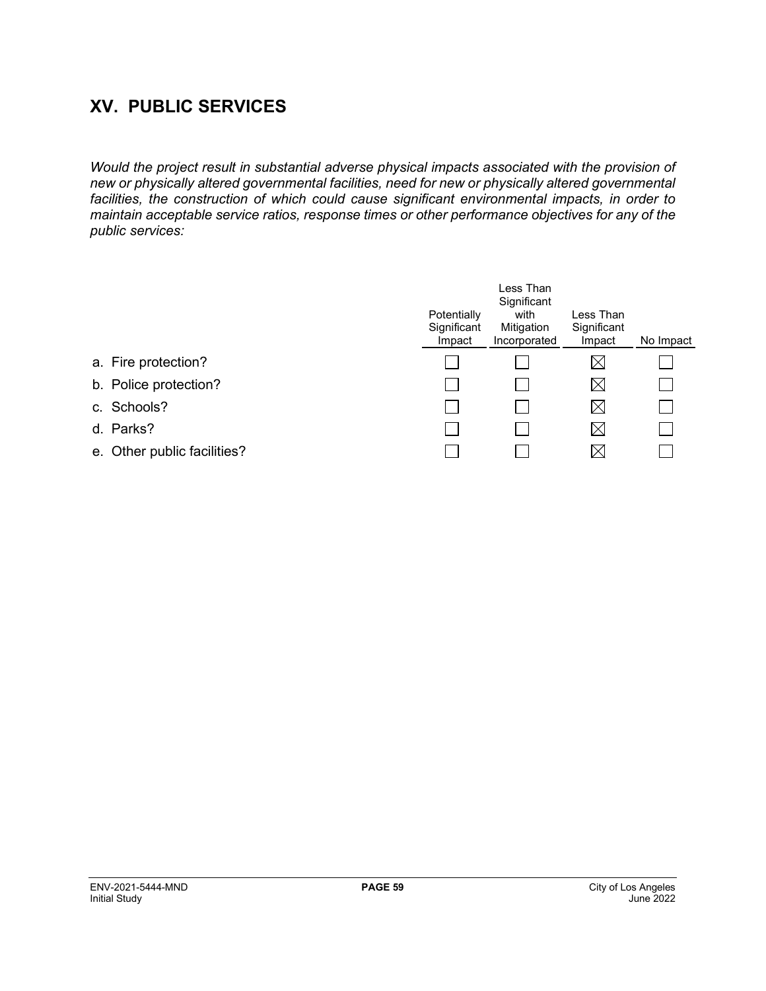## **XV. PUBLIC SERVICES**

*Would the project result in substantial adverse physical impacts associated with the provision of new or physically altered governmental facilities, need for new or physically altered governmental facilities, the construction of which could cause significant environmental impacts, in order to maintain acceptable service ratios, response times or other performance objectives for any of the public services:*

|                     |                             | Potentially<br>Significant<br>Impact | Less Than<br>Significant<br>with<br>Mitigation<br>Incorporated | Less Than<br>Significant<br>Impact | No Impact |
|---------------------|-----------------------------|--------------------------------------|----------------------------------------------------------------|------------------------------------|-----------|
| a. Fire protection? |                             |                                      |                                                                | $\boxtimes$                        |           |
|                     | b. Police protection?       |                                      |                                                                | $\boxtimes$                        |           |
| c. Schools?         |                             |                                      |                                                                | $\boxtimes$                        |           |
| d. Parks?           |                             |                                      |                                                                | $\boxtimes$                        |           |
|                     | e. Other public facilities? |                                      |                                                                | $\boxtimes$                        |           |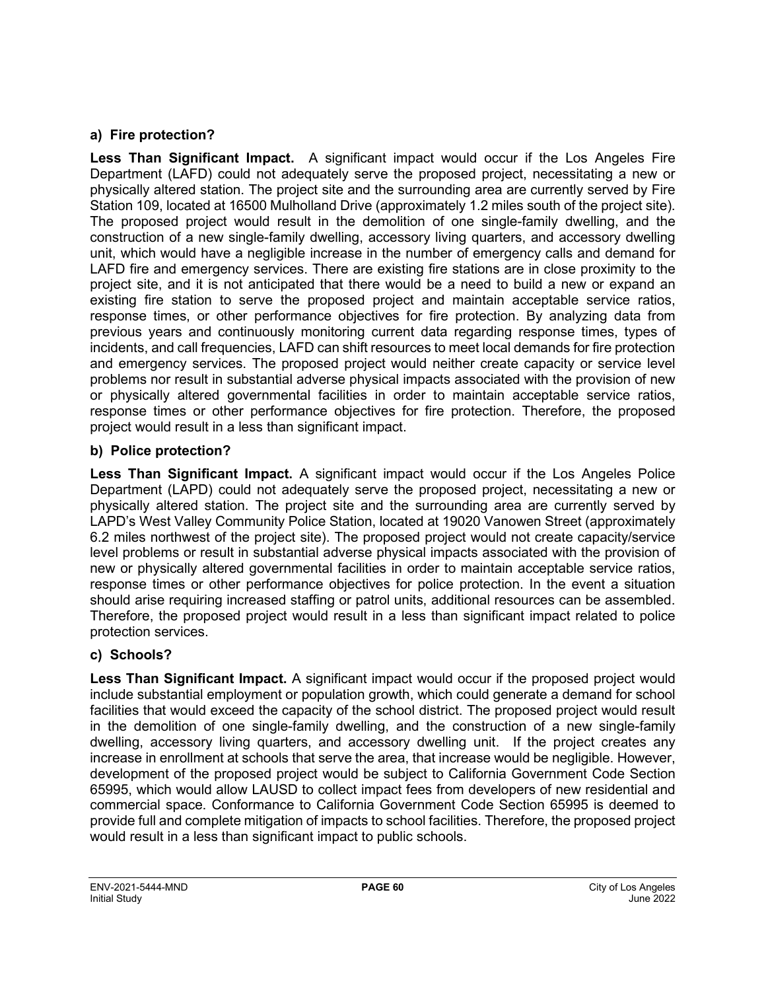## **a) Fire protection?**

**Less Than Significant Impact.** A significant impact would occur if the Los Angeles Fire Department (LAFD) could not adequately serve the proposed project, necessitating a new or physically altered station. The project site and the surrounding area are currently served by Fire Station 109, located at 16500 Mulholland Drive (approximately 1.2 miles south of the project site). The proposed project would result in the demolition of one single-family dwelling, and the construction of a new single-family dwelling, accessory living quarters, and accessory dwelling unit, which would have a negligible increase in the number of emergency calls and demand for LAFD fire and emergency services. There are existing fire stations are in close proximity to the project site, and it is not anticipated that there would be a need to build a new or expand an existing fire station to serve the proposed project and maintain acceptable service ratios, response times, or other performance objectives for fire protection. By analyzing data from previous years and continuously monitoring current data regarding response times, types of incidents, and call frequencies, LAFD can shift resources to meet local demands for fire protection and emergency services. The proposed project would neither create capacity or service level problems nor result in substantial adverse physical impacts associated with the provision of new or physically altered governmental facilities in order to maintain acceptable service ratios, response times or other performance objectives for fire protection. Therefore, the proposed project would result in a less than significant impact.

### **b) Police protection?**

**Less Than Significant Impact.** A significant impact would occur if the Los Angeles Police Department (LAPD) could not adequately serve the proposed project, necessitating a new or physically altered station. The project site and the surrounding area are currently served by LAPD's West Valley Community Police Station, located at 19020 Vanowen Street (approximately 6.2 miles northwest of the project site). The proposed project would not create capacity/service level problems or result in substantial adverse physical impacts associated with the provision of new or physically altered governmental facilities in order to maintain acceptable service ratios, response times or other performance objectives for police protection. In the event a situation should arise requiring increased staffing or patrol units, additional resources can be assembled. Therefore, the proposed project would result in a less than significant impact related to police protection services.

## **c) Schools?**

**Less Than Significant Impact.** A significant impact would occur if the proposed project would include substantial employment or population growth, which could generate a demand for school facilities that would exceed the capacity of the school district. The proposed project would result in the demolition of one single-family dwelling, and the construction of a new single-family dwelling, accessory living quarters, and accessory dwelling unit. If the project creates any increase in enrollment at schools that serve the area, that increase would be negligible. However, development of the proposed project would be subject to California Government Code Section 65995, which would allow LAUSD to collect impact fees from developers of new residential and commercial space. Conformance to California Government Code Section 65995 is deemed to provide full and complete mitigation of impacts to school facilities. Therefore, the proposed project would result in a less than significant impact to public schools.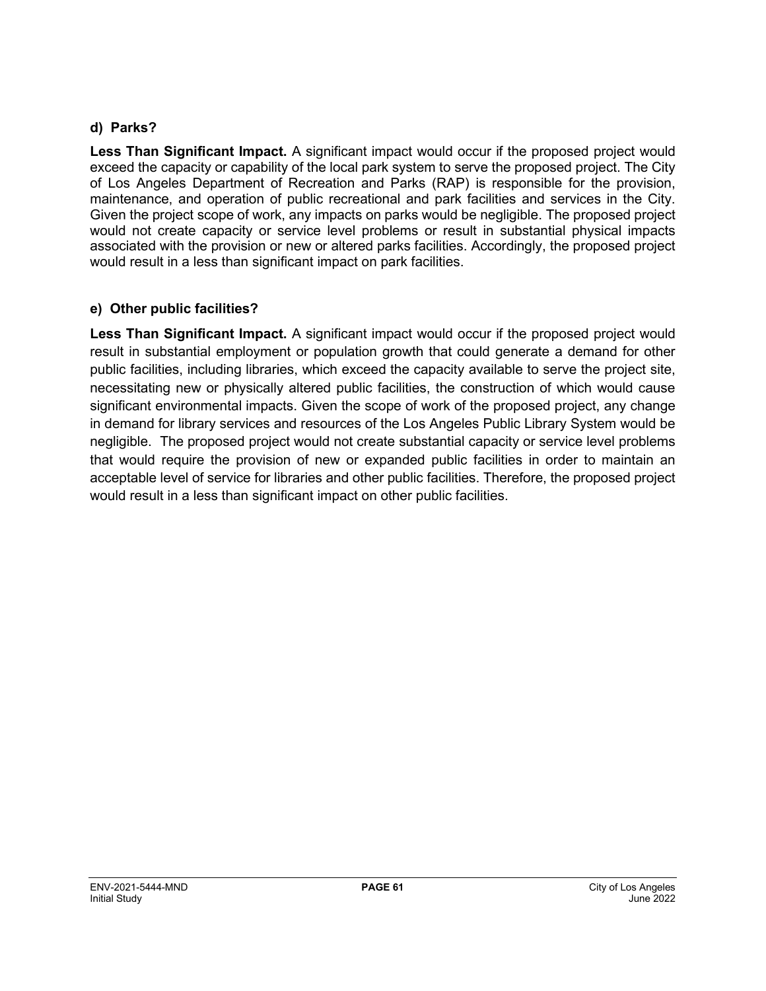### **d) Parks?**

**Less Than Significant Impact.** A significant impact would occur if the proposed project would exceed the capacity or capability of the local park system to serve the proposed project. The City of Los Angeles Department of Recreation and Parks (RAP) is responsible for the provision, maintenance, and operation of public recreational and park facilities and services in the City. Given the project scope of work, any impacts on parks would be negligible. The proposed project would not create capacity or service level problems or result in substantial physical impacts associated with the provision or new or altered parks facilities. Accordingly, the proposed project would result in a less than significant impact on park facilities.

### **e) Other public facilities?**

**Less Than Significant Impact.** A significant impact would occur if the proposed project would result in substantial employment or population growth that could generate a demand for other public facilities, including libraries, which exceed the capacity available to serve the project site, necessitating new or physically altered public facilities, the construction of which would cause significant environmental impacts. Given the scope of work of the proposed project, any change in demand for library services and resources of the Los Angeles Public Library System would be negligible. The proposed project would not create substantial capacity or service level problems that would require the provision of new or expanded public facilities in order to maintain an acceptable level of service for libraries and other public facilities. Therefore, the proposed project would result in a less than significant impact on other public facilities.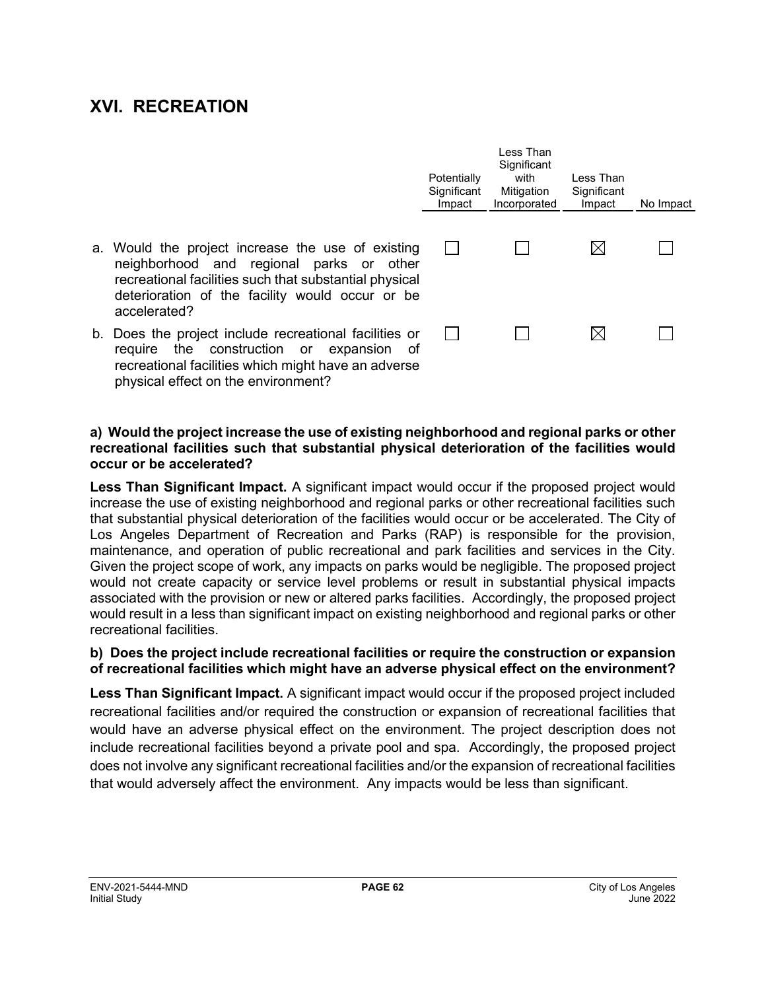## **XVI. RECREATION**

physical effect on the environment?

|                                                                                                                                                                                                                            | Potentially<br>Significant<br>Impact | Less Than<br>Significant<br>with<br>Mitigation<br>Incorporated | Less Than<br>Significant<br>Impact | No Impact |
|----------------------------------------------------------------------------------------------------------------------------------------------------------------------------------------------------------------------------|--------------------------------------|----------------------------------------------------------------|------------------------------------|-----------|
| a. Would the project increase the use of existing<br>neighborhood and regional parks or other<br>recreational facilities such that substantial physical<br>deterioration of the facility would occur or be<br>accelerated? |                                      |                                                                | $\boxtimes$                        |           |
| b. Does the project include recreational facilities or<br>require the construction or expansion of<br>recreational facilities which might have an adverse                                                                  |                                      |                                                                | $\boxtimes$                        |           |

#### **a) Would the project increase the use of existing neighborhood and regional parks or other recreational facilities such that substantial physical deterioration of the facilities would occur or be accelerated?**

**Less Than Significant Impact.** A significant impact would occur if the proposed project would increase the use of existing neighborhood and regional parks or other recreational facilities such that substantial physical deterioration of the facilities would occur or be accelerated. The City of Los Angeles Department of Recreation and Parks (RAP) is responsible for the provision, maintenance, and operation of public recreational and park facilities and services in the City. Given the project scope of work, any impacts on parks would be negligible. The proposed project would not create capacity or service level problems or result in substantial physical impacts associated with the provision or new or altered parks facilities. Accordingly, the proposed project would result in a less than significant impact on existing neighborhood and regional parks or other recreational facilities.

#### **b) Does the project include recreational facilities or require the construction or expansion of recreational facilities which might have an adverse physical effect on the environment?**

**Less Than Significant Impact.** A significant impact would occur if the proposed project included recreational facilities and/or required the construction or expansion of recreational facilities that would have an adverse physical effect on the environment. The project description does not include recreational facilities beyond a private pool and spa. Accordingly, the proposed project does not involve any significant recreational facilities and/or the expansion of recreational facilities that would adversely affect the environment. Any impacts would be less than significant.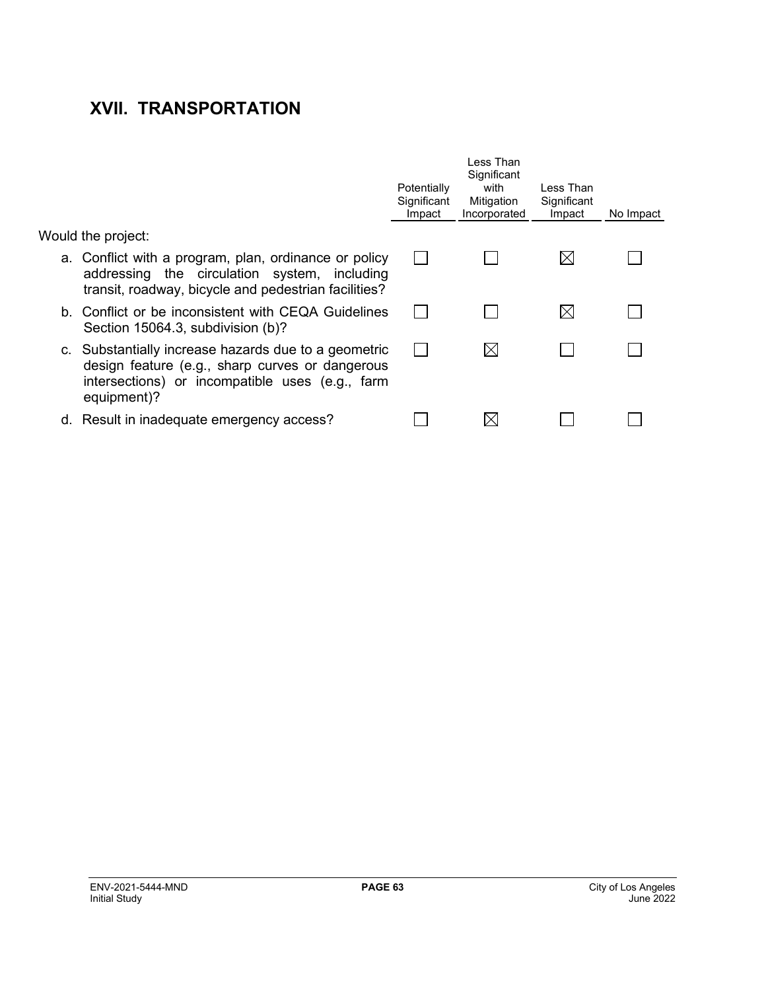# **XVII. TRANSPORTATION**

|                                                                                                                                                                           | Potentially<br>Significant<br>Impact | I ess Than<br>Significant<br>with<br>Mitigation<br>Incorporated | Less Than<br>Significant<br>Impact | No Impact |
|---------------------------------------------------------------------------------------------------------------------------------------------------------------------------|--------------------------------------|-----------------------------------------------------------------|------------------------------------|-----------|
| Would the project:                                                                                                                                                        |                                      |                                                                 |                                    |           |
| a. Conflict with a program, plan, ordinance or policy<br>addressing the circulation system, including<br>transit, roadway, bicycle and pedestrian facilities?             |                                      |                                                                 |                                    |           |
| b. Conflict or be inconsistent with CEQA Guidelines<br>Section 15064.3, subdivision (b)?                                                                                  |                                      |                                                                 | IХ                                 |           |
| c. Substantially increase hazards due to a geometric<br>design feature (e.g., sharp curves or dangerous<br>intersections) or incompatible uses (e.g., farm<br>equipment)? |                                      | $\bowtie$                                                       |                                    |           |
| d. Result in inadequate emergency access?                                                                                                                                 |                                      | IХ                                                              |                                    |           |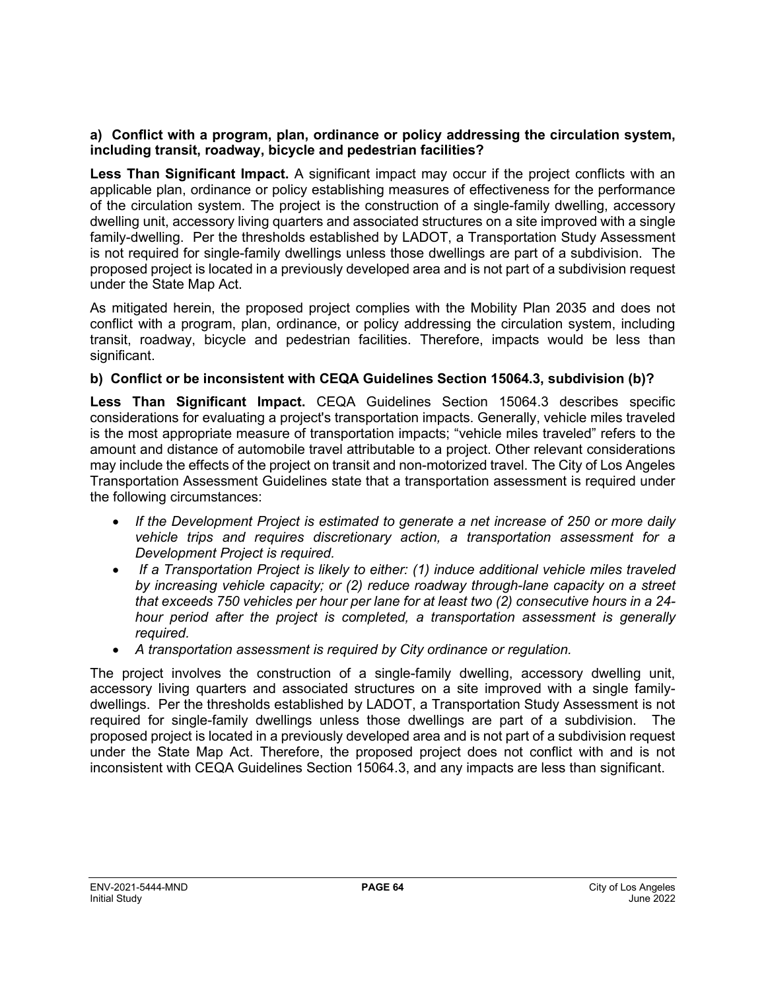#### **a) Conflict with a program, plan, ordinance or policy addressing the circulation system, including transit, roadway, bicycle and pedestrian facilities?**

**Less Than Significant Impact.** A significant impact may occur if the project conflicts with an applicable plan, ordinance or policy establishing measures of effectiveness for the performance of the circulation system. The project is the construction of a single-family dwelling, accessory dwelling unit, accessory living quarters and associated structures on a site improved with a single family-dwelling. Per the thresholds established by LADOT, a Transportation Study Assessment is not required for single-family dwellings unless those dwellings are part of a subdivision. The proposed project is located in a previously developed area and is not part of a subdivision request under the State Map Act.

As mitigated herein, the proposed project complies with the Mobility Plan 2035 and does not conflict with a program, plan, ordinance, or policy addressing the circulation system, including transit, roadway, bicycle and pedestrian facilities. Therefore, impacts would be less than significant.

#### **b) Conflict or be inconsistent with CEQA Guidelines Section 15064.3, subdivision (b)?**

**Less Than Significant Impact.** CEQA Guidelines Section 15064.3 describes specific considerations for evaluating a project's transportation impacts. Generally, vehicle miles traveled is the most appropriate measure of transportation impacts; "vehicle miles traveled" refers to the amount and distance of automobile travel attributable to a project. Other relevant considerations may include the effects of the project on transit and non-motorized travel. The City of Los Angeles Transportation Assessment Guidelines state that a transportation assessment is required under the following circumstances:

- *If the Development Project is estimated to generate a net increase of 250 or more daily vehicle trips and requires discretionary action, a transportation assessment for a Development Project is required.*
- *If a Transportation Project is likely to either: (1) induce additional vehicle miles traveled by increasing vehicle capacity; or (2) reduce roadway through-lane capacity on a street that exceeds 750 vehicles per hour per lane for at least two (2) consecutive hours in a 24 hour period after the project is completed, a transportation assessment is generally required.*
- *A transportation assessment is required by City ordinance or regulation.*

The project involves the construction of a single-family dwelling, accessory dwelling unit, accessory living quarters and associated structures on a site improved with a single familydwellings. Per the thresholds established by LADOT, a Transportation Study Assessment is not required for single-family dwellings unless those dwellings are part of a subdivision. The proposed project is located in a previously developed area and is not part of a subdivision request under the State Map Act. Therefore, the proposed project does not conflict with and is not inconsistent with CEQA Guidelines Section 15064.3, and any impacts are less than significant.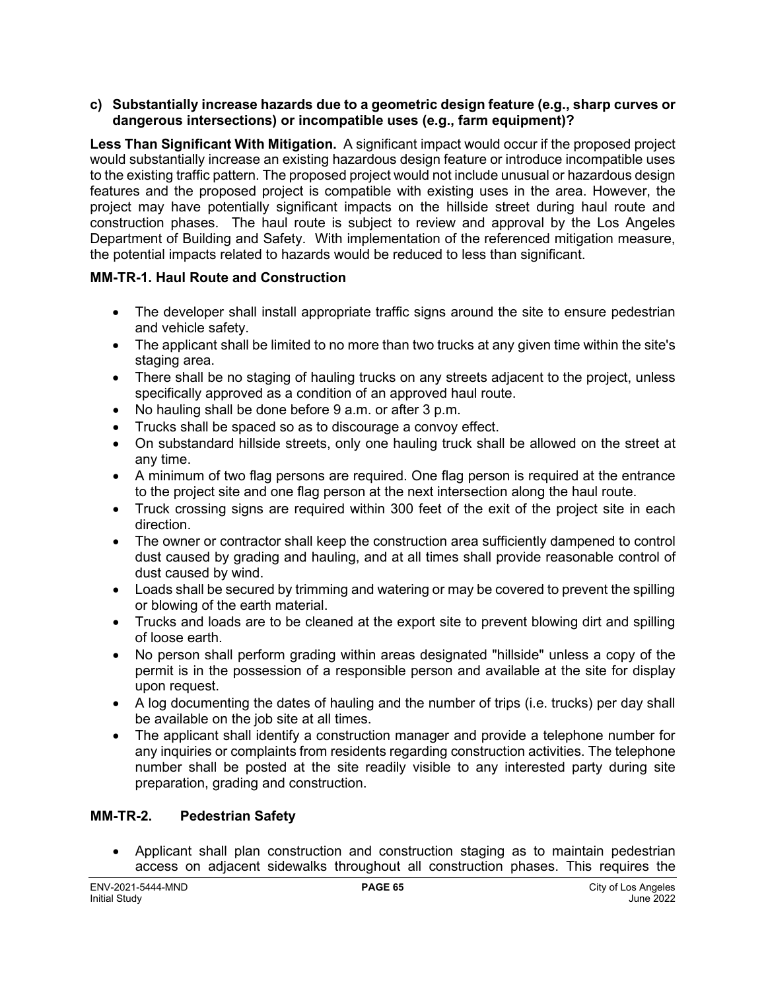#### **c) Substantially increase hazards due to a geometric design feature (e.g., sharp curves or dangerous intersections) or incompatible uses (e.g., farm equipment)?**

**Less Than Significant With Mitigation.** A significant impact would occur if the proposed project would substantially increase an existing hazardous design feature or introduce incompatible uses to the existing traffic pattern. The proposed project would not include unusual or hazardous design features and the proposed project is compatible with existing uses in the area. However, the project may have potentially significant impacts on the hillside street during haul route and construction phases. The haul route is subject to review and approval by the Los Angeles Department of Building and Safety. With implementation of the referenced mitigation measure, the potential impacts related to hazards would be reduced to less than significant.

### **MM-TR-1. Haul Route and Construction**

- The developer shall install appropriate traffic signs around the site to ensure pedestrian and vehicle safety.
- The applicant shall be limited to no more than two trucks at any given time within the site's staging area.
- There shall be no staging of hauling trucks on any streets adjacent to the project, unless specifically approved as a condition of an approved haul route.
- No hauling shall be done before 9 a.m. or after 3 p.m.
- Trucks shall be spaced so as to discourage a convoy effect.
- On substandard hillside streets, only one hauling truck shall be allowed on the street at any time.
- A minimum of two flag persons are required. One flag person is required at the entrance to the project site and one flag person at the next intersection along the haul route.
- Truck crossing signs are required within 300 feet of the exit of the project site in each direction.
- The owner or contractor shall keep the construction area sufficiently dampened to control dust caused by grading and hauling, and at all times shall provide reasonable control of dust caused by wind.
- Loads shall be secured by trimming and watering or may be covered to prevent the spilling or blowing of the earth material.
- Trucks and loads are to be cleaned at the export site to prevent blowing dirt and spilling of loose earth.
- No person shall perform grading within areas designated "hillside" unless a copy of the permit is in the possession of a responsible person and available at the site for display upon request.
- A log documenting the dates of hauling and the number of trips (i.e. trucks) per day shall be available on the job site at all times.
- The applicant shall identify a construction manager and provide a telephone number for any inquiries or complaints from residents regarding construction activities. The telephone number shall be posted at the site readily visible to any interested party during site preparation, grading and construction.

#### **MM-TR-2. Pedestrian Safety**

• Applicant shall plan construction and construction staging as to maintain pedestrian access on adjacent sidewalks throughout all construction phases. This requires the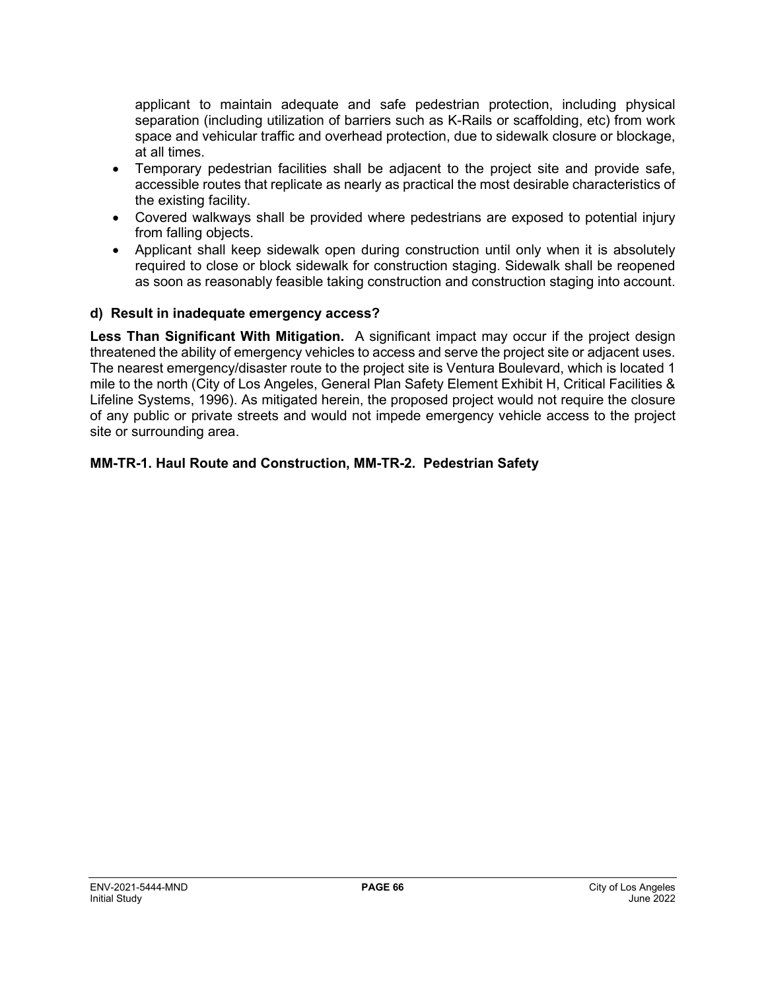applicant to maintain adequate and safe pedestrian protection, including physical separation (including utilization of barriers such as K-Rails or scaffolding, etc) from work space and vehicular traffic and overhead protection, due to sidewalk closure or blockage, at all times.

- Temporary pedestrian facilities shall be adjacent to the project site and provide safe, accessible routes that replicate as nearly as practical the most desirable characteristics of the existing facility.
- Covered walkways shall be provided where pedestrians are exposed to potential injury from falling objects.
- Applicant shall keep sidewalk open during construction until only when it is absolutely required to close or block sidewalk for construction staging. Sidewalk shall be reopened as soon as reasonably feasible taking construction and construction staging into account.

#### **d) Result in inadequate emergency access?**

**Less Than Significant With Mitigation.** A significant impact may occur if the project design threatened the ability of emergency vehicles to access and serve the project site or adjacent uses. The nearest emergency/disaster route to the project site is Ventura Boulevard, which is located 1 mile to the north (City of Los Angeles, General Plan Safety Element Exhibit H, Critical Facilities & Lifeline Systems, 1996). As mitigated herein, the proposed project would not require the closure of any public or private streets and would not impede emergency vehicle access to the project site or surrounding area.

#### **MM-TR-1. Haul Route and Construction, MM-TR-2. Pedestrian Safety**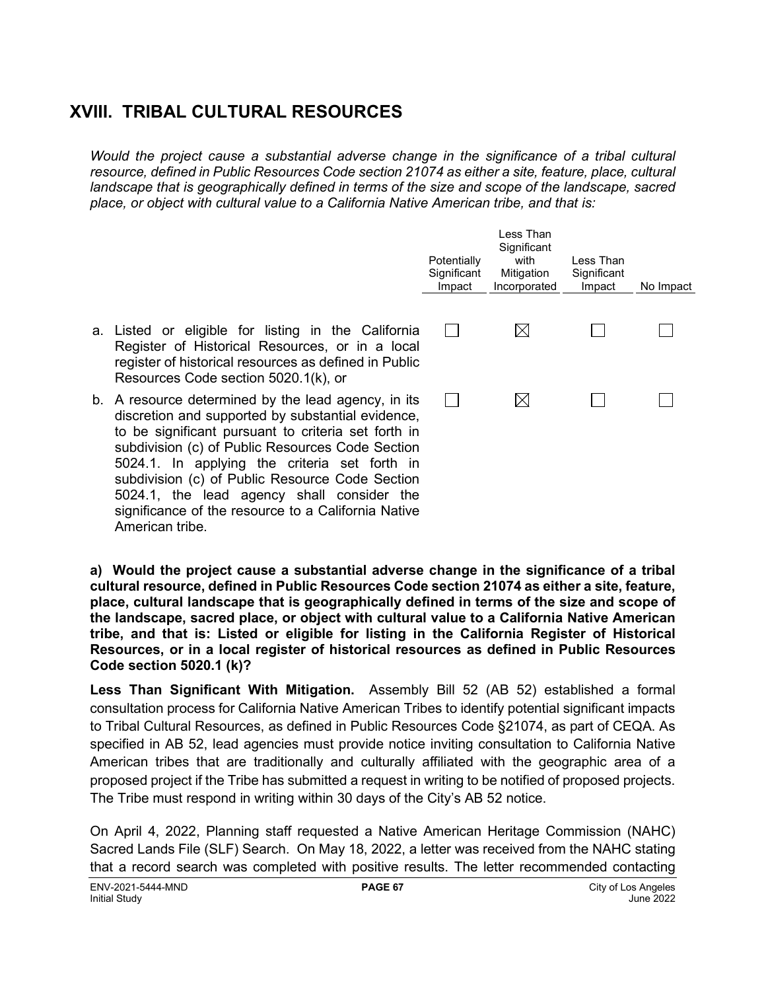## **XVIII. TRIBAL CULTURAL RESOURCES**

*Would the project cause a substantial adverse change in the significance of a tribal cultural resource, defined in Public Resources Code section 21074 as either a site, feature, place, cultural landscape that is geographically defined in terms of the size and scope of the landscape, sacred place, or object with cultural value to a California Native American tribe, and that is:*

|                                                                                                                                                                                                                                                                                                                                                                                                                                                | Potentially<br>Significant<br>Impact | Less Than<br>Significant<br>with<br>Mitigation<br>Incorporated | Less Than<br>Significant<br>Impact | No Impact |
|------------------------------------------------------------------------------------------------------------------------------------------------------------------------------------------------------------------------------------------------------------------------------------------------------------------------------------------------------------------------------------------------------------------------------------------------|--------------------------------------|----------------------------------------------------------------|------------------------------------|-----------|
| a. Listed or eligible for listing in the California<br>Register of Historical Resources, or in a local<br>register of historical resources as defined in Public<br>Resources Code section 5020.1(k), or                                                                                                                                                                                                                                        |                                      | $\boxtimes$                                                    |                                    |           |
| b. A resource determined by the lead agency, in its<br>discretion and supported by substantial evidence,<br>to be significant pursuant to criteria set forth in<br>subdivision (c) of Public Resources Code Section<br>5024.1. In applying the criteria set forth in<br>subdivision (c) of Public Resource Code Section<br>5024.1, the lead agency shall consider the<br>significance of the resource to a California Native<br>American tribe |                                      | $\boxtimes$                                                    |                                    |           |

**a) Would the project cause a substantial adverse change in the significance of a tribal cultural resource, defined in Public Resources Code section 21074 as either a site, feature, place, cultural landscape that is geographically defined in terms of the size and scope of the landscape, sacred place, or object with cultural value to a California Native American tribe, and that is: Listed or eligible for listing in the California Register of Historical Resources, or in a local register of historical resources as defined in Public Resources Code section 5020.1 (k)?**

**Less Than Significant With Mitigation.** Assembly Bill 52 (AB 52) established a formal consultation process for California Native American Tribes to identify potential significant impacts to Tribal Cultural Resources, as defined in Public Resources Code §21074, as part of CEQA. As specified in AB 52, lead agencies must provide notice inviting consultation to California Native American tribes that are traditionally and culturally affiliated with the geographic area of a proposed project if the Tribe has submitted a request in writing to be notified of proposed projects. The Tribe must respond in writing within 30 days of the City's AB 52 notice.

On April 4, 2022, Planning staff requested a Native American Heritage Commission (NAHC) Sacred Lands File (SLF) Search. On May 18, 2022, a letter was received from the NAHC stating that a record search was completed with positive results. The letter recommended contacting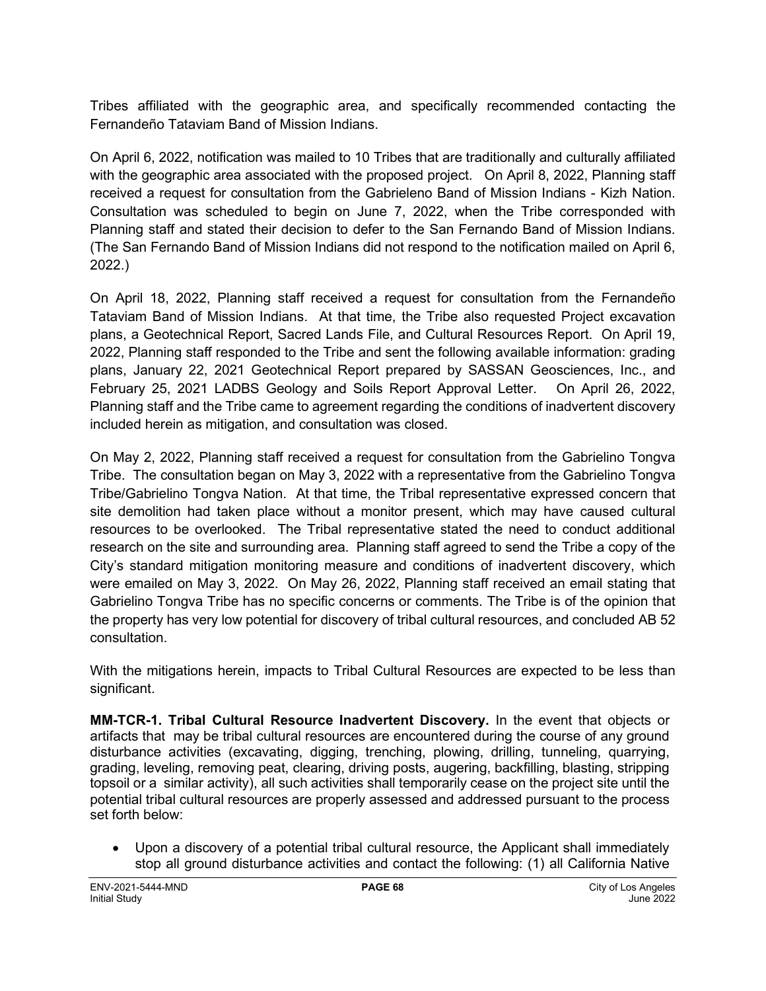Tribes affiliated with the geographic area, and specifically recommended contacting the Fernandeño Tataviam Band of Mission Indians.

On April 6, 2022, notification was mailed to 10 Tribes that are traditionally and culturally affiliated with the geographic area associated with the proposed project. On April 8, 2022, Planning staff received a request for consultation from the Gabrieleno Band of Mission Indians - Kizh Nation. Consultation was scheduled to begin on June 7, 2022, when the Tribe corresponded with Planning staff and stated their decision to defer to the San Fernando Band of Mission Indians. (The San Fernando Band of Mission Indians did not respond to the notification mailed on April 6, 2022.)

On April 18, 2022, Planning staff received a request for consultation from the Fernandeño Tataviam Band of Mission Indians. At that time, the Tribe also requested Project excavation plans, a Geotechnical Report, Sacred Lands File, and Cultural Resources Report. On April 19, 2022, Planning staff responded to the Tribe and sent the following available information: grading plans, January 22, 2021 Geotechnical Report prepared by SASSAN Geosciences, Inc., and February 25, 2021 LADBS Geology and Soils Report Approval Letter. On April 26, 2022, Planning staff and the Tribe came to agreement regarding the conditions of inadvertent discovery included herein as mitigation, and consultation was closed.

On May 2, 2022, Planning staff received a request for consultation from the Gabrielino Tongva Tribe. The consultation began on May 3, 2022 with a representative from the Gabrielino Tongva Tribe/Gabrielino Tongva Nation. At that time, the Tribal representative expressed concern that site demolition had taken place without a monitor present, which may have caused cultural resources to be overlooked. The Tribal representative stated the need to conduct additional research on the site and surrounding area. Planning staff agreed to send the Tribe a copy of the City's standard mitigation monitoring measure and conditions of inadvertent discovery, which were emailed on May 3, 2022. On May 26, 2022, Planning staff received an email stating that Gabrielino Tongva Tribe has no specific concerns or comments. The Tribe is of the opinion that the property has very low potential for discovery of tribal cultural resources, and concluded AB 52 consultation.

With the mitigations herein, impacts to Tribal Cultural Resources are expected to be less than significant.

**MM-TCR-1. Tribal Cultural Resource Inadvertent Discovery.** In the event that objects or artifacts that may be tribal cultural resources are encountered during the course of any ground disturbance activities (excavating, digging, trenching, plowing, drilling, tunneling, quarrying, grading, leveling, removing peat, clearing, driving posts, augering, backfilling, blasting, stripping topsoil or a similar activity), all such activities shall temporarily cease on the project site until the potential tribal cultural resources are properly assessed and addressed pursuant to the process set forth below:

• Upon a discovery of a potential tribal cultural resource, the Applicant shall immediately stop all ground disturbance activities and contact the following: (1) all California Native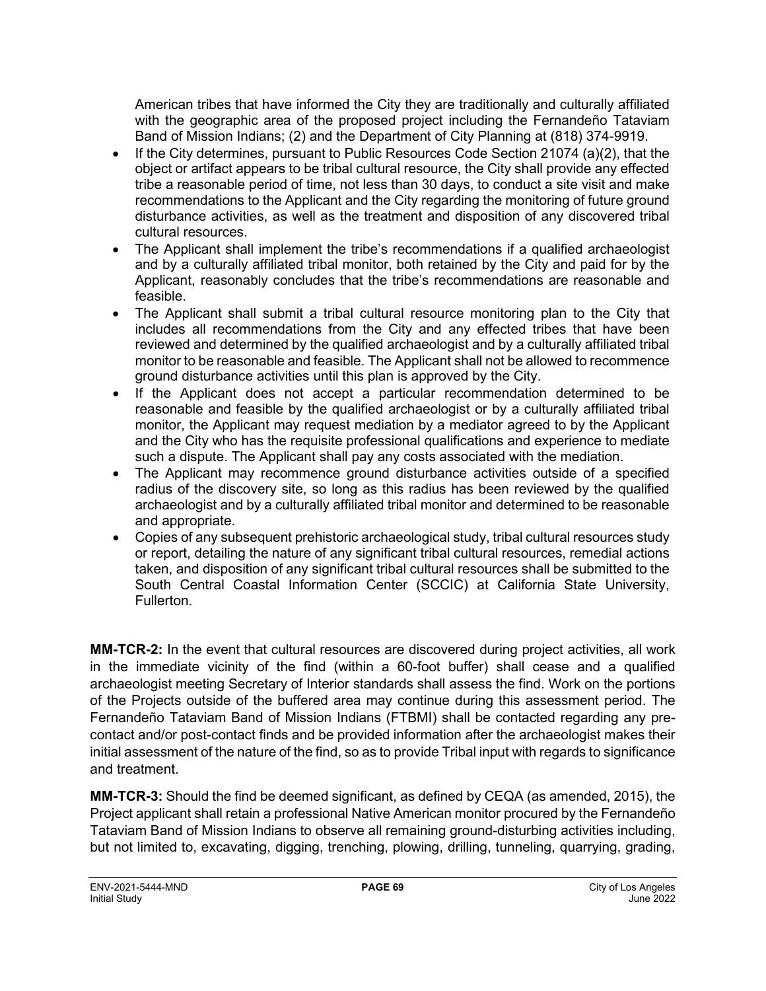American tribes that have informed the City they are traditionally and culturally affiliated with the geographic area of the proposed project including the Fernandeño Tataviam Band of Mission Indians; (2) and the Department of City Planning at (818) 374-9919.

- If the City determines, pursuant to Public Resources Code Section 21074 (a)(2), that the object or artifact appears to be tribal cultural resource, the City shall provide any effected tribe a reasonable period of time, not less than 30 days, to conduct a site visit and make recommendations to the Applicant and the City regarding the monitoring of future ground disturbance activities, as well as the treatment and disposition of any discovered tribal cultural resources.
- The Applicant shall implement the tribe's recommendations if a qualified archaeologist and by a culturally affiliated tribal monitor, both retained by the City and paid for by the Applicant, reasonably concludes that the tribe's recommendations are reasonable and feasible.
- The Applicant shall submit a tribal cultural resource monitoring plan to the City that includes all recommendations from the City and any effected tribes that have been reviewed and determined by the qualified archaeologist and by a culturally affiliated tribal monitor to be reasonable and feasible. The Applicant shall not be allowed to recommence ground disturbance activities until this plan is approved by the City.
- If the Applicant does not accept a particular recommendation determined to be reasonable and feasible by the qualified archaeologist or by a culturally affiliated tribal monitor, the Applicant may request mediation by a mediator agreed to by the Applicant and the City who has the requisite professional qualifications and experience to mediate such a dispute. The Applicant shall pay any costs associated with the mediation.
- The Applicant may recommence ground disturbance activities outside of a specified radius of the discovery site, so long as this radius has been reviewed by the qualified archaeologist and by a culturally affiliated tribal monitor and determined to be reasonable and appropriate.
- Copies of any subsequent prehistoric archaeological study, tribal cultural resources study or report, detailing the nature of any significant tribal cultural resources, remedial actions taken, and disposition of any significant tribal cultural resources shall be submitted to the South Central Coastal Information Center (SCCIC) at California State University, Fullerton.

**MM-TCR-2:** In the event that cultural resources are discovered during project activities, all work in the immediate vicinity of the find (within a 60-foot buffer) shall cease and a qualified archaeologist meeting Secretary of Interior standards shall assess the find. Work on the portions of the Projects outside of the buffered area may continue during this assessment period. The Fernandeño Tataviam Band of Mission Indians (FTBMI) shall be contacted regarding any precontact and/or post-contact finds and be provided information after the archaeologist makes their initial assessment of the nature of the find, so as to provide Tribal input with regards to significance and treatment.

**MM-TCR-3:** Should the find be deemed significant, as defined by CEQA (as amended, 2015), the Project applicant shall retain a professional Native American monitor procured by the Fernandeño Tataviam Band of Mission Indians to observe all remaining ground-disturbing activities including, but not limited to, excavating, digging, trenching, plowing, drilling, tunneling, quarrying, grading,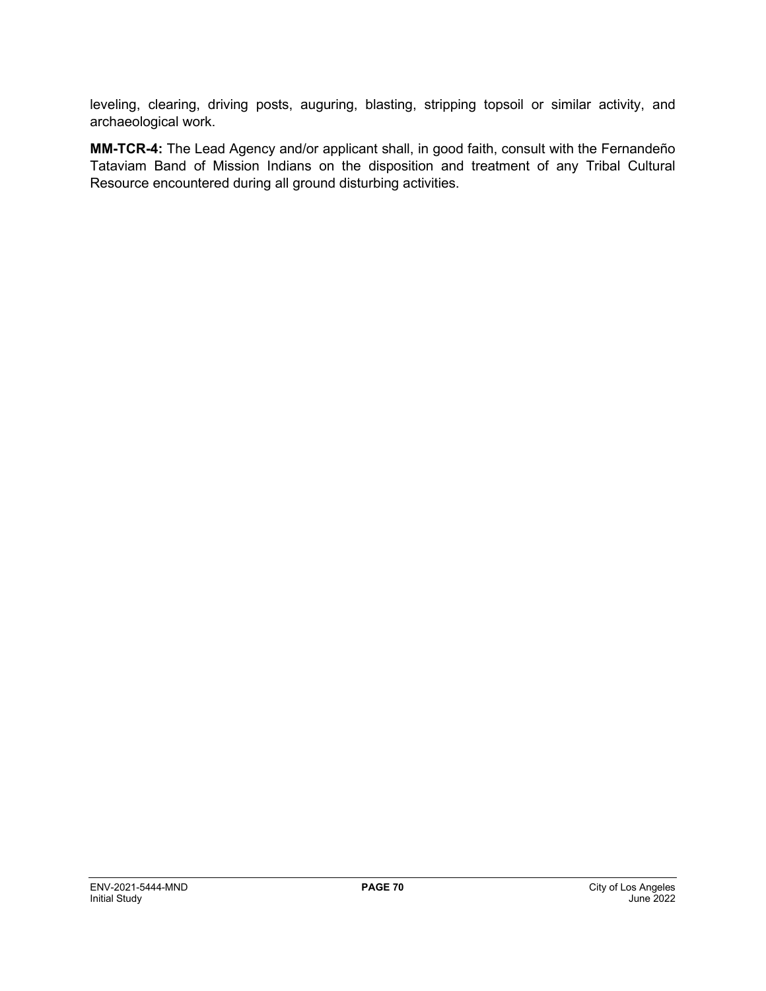leveling, clearing, driving posts, auguring, blasting, stripping topsoil or similar activity, and archaeological work.

**MM-TCR-4:** The Lead Agency and/or applicant shall, in good faith, consult with the Fernandeño Tataviam Band of Mission Indians on the disposition and treatment of any Tribal Cultural Resource encountered during all ground disturbing activities.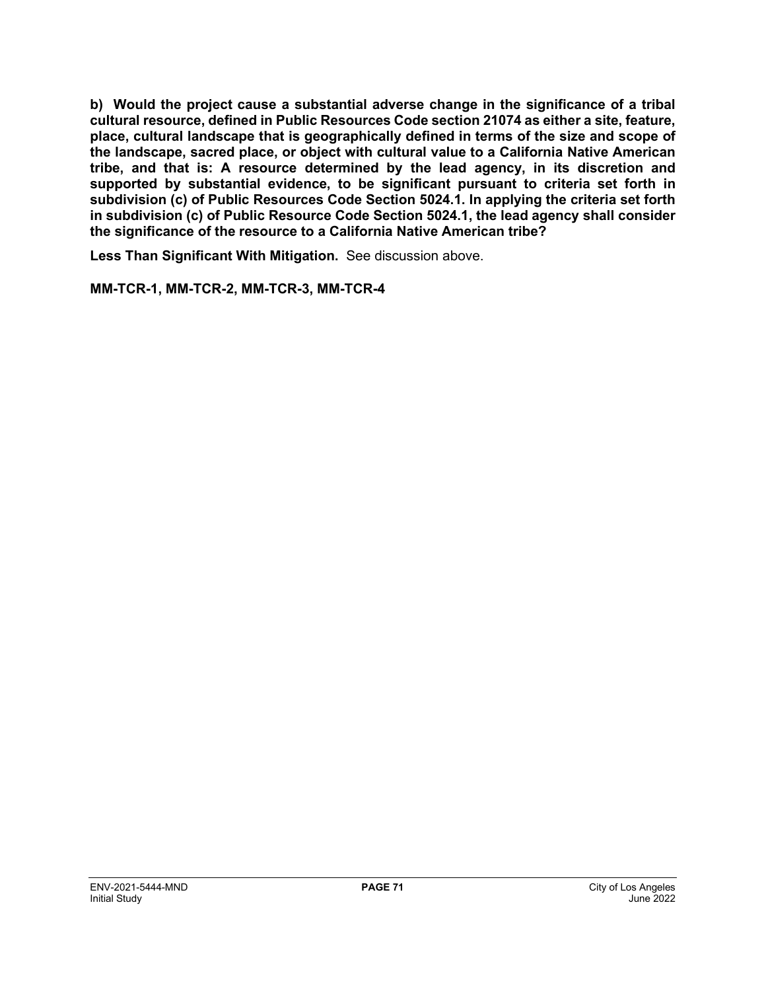**b) Would the project cause a substantial adverse change in the significance of a tribal cultural resource, defined in Public Resources Code section 21074 as either a site, feature, place, cultural landscape that is geographically defined in terms of the size and scope of the landscape, sacred place, or object with cultural value to a California Native American tribe, and that is: A resource determined by the lead agency, in its discretion and supported by substantial evidence, to be significant pursuant to criteria set forth in subdivision (c) of Public Resources Code Section 5024.1. In applying the criteria set forth in subdivision (c) of Public Resource Code Section 5024.1, the lead agency shall consider the significance of the resource to a California Native American tribe?**

**Less Than Significant With Mitigation.** See discussion above.

**MM-TCR-1, MM-TCR-2, MM-TCR-3, MM-TCR-4**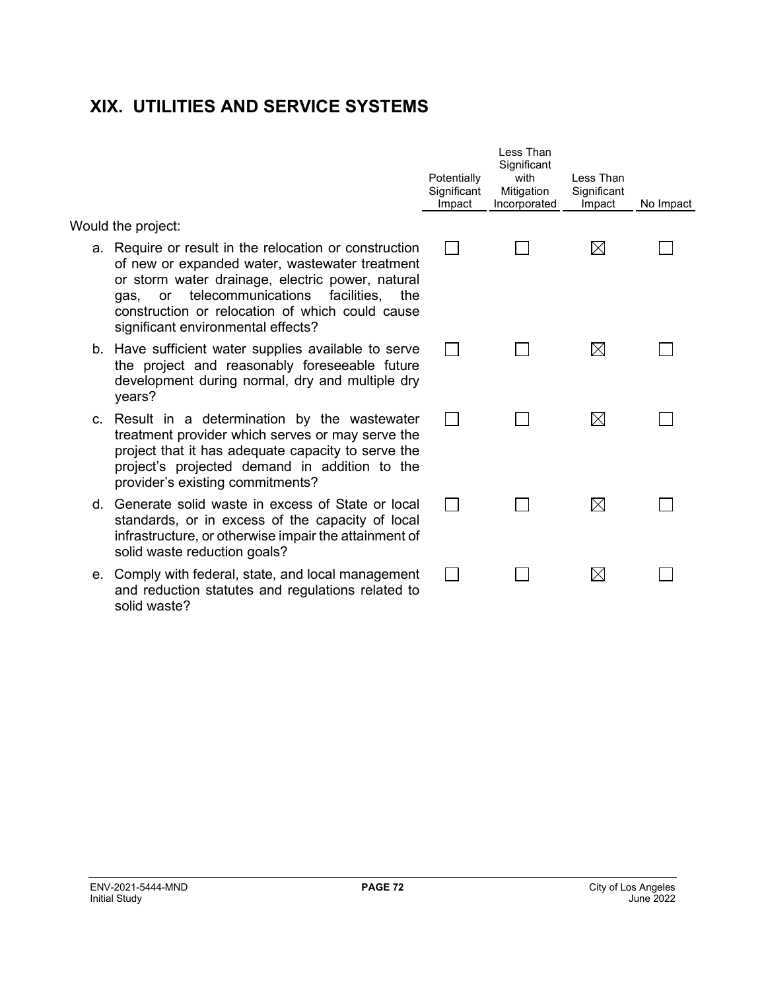## **XIX. UTILITIES AND SERVICE SYSTEMS**

Would the project:

- a. Require or result in the relocation or construction of new or expanded water, wastewater treatment or storm water drainage, electric power, natural gas, or telecommunications facilities, the construction or relocation of which could cause significant environmental effects?
- b. Have sufficient water supplies available to serve the project and reasonably foreseeable future development during normal, dry and multiple dry years?
- c. Result in a determination by the wastewater treatment provider which serves or may serve the project that it has adequate capacity to serve the project's projected demand in addition to the provider's existing commitments?
- d. Generate solid waste in excess of State or local standards, or in excess of the capacity of local infrastructure, or otherwise impair the attainment of solid waste reduction goals?
- e. Comply with federal, state, and local management and reduction statutes and regulations related to solid waste?

| Potentially<br>Significant<br>Impact | Less Than<br>Significant<br>with<br>Mitigation<br>Incorporated | Less Than<br>Significant<br>Impact | No Impact |
|--------------------------------------|----------------------------------------------------------------|------------------------------------|-----------|
|                                      |                                                                |                                    |           |
|                                      |                                                                | $\times$                           |           |
|                                      |                                                                |                                    |           |
|                                      |                                                                |                                    |           |
|                                      |                                                                |                                    |           |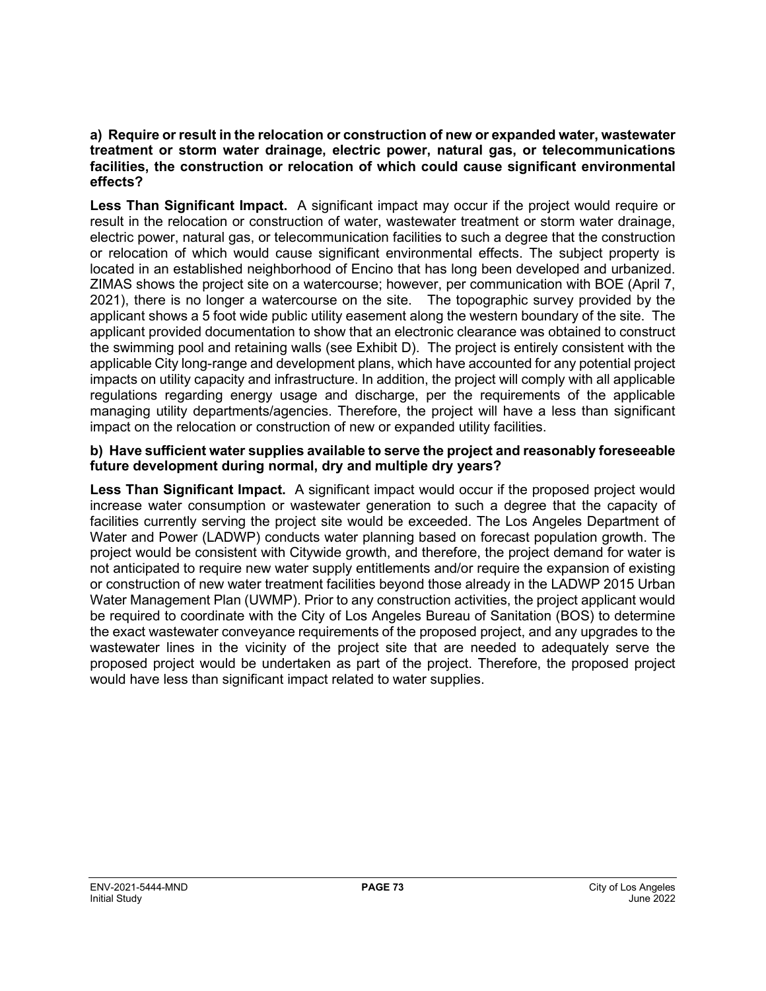### **a) Require or result in the relocation or construction of new or expanded water, wastewater treatment or storm water drainage, electric power, natural gas, or telecommunications facilities, the construction or relocation of which could cause significant environmental effects?**

**Less Than Significant Impact.** A significant impact may occur if the project would require or result in the relocation or construction of water, wastewater treatment or storm water drainage, electric power, natural gas, or telecommunication facilities to such a degree that the construction or relocation of which would cause significant environmental effects. The subject property is located in an established neighborhood of Encino that has long been developed and urbanized. ZIMAS shows the project site on a watercourse; however, per communication with BOE (April 7, 2021), there is no longer a watercourse on the site. The topographic survey provided by the applicant shows a 5 foot wide public utility easement along the western boundary of the site. The applicant provided documentation to show that an electronic clearance was obtained to construct the swimming pool and retaining walls (see Exhibit D). The project is entirely consistent with the applicable City long-range and development plans, which have accounted for any potential project impacts on utility capacity and infrastructure. In addition, the project will comply with all applicable regulations regarding energy usage and discharge, per the requirements of the applicable managing utility departments/agencies. Therefore, the project will have a less than significant impact on the relocation or construction of new or expanded utility facilities.

## **b) Have sufficient water supplies available to serve the project and reasonably foreseeable future development during normal, dry and multiple dry years?**

**Less Than Significant Impact.** A significant impact would occur if the proposed project would increase water consumption or wastewater generation to such a degree that the capacity of facilities currently serving the project site would be exceeded. The Los Angeles Department of Water and Power (LADWP) conducts water planning based on forecast population growth. The project would be consistent with Citywide growth, and therefore, the project demand for water is not anticipated to require new water supply entitlements and/or require the expansion of existing or construction of new water treatment facilities beyond those already in the LADWP 2015 Urban Water Management Plan (UWMP). Prior to any construction activities, the project applicant would be required to coordinate with the City of Los Angeles Bureau of Sanitation (BOS) to determine the exact wastewater conveyance requirements of the proposed project, and any upgrades to the wastewater lines in the vicinity of the project site that are needed to adequately serve the proposed project would be undertaken as part of the project. Therefore, the proposed project would have less than significant impact related to water supplies.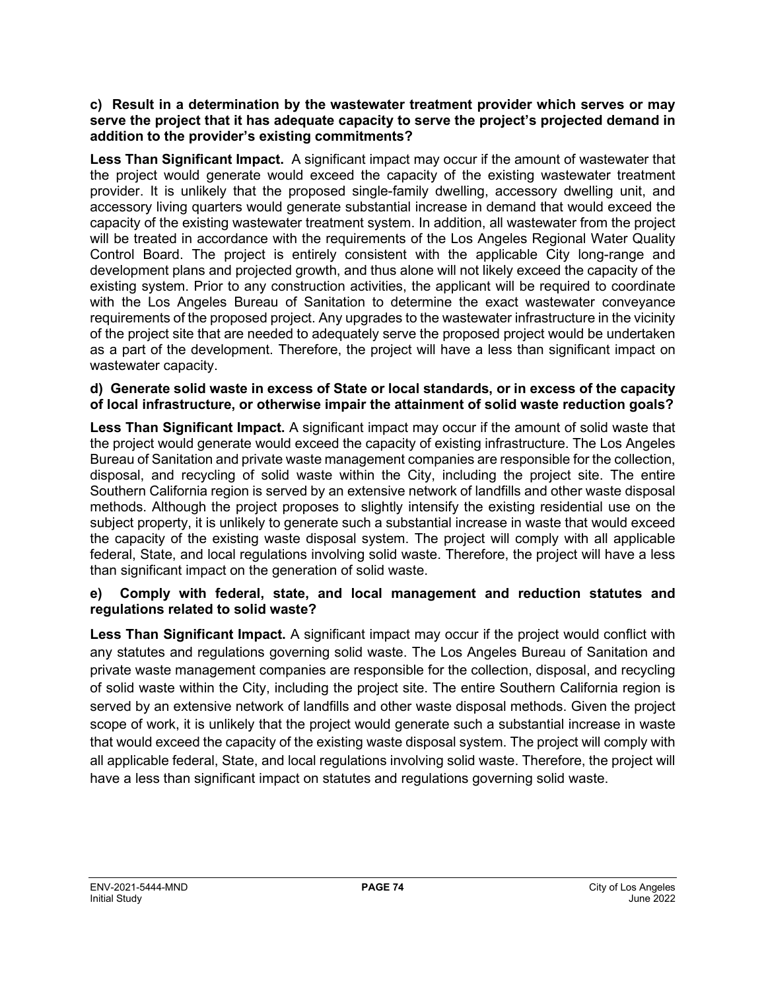#### **c) Result in a determination by the wastewater treatment provider which serves or may serve the project that it has adequate capacity to serve the project's projected demand in addition to the provider's existing commitments?**

**Less Than Significant Impact.** A significant impact may occur if the amount of wastewater that the project would generate would exceed the capacity of the existing wastewater treatment provider. It is unlikely that the proposed single-family dwelling, accessory dwelling unit, and accessory living quarters would generate substantial increase in demand that would exceed the capacity of the existing wastewater treatment system. In addition, all wastewater from the project will be treated in accordance with the requirements of the Los Angeles Regional Water Quality Control Board. The project is entirely consistent with the applicable City long-range and development plans and projected growth, and thus alone will not likely exceed the capacity of the existing system. Prior to any construction activities, the applicant will be required to coordinate with the Los Angeles Bureau of Sanitation to determine the exact wastewater conveyance requirements of the proposed project. Any upgrades to the wastewater infrastructure in the vicinity of the project site that are needed to adequately serve the proposed project would be undertaken as a part of the development. Therefore, the project will have a less than significant impact on wastewater capacity.

# **d) Generate solid waste in excess of State or local standards, or in excess of the capacity of local infrastructure, or otherwise impair the attainment of solid waste reduction goals?**

**Less Than Significant Impact.** A significant impact may occur if the amount of solid waste that the project would generate would exceed the capacity of existing infrastructure. The Los Angeles Bureau of Sanitation and private waste management companies are responsible for the collection, disposal, and recycling of solid waste within the City, including the project site. The entire Southern California region is served by an extensive network of landfills and other waste disposal methods. Although the project proposes to slightly intensify the existing residential use on the subject property, it is unlikely to generate such a substantial increase in waste that would exceed the capacity of the existing waste disposal system. The project will comply with all applicable federal, State, and local regulations involving solid waste. Therefore, the project will have a less than significant impact on the generation of solid waste.

## **e) Comply with federal, state, and local management and reduction statutes and regulations related to solid waste?**

**Less Than Significant Impact.** A significant impact may occur if the project would conflict with any statutes and regulations governing solid waste. The Los Angeles Bureau of Sanitation and private waste management companies are responsible for the collection, disposal, and recycling of solid waste within the City, including the project site. The entire Southern California region is served by an extensive network of landfills and other waste disposal methods. Given the project scope of work, it is unlikely that the project would generate such a substantial increase in waste that would exceed the capacity of the existing waste disposal system. The project will comply with all applicable federal, State, and local regulations involving solid waste. Therefore, the project will have a less than significant impact on statutes and regulations governing solid waste.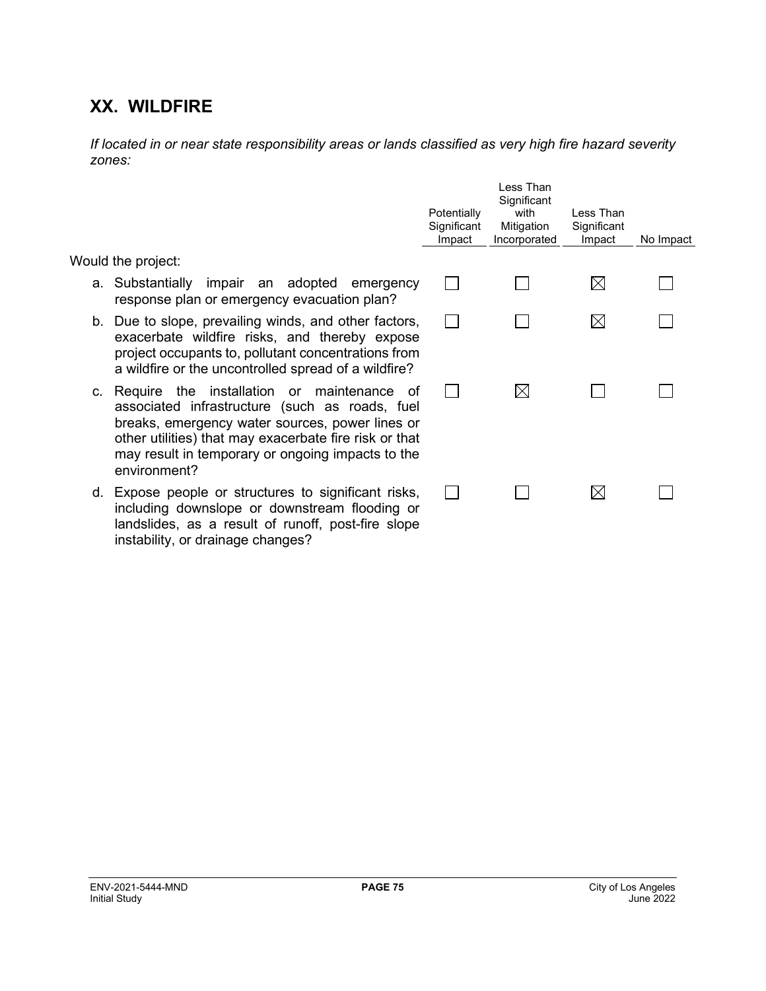# **XX. WILDFIRE**

*If located in or near state responsibility areas or lands classified as very high fire hazard severity zones:*

|                                                                                                                                                                                                                                                                                   | Potentially<br>Significant<br>Impact | Less Than<br>Significant<br>with<br>Mitigation<br>Incorporated | Less Than<br>Significant<br>Impact | No Impact |
|-----------------------------------------------------------------------------------------------------------------------------------------------------------------------------------------------------------------------------------------------------------------------------------|--------------------------------------|----------------------------------------------------------------|------------------------------------|-----------|
| Would the project:                                                                                                                                                                                                                                                                |                                      |                                                                |                                    |           |
| a. Substantially impair an adopted emergency<br>response plan or emergency evacuation plan?                                                                                                                                                                                       |                                      |                                                                | $\boxtimes$                        |           |
| b. Due to slope, prevailing winds, and other factors,<br>exacerbate wildfire risks, and thereby expose<br>project occupants to, pollutant concentrations from<br>a wildfire or the uncontrolled spread of a wildfire?                                                             |                                      |                                                                | ⊠                                  |           |
| c. Require the installation or maintenance of<br>associated infrastructure (such as roads, fuel<br>breaks, emergency water sources, power lines or<br>other utilities) that may exacerbate fire risk or that<br>may result in temporary or ongoing impacts to the<br>environment? |                                      | $\boxtimes$                                                    |                                    |           |
| d. Expose people or structures to significant risks,<br>including downslope or downstream flooding or<br>landslides, as a result of runoff, post-fire slope                                                                                                                       |                                      |                                                                | $\times$                           |           |

instability, or drainage changes?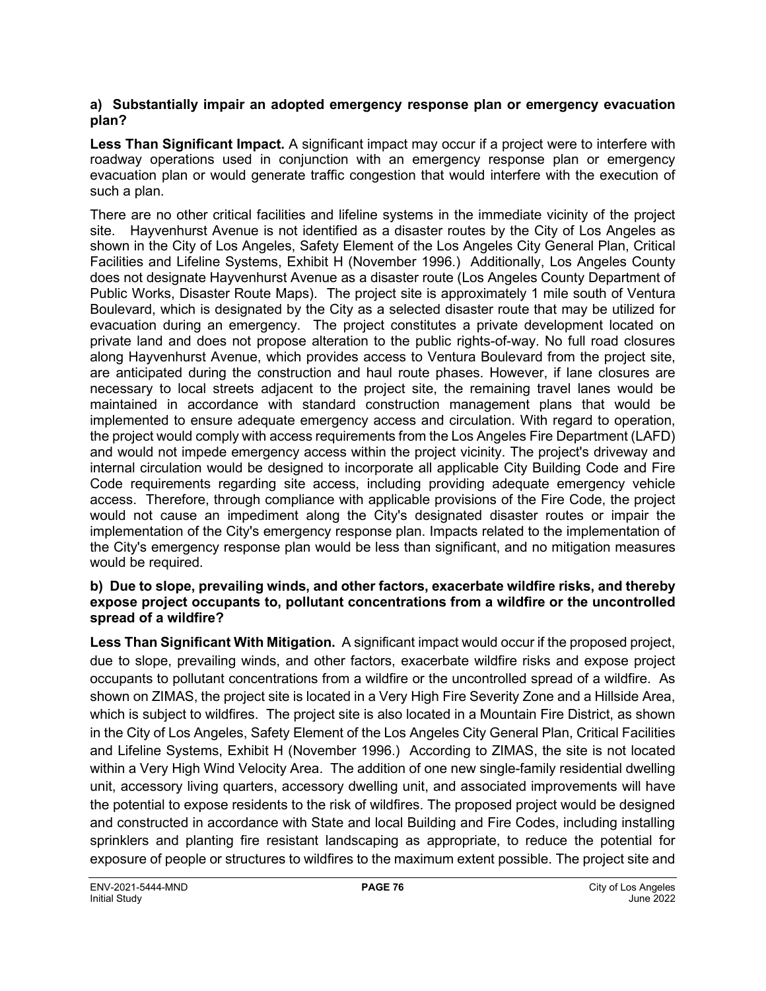# **a) Substantially impair an adopted emergency response plan or emergency evacuation plan?**

**Less Than Significant Impact.** A significant impact may occur if a project were to interfere with roadway operations used in conjunction with an emergency response plan or emergency evacuation plan or would generate traffic congestion that would interfere with the execution of such a plan.

There are no other critical facilities and lifeline systems in the immediate vicinity of the project site. Hayvenhurst Avenue is not identified as a disaster routes by the City of Los Angeles as shown in the City of Los Angeles, Safety Element of the Los Angeles City General Plan, Critical Facilities and Lifeline Systems, Exhibit H (November 1996.) Additionally, Los Angeles County does not designate Hayvenhurst Avenue as a disaster route (Los Angeles County Department of Public Works, Disaster Route Maps). The project site is approximately 1 mile south of Ventura Boulevard, which is designated by the City as a selected disaster route that may be utilized for evacuation during an emergency. The project constitutes a private development located on private land and does not propose alteration to the public rights-of-way. No full road closures along Hayvenhurst Avenue, which provides access to Ventura Boulevard from the project site, are anticipated during the construction and haul route phases. However, if lane closures are necessary to local streets adjacent to the project site, the remaining travel lanes would be maintained in accordance with standard construction management plans that would be implemented to ensure adequate emergency access and circulation. With regard to operation, the project would comply with access requirements from the Los Angeles Fire Department (LAFD) and would not impede emergency access within the project vicinity. The project's driveway and internal circulation would be designed to incorporate all applicable City Building Code and Fire Code requirements regarding site access, including providing adequate emergency vehicle access. Therefore, through compliance with applicable provisions of the Fire Code, the project would not cause an impediment along the City's designated disaster routes or impair the implementation of the City's emergency response plan. Impacts related to the implementation of the City's emergency response plan would be less than significant, and no mitigation measures would be required.

## **b) Due to slope, prevailing winds, and other factors, exacerbate wildfire risks, and thereby expose project occupants to, pollutant concentrations from a wildfire or the uncontrolled spread of a wildfire?**

**Less Than Significant With Mitigation.** A significant impact would occur if the proposed project, due to slope, prevailing winds, and other factors, exacerbate wildfire risks and expose project occupants to pollutant concentrations from a wildfire or the uncontrolled spread of a wildfire. As shown on ZIMAS, the project site is located in a Very High Fire Severity Zone and a Hillside Area, which is subject to wildfires. The project site is also located in a Mountain Fire District, as shown in the City of Los Angeles, Safety Element of the Los Angeles City General Plan, Critical Facilities and Lifeline Systems, Exhibit H (November 1996.) According to ZIMAS, the site is not located within a Very High Wind Velocity Area. The addition of one new single-family residential dwelling unit, accessory living quarters, accessory dwelling unit, and associated improvements will have the potential to expose residents to the risk of wildfires. The proposed project would be designed and constructed in accordance with State and local Building and Fire Codes, including installing sprinklers and planting fire resistant landscaping as appropriate, to reduce the potential for exposure of people or structures to wildfires to the maximum extent possible. The project site and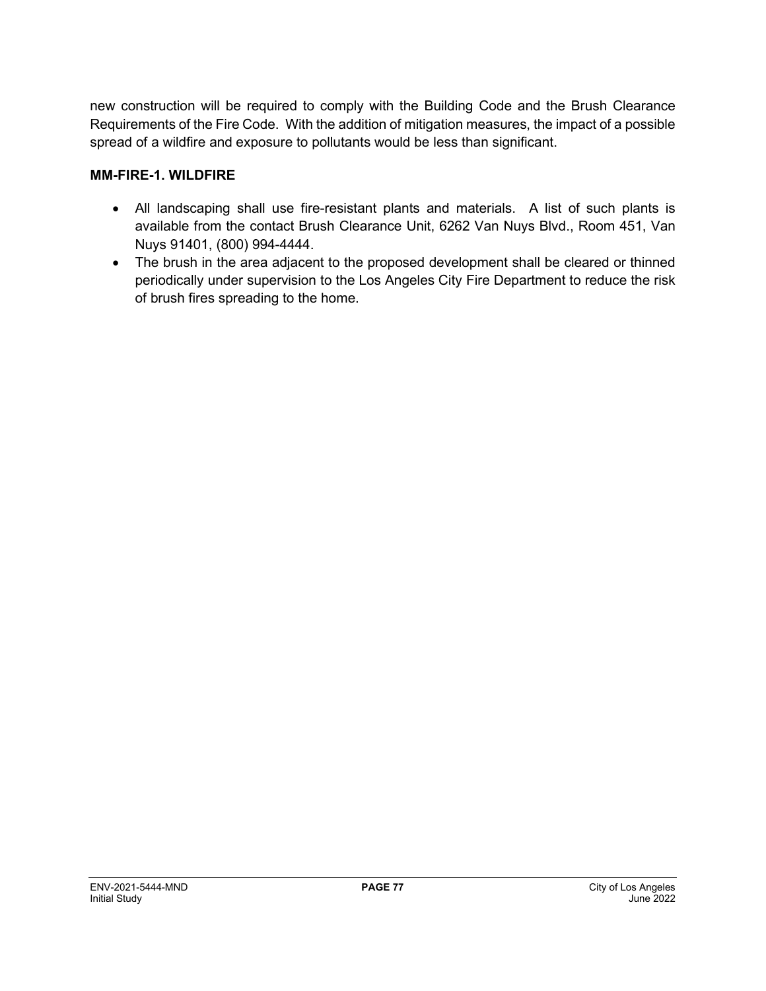new construction will be required to comply with the Building Code and the Brush Clearance Requirements of the Fire Code. With the addition of mitigation measures, the impact of a possible spread of a wildfire and exposure to pollutants would be less than significant.

# **MM-FIRE-1. WILDFIRE**

- All landscaping shall use fire-resistant plants and materials. A list of such plants is available from the contact Brush Clearance Unit, 6262 Van Nuys Blvd., Room 451, Van Nuys 91401, (800) 994-4444.
- The brush in the area adjacent to the proposed development shall be cleared or thinned periodically under supervision to the Los Angeles City Fire Department to reduce the risk of brush fires spreading to the home.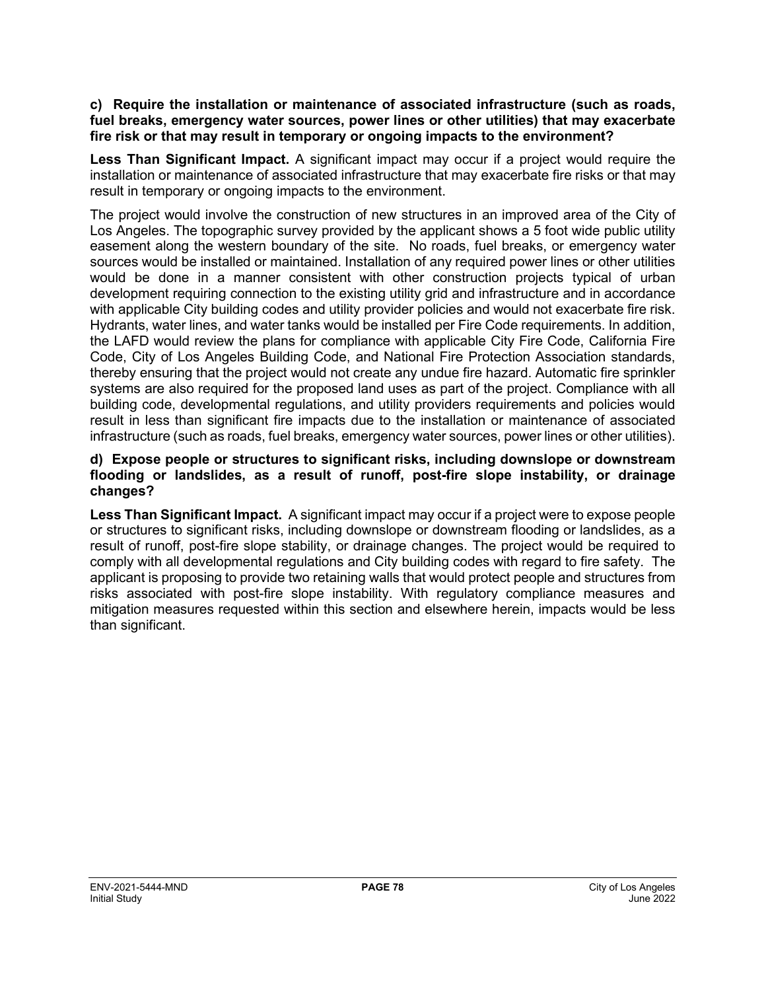### **c) Require the installation or maintenance of associated infrastructure (such as roads, fuel breaks, emergency water sources, power lines or other utilities) that may exacerbate fire risk or that may result in temporary or ongoing impacts to the environment?**

**Less Than Significant Impact.** A significant impact may occur if a project would require the installation or maintenance of associated infrastructure that may exacerbate fire risks or that may result in temporary or ongoing impacts to the environment.

The project would involve the construction of new structures in an improved area of the City of Los Angeles. The topographic survey provided by the applicant shows a 5 foot wide public utility easement along the western boundary of the site. No roads, fuel breaks, or emergency water sources would be installed or maintained. Installation of any required power lines or other utilities would be done in a manner consistent with other construction projects typical of urban development requiring connection to the existing utility grid and infrastructure and in accordance with applicable City building codes and utility provider policies and would not exacerbate fire risk. Hydrants, water lines, and water tanks would be installed per Fire Code requirements. In addition, the LAFD would review the plans for compliance with applicable City Fire Code, California Fire Code, City of Los Angeles Building Code, and National Fire Protection Association standards, thereby ensuring that the project would not create any undue fire hazard. Automatic fire sprinkler systems are also required for the proposed land uses as part of the project. Compliance with all building code, developmental regulations, and utility providers requirements and policies would result in less than significant fire impacts due to the installation or maintenance of associated infrastructure (such as roads, fuel breaks, emergency water sources, power lines or other utilities).

## **d) Expose people or structures to significant risks, including downslope or downstream flooding or landslides, as a result of runoff, post-fire slope instability, or drainage changes?**

**Less Than Significant Impact.** A significant impact may occur if a project were to expose people or structures to significant risks, including downslope or downstream flooding or landslides, as a result of runoff, post-fire slope stability, or drainage changes. The project would be required to comply with all developmental regulations and City building codes with regard to fire safety. The applicant is proposing to provide two retaining walls that would protect people and structures from risks associated with post-fire slope instability. With regulatory compliance measures and mitigation measures requested within this section and elsewhere herein, impacts would be less than significant.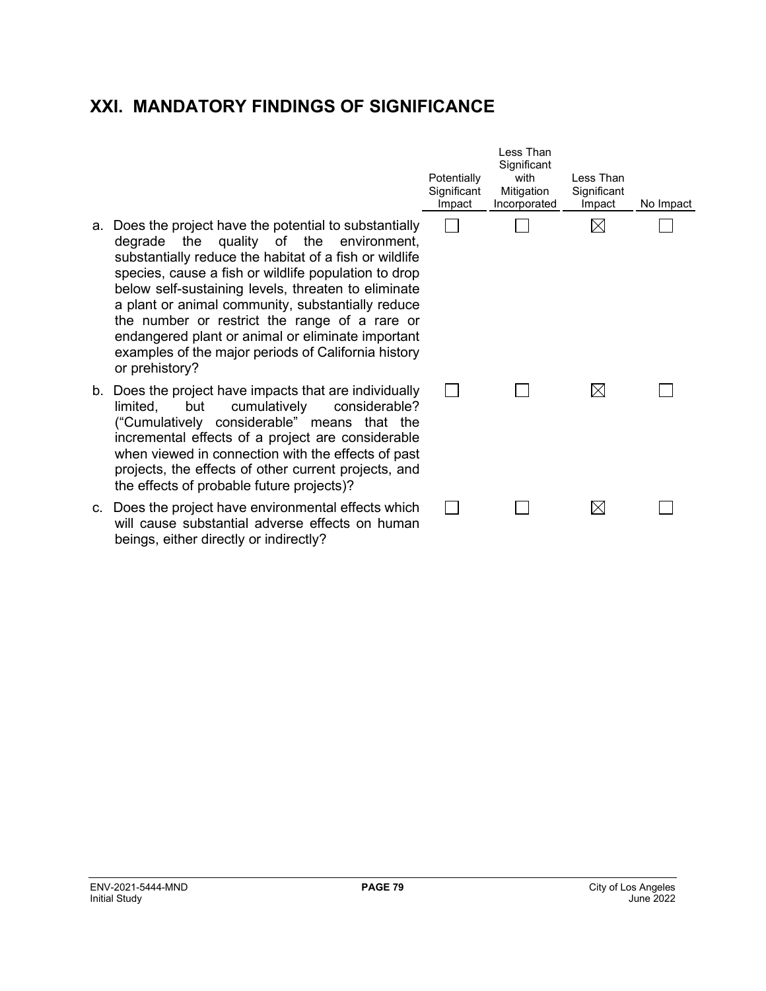# **XXI. MANDATORY FINDINGS OF SIGNIFICANCE**

- a. Does the project have the potential to substantially degrade the quality of the environment, substantially reduce the habitat of a fish or wildlife species, cause a fish or wildlife population to drop below self-sustaining levels, threaten to eliminate a plant or animal community, substantially reduce the number or restrict the range of a rare or endangered plant or animal or eliminate important examples of the major periods of California history or prehistory?
- b. Does the project have impacts that are individually limited, but cumulatively considerable? ("Cumulatively considerable" means that the incremental effects of a project are considerable when viewed in connection with the effects of past projects, the effects of other current projects, and the effects of probable future projects)?
- c. Does the project have environmental effects which will cause substantial adverse effects on human beings, either directly or indirectly?

| Potentially<br>Significant<br>Impact | Less Than<br>Significant<br>with<br>Mitigation<br>Incorporated | Less Than<br>Significant<br>Impact | No Impact |
|--------------------------------------|----------------------------------------------------------------|------------------------------------|-----------|
|                                      |                                                                |                                    |           |
|                                      |                                                                |                                    |           |
|                                      |                                                                |                                    |           |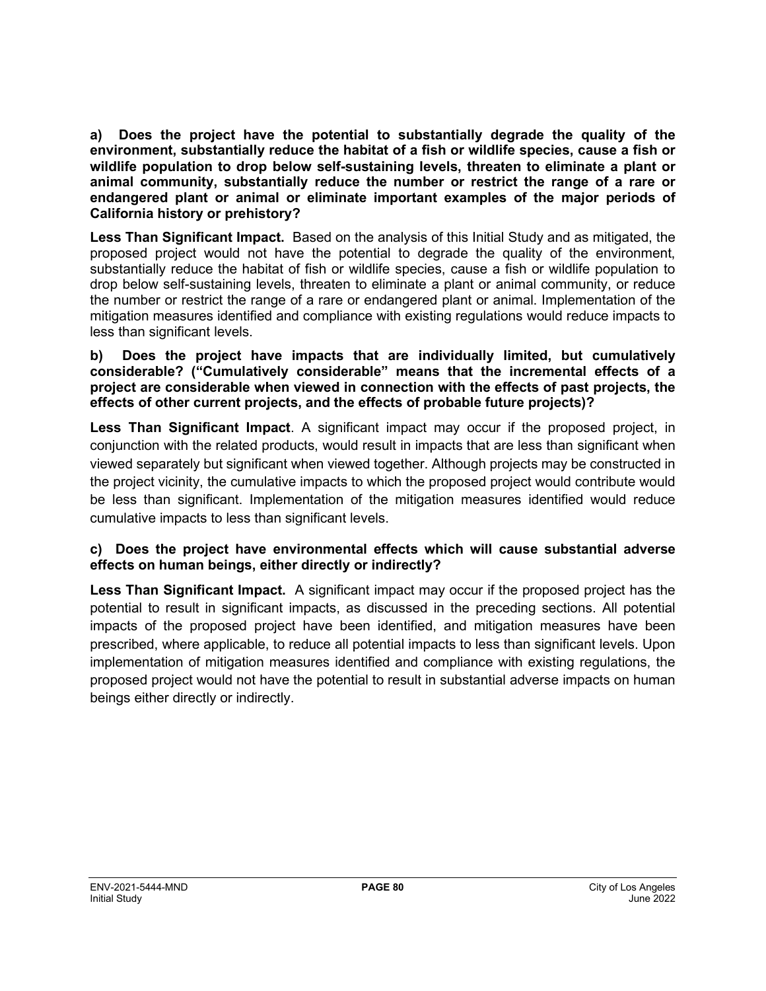**a) Does the project have the potential to substantially degrade the quality of the environment, substantially reduce the habitat of a fish or wildlife species, cause a fish or wildlife population to drop below self-sustaining levels, threaten to eliminate a plant or animal community, substantially reduce the number or restrict the range of a rare or endangered plant or animal or eliminate important examples of the major periods of California history or prehistory?**

**Less Than Significant Impact.** Based on the analysis of this Initial Study and as mitigated, the proposed project would not have the potential to degrade the quality of the environment, substantially reduce the habitat of fish or wildlife species, cause a fish or wildlife population to drop below self-sustaining levels, threaten to eliminate a plant or animal community, or reduce the number or restrict the range of a rare or endangered plant or animal. Implementation of the mitigation measures identified and compliance with existing regulations would reduce impacts to less than significant levels.

## **b) Does the project have impacts that are individually limited, but cumulatively considerable? ("Cumulatively considerable" means that the incremental effects of a project are considerable when viewed in connection with the effects of past projects, the effects of other current projects, and the effects of probable future projects)?**

**Less Than Significant Impact**. A significant impact may occur if the proposed project, in conjunction with the related products, would result in impacts that are less than significant when viewed separately but significant when viewed together. Although projects may be constructed in the project vicinity, the cumulative impacts to which the proposed project would contribute would be less than significant. Implementation of the mitigation measures identified would reduce cumulative impacts to less than significant levels.

# **c) Does the project have environmental effects which will cause substantial adverse effects on human beings, either directly or indirectly?**

**Less Than Significant Impact.** A significant impact may occur if the proposed project has the potential to result in significant impacts, as discussed in the preceding sections. All potential impacts of the proposed project have been identified, and mitigation measures have been prescribed, where applicable, to reduce all potential impacts to less than significant levels. Upon implementation of mitigation measures identified and compliance with existing regulations, the proposed project would not have the potential to result in substantial adverse impacts on human beings either directly or indirectly.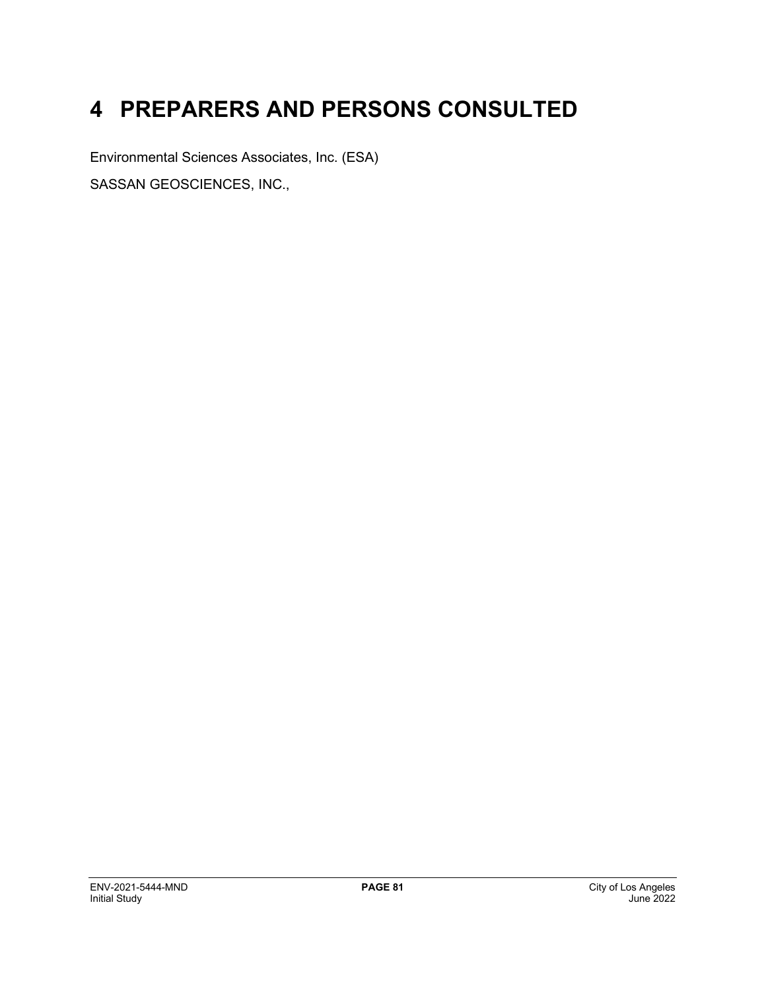# **4 PREPARERS AND PERSONS CONSULTED**

Environmental Sciences Associates, Inc. (ESA) SASSAN GEOSCIENCES, INC.,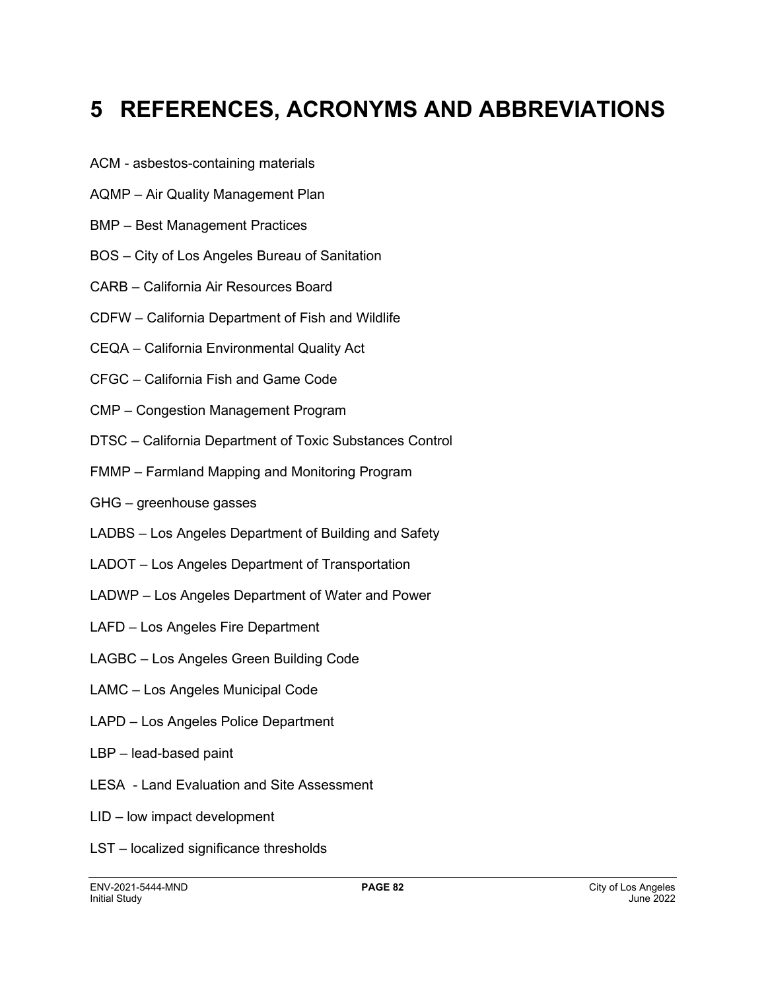# **5 REFERENCES, ACRONYMS AND ABBREVIATIONS**

- ACM asbestos-containing materials
- AQMP Air Quality Management Plan
- BMP Best Management Practices
- BOS City of Los Angeles Bureau of Sanitation
- CARB California Air Resources Board
- CDFW California Department of Fish and Wildlife
- CEQA California Environmental Quality Act
- CFGC California Fish and Game Code
- CMP Congestion Management Program
- DTSC California Department of Toxic Substances Control
- FMMP Farmland Mapping and Monitoring Program
- GHG greenhouse gasses
- LADBS Los Angeles Department of Building and Safety
- LADOT Los Angeles Department of Transportation
- LADWP Los Angeles Department of Water and Power
- LAFD Los Angeles Fire Department
- LAGBC Los Angeles Green Building Code
- LAMC Los Angeles Municipal Code
- LAPD Los Angeles Police Department
- LBP lead-based paint
- LESA Land Evaluation and Site Assessment
- LID low impact development
- LST localized significance thresholds